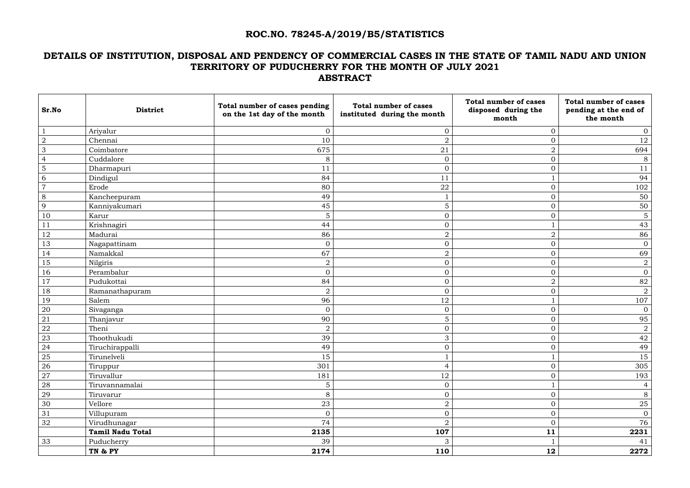#### **ROC.NO. 78245-A/2019/B5/STATISTICS**

## **DETAILS OF INSTITUTION, DISPOSAL AND PENDENCY OF COMMERCIAL CASES IN THE STATE OF TAMIL NADU AND UNION TERRITORY OF PUDUCHERRY FOR THE MONTH OF JULY 2021 ABSTRACT**

| Sr.No           | <b>District</b>         | Total number of cases pending<br>on the 1st day of the month | <b>Total number of cases</b><br>instituted during the month | <b>Total number of cases</b><br>disposed during the<br>month | <b>Total number of cases</b><br>pending at the end of<br>the month |
|-----------------|-------------------------|--------------------------------------------------------------|-------------------------------------------------------------|--------------------------------------------------------------|--------------------------------------------------------------------|
| $\mathbf{1}$    | Ariyalur                | $\overline{0}$                                               | $\overline{0}$                                              | $\overline{0}$                                               | $\overline{0}$                                                     |
| $\overline{2}$  | Chennai                 | 10                                                           | $\overline{2}$                                              | $\Omega$                                                     | 12                                                                 |
| $\mathfrak{Z}$  | Coimbatore              | 675                                                          | 21                                                          | $\overline{2}$                                               | 694                                                                |
| $\overline{4}$  | Cuddalore               | 8                                                            | $\overline{0}$                                              | $\overline{0}$                                               | $8\,$                                                              |
| 5               | Dharmapuri              | 11                                                           | $\mathbf 0$                                                 | $\overline{0}$                                               | 11                                                                 |
| 6               | Dindigul                | 84                                                           | 11                                                          |                                                              | 94                                                                 |
| $\overline{7}$  | Erode                   | 80                                                           | 22                                                          | $\overline{0}$                                               | 102                                                                |
| 8               | Kancheepuram            | 49                                                           |                                                             | $\Omega$                                                     | 50                                                                 |
| 9               | Kanniyakumari           | 45                                                           | 5                                                           | $\overline{0}$                                               | 50                                                                 |
| 10              | Karur                   | $5\phantom{.}$                                               | $\overline{0}$                                              | $\overline{0}$                                               | $\sqrt{5}$                                                         |
| 11              | Krishnagiri             | 44                                                           | $\overline{0}$                                              |                                                              | 43                                                                 |
| 12              | Madurai                 | 86                                                           | $\overline{2}$                                              | $\overline{2}$                                               | 86                                                                 |
| 13              | Nagapattinam            | $\mathbf{0}$                                                 | $\mathbf 0$                                                 | $\Omega$                                                     | $\overline{0}$                                                     |
| 14              | Namakkal                | 67                                                           | $\sqrt{2}$                                                  | $\overline{0}$                                               | 69                                                                 |
| 15              | Nilgiris                | $\overline{2}$                                               | $\mathbf 0$                                                 | $\overline{0}$                                               | $\overline{a}$                                                     |
| 16              | Perambalur              | $\overline{0}$                                               | $\overline{0}$                                              | $\Omega$                                                     | $\overline{0}$                                                     |
| 17              | Pudukottai              | 84                                                           | $\mathbf 0$                                                 | $\overline{2}$                                               | 82                                                                 |
| 18              | Ramanathapuram          | $\sqrt{2}$                                                   | $\mathbf 0$                                                 | $\Omega$                                                     | $\overline{a}$                                                     |
| 19              | Salem                   | 96                                                           | 12                                                          |                                                              | 107                                                                |
| 20              | Sivaganga               | $\overline{0}$                                               | $\overline{0}$                                              | $\Omega$                                                     | $\overline{0}$                                                     |
| 21              | Thanjavur               | 90                                                           | $\sqrt{5}$                                                  | 0                                                            | 95                                                                 |
| 22              | Theni                   | $\overline{2}$                                               | $\mathbf 0$                                                 | $\overline{O}$                                               | $\overline{a}$                                                     |
| 23              | Thoothukudi             | 39                                                           | 3                                                           | $\Omega$                                                     | 42                                                                 |
| 24              | Tiruchirappalli         | 49                                                           | $\overline{0}$                                              | $\overline{0}$                                               | 49                                                                 |
| 25              | Tirunelveli             | 15                                                           |                                                             |                                                              | 15                                                                 |
| 26              | Tiruppur                | 301                                                          | $\overline{4}$                                              | $\overline{0}$                                               | 305                                                                |
| $\overline{27}$ | Tiruvallur              | 181                                                          | 12                                                          | $\overline{0}$                                               | 193                                                                |
| 28              | Tiruvannamalai          | $5\phantom{.}$                                               | $\mathbf{0}$                                                |                                                              | $\overline{4}$                                                     |
| $\frac{29}{2}$  | Tiruvarur               | 8                                                            | $\overline{0}$                                              | $\overline{O}$                                               | 8                                                                  |
| 30              | Vellore                 | 23                                                           | $\overline{2}$                                              | $\overline{0}$                                               | 25                                                                 |
| 31              | Villupuram              | $\overline{0}$                                               | $\mathbf 0$                                                 | $\overline{0}$                                               | $\overline{0}$                                                     |
| 32              | Virudhunagar            | 74                                                           | $\overline{2}$                                              | $\overline{0}$                                               | 76                                                                 |
|                 | <b>Tamil Nadu Total</b> | 2135                                                         | 107                                                         | 11                                                           | 2231                                                               |
| 33              | Puducherry              | 39                                                           | 3                                                           |                                                              | 41                                                                 |
|                 | TN & PY                 | 2174                                                         | 110                                                         | 12                                                           | 2272                                                               |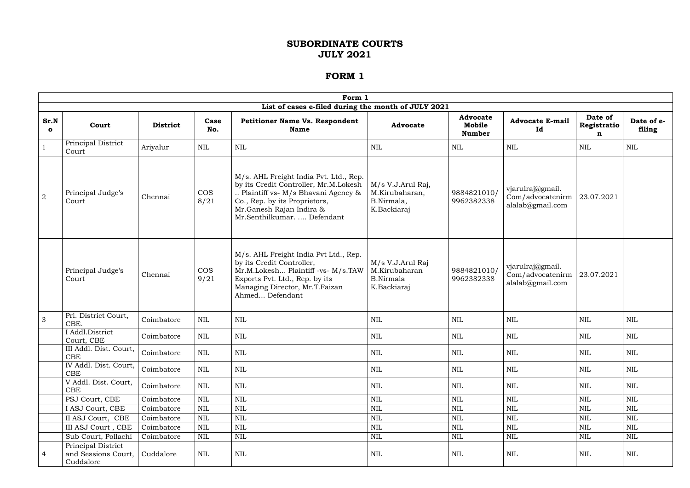|                      |                                                        |                 |                    | Form 1                                                                                                                                                                                                            |                                                                      |                                            |                                                          |                             |                      |
|----------------------|--------------------------------------------------------|-----------------|--------------------|-------------------------------------------------------------------------------------------------------------------------------------------------------------------------------------------------------------------|----------------------------------------------------------------------|--------------------------------------------|----------------------------------------------------------|-----------------------------|----------------------|
|                      |                                                        |                 |                    | List of cases e-filed during the month of JULY 2021                                                                                                                                                               |                                                                      |                                            |                                                          |                             |                      |
| Sr.N<br>$\mathbf{o}$ | Court                                                  | <b>District</b> | Case<br>No.        | <b>Petitioner Name Vs. Respondent</b><br><b>Name</b>                                                                                                                                                              | <b>Advocate</b>                                                      | <b>Advocate</b><br>Mobile<br><b>Number</b> | <b>Advocate E-mail</b><br>Id                             | Date of<br>Registratio<br>n | Date of e-<br>filing |
|                      | Principal District<br>Court                            | Ariyalur        | <b>NIL</b>         | <b>NIL</b>                                                                                                                                                                                                        | <b>NIL</b>                                                           | NIL                                        | NIL                                                      | NIL                         | <b>NIL</b>           |
| $\overline{2}$       | Principal Judge's<br>Court                             | Chennai         | <b>COS</b><br>8/21 | M/s. AHL Freight India Pvt. Ltd., Rep.<br>by its Credit Controller, Mr.M.Lokesh<br>Plaintiff vs- M/s Bhavani Agency &<br>Co., Rep. by its Proprietors,<br>Mr.Ganesh Rajan Indira &<br>Mr.Senthilkumar.  Defendant | M/s V.J.Arul Raj,<br>M.Kirubaharan,<br>B.Nirmala,<br>K.Backiaraj     | 9884821010/<br>9962382338                  | vjarulraj@gmail.<br>Com/advocatenirm<br>alalab@gmail.com | 23.07.2021                  |                      |
|                      | Principal Judge's<br>Court                             | Chennai         | <b>COS</b><br>9/21 | M/s. AHL Freight India Pvt Ltd., Rep.<br>by its Credit Controller,<br>Mr.M.Lokesh Plaintiff -vs- M/s.TAW<br>Exports Pvt. Ltd., Rep. by its<br>Managing Director, Mr.T.Faizan<br>Ahmed Defendant                   | M/s V.J.Arul Raj<br>M.Kirubaharan<br><b>B.Nirmala</b><br>K.Backiaraj | 9884821010/<br>9962382338                  | vjarulraj@gmail.<br>Com/advocatenirm<br>alalab@gmail.com | 23.07.2021                  |                      |
| 3                    | Prl. District Court,<br>CBE.                           | Coimbatore      | <b>NIL</b>         | <b>NIL</b>                                                                                                                                                                                                        | <b>NIL</b>                                                           | <b>NIL</b>                                 | <b>NIL</b>                                               | <b>NIL</b>                  | <b>NIL</b>           |
|                      | I Addl.District<br>Court, CBE                          | Coimbatore      | <b>NIL</b>         | <b>NIL</b>                                                                                                                                                                                                        | NIL                                                                  | NIL                                        | NIL                                                      | NIL                         | <b>NIL</b>           |
|                      | III Addl. Dist. Court,<br><b>CBE</b>                   | Coimbatore      | NIL                | NIL                                                                                                                                                                                                               | NIL                                                                  | NIL                                        | NIL                                                      | NIL                         | NIL                  |
|                      | IV Addl. Dist. Court,<br>CBE                           | Coimbatore      | NIL                | NIL                                                                                                                                                                                                               | NIL                                                                  | <b>NIL</b>                                 | NIL                                                      | NIL                         | NIL                  |
|                      | V Addl. Dist. Court,<br><b>CBE</b>                     | Coimbatore      | <b>NIL</b>         | <b>NIL</b>                                                                                                                                                                                                        | NIL                                                                  | NIL                                        | <b>NIL</b>                                               | NIL                         | <b>NIL</b>           |
|                      | PSJ Court, CBE                                         | Coimbatore      | <b>NIL</b>         | $\mbox{NIL}$                                                                                                                                                                                                      | $\mbox{NIL}$                                                         | <b>NIL</b>                                 | <b>NIL</b>                                               | <b>NIL</b>                  | <b>NIL</b>           |
|                      | I ASJ Court, CBE                                       | Coimbatore      | NIL                | <b>NIL</b>                                                                                                                                                                                                        | $\mbox{NIL}$                                                         | <b>NIL</b>                                 | <b>NIL</b>                                               | <b>NIL</b>                  | <b>NIL</b>           |
|                      | II ASJ Court, CBE                                      | Coimbatore      | <b>NIL</b>         | <b>NIL</b>                                                                                                                                                                                                        | $\mbox{NIL}$                                                         | <b>NIL</b>                                 | <b>NIL</b>                                               | $\mbox{NIL}$                | <b>NIL</b>           |
|                      | III ASJ Court, CBE                                     | Coimbatore      | <b>NIL</b>         | $\mbox{NIL}$                                                                                                                                                                                                      | $\mbox{NIL}$                                                         | <b>NIL</b>                                 | <b>NIL</b>                                               | $\mbox{NIL}$                | $\mbox{NIL}$         |
|                      | Sub Court, Pollachi                                    | Coimbatore      | <b>NIL</b>         | $\mbox{NIL}$                                                                                                                                                                                                      | $\mbox{NIL}$                                                         | <b>NIL</b>                                 | $\mbox{NIL}$                                             | NIL                         | $\mbox{NIL}$         |
| 4                    | Principal District<br>and Sessions Court,<br>Cuddalore | Cuddalore       | <b>NIL</b>         | $\rm NIL$                                                                                                                                                                                                         | $\mbox{NIL}$                                                         | $\rm NIL$                                  | NIL                                                      | NIL                         | NIL                  |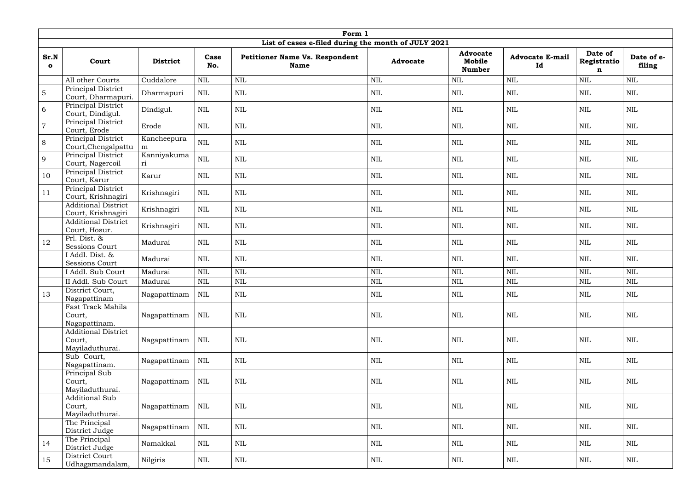|                      |                                                         |                   |              | Form 1                                               |                 |                                            |                              |                                       |                      |
|----------------------|---------------------------------------------------------|-------------------|--------------|------------------------------------------------------|-----------------|--------------------------------------------|------------------------------|---------------------------------------|----------------------|
|                      |                                                         |                   |              | List of cases e-filed during the month of JULY 2021  |                 |                                            |                              |                                       |                      |
| Sr.N<br>$\mathbf{o}$ | Court                                                   | <b>District</b>   | Case<br>No.  | <b>Petitioner Name Vs. Respondent</b><br><b>Name</b> | <b>Advocate</b> | <b>Advocate</b><br>Mobile<br><b>Number</b> | <b>Advocate E-mail</b><br>Id | Date of<br>Registratio<br>$\mathbf n$ | Date of e-<br>filing |
|                      | All other Courts                                        | Cuddalore         | $\mbox{NIL}$ | <b>NIL</b>                                           | <b>NIL</b>      | <b>NIL</b>                                 | <b>NIL</b>                   | $\mbox{NIL}$                          | NIL                  |
| $\overline{5}$       | Principal District<br>Court, Dharmapuri.                | Dharmapuri        | NIL          | <b>NIL</b>                                           | <b>NIL</b>      | <b>NIL</b>                                 | NIL                          | <b>NIL</b>                            | <b>NIL</b>           |
| 6                    | Principal District<br>Court, Dindigul.                  | Dindigul.         | <b>NIL</b>   | <b>NIL</b>                                           | <b>NIL</b>      | <b>NIL</b>                                 | <b>NIL</b>                   | <b>NIL</b>                            | $\mbox{NIL}$         |
| $\overline{7}$       | Principal District<br>Court, Erode                      | Erode             | <b>NIL</b>   | <b>NIL</b>                                           | <b>NIL</b>      | <b>NIL</b>                                 | <b>NIL</b>                   | <b>NIL</b>                            | <b>NIL</b>           |
| 8                    | Principal District<br>Court, Chengalpattu               | Kancheepura<br>m  | $\mbox{NIL}$ | <b>NIL</b>                                           | <b>NIL</b>      | $\text{NIL}$                               | <b>NIL</b>                   | $\mbox{NIL}$                          | $\mbox{NIL}$         |
| 9                    | Principal District<br>Court, Nagercoil                  | Kanniyakuma<br>ri | $\mbox{NIL}$ | <b>NIL</b>                                           | <b>NIL</b>      | <b>NIL</b>                                 | <b>NIL</b>                   | <b>NIL</b>                            | <b>NIL</b>           |
| 10                   | Principal District<br>Court, Karur                      | Karur             | $\mbox{NIL}$ | <b>NIL</b>                                           | $\mbox{NIL}$    | $\text{NIL}$                               | <b>NIL</b>                   | $\mbox{NIL}$                          | $\mbox{NIL}$         |
| 11                   | Principal District<br>Court, Krishnagiri                | Krishnagiri       | <b>NIL</b>   | $\mbox{NIL}$                                         | $\mbox{NIL}$    | $\mbox{NIL}$                               | $\mbox{NIL}$                 | NIL                                   | $\mbox{NIL}$         |
|                      | <b>Additional District</b><br>Court, Krishnagiri        | Krishnagiri       | NIL          | <b>NIL</b>                                           | <b>NIL</b>      | <b>NIL</b>                                 | NIL                          | <b>NIL</b>                            | <b>NIL</b>           |
|                      | <b>Additional District</b><br>Court, Hosur.             | Krishnagiri       | <b>NIL</b>   | <b>NIL</b>                                           | <b>NIL</b>      | <b>NIL</b>                                 | <b>NIL</b>                   | <b>NIL</b>                            | <b>NIL</b>           |
| 12                   | Prl. Dist. &<br><b>Sessions Court</b>                   | Madurai           | <b>NIL</b>   | <b>NIL</b>                                           | <b>NIL</b>      | $\mbox{NIL}$                               | <b>NIL</b>                   | $\mbox{NIL}$                          | $\mbox{NIL}$         |
|                      | I Addl. Dist. &<br>Sessions Court                       | Madurai           | <b>NIL</b>   | <b>NIL</b>                                           | <b>NIL</b>      | <b>NIL</b>                                 | <b>NIL</b>                   | $\mbox{NIL}$                          | $\mbox{NIL}$         |
|                      | I Addl. Sub Court                                       | Madurai           | <b>NIL</b>   | <b>NIL</b>                                           | <b>NIL</b>      | <b>NIL</b>                                 | <b>NIL</b>                   | <b>NIL</b>                            | <b>NIL</b>           |
|                      | II Addl. Sub Court                                      | Madurai           | $\mbox{NIL}$ | <b>NIL</b>                                           | <b>NIL</b>      | <b>NIL</b>                                 | <b>NIL</b>                   | <b>NIL</b>                            | $\mbox{NIL}$         |
| 13                   | District Court,<br>Nagapattinam                         | Nagapattinam      | NIL          | <b>NIL</b>                                           | <b>NIL</b>      | $\text{NIL}$                               | NIL                          | $\mbox{NIL}$                          | $\mbox{NIL}$         |
|                      | Fast Track Mahila<br>Court,<br>Nagapattinam.            | Nagapattinam      | NIL          | <b>NIL</b>                                           | <b>NIL</b>      | NIL                                        | <b>NIL</b>                   | $\mbox{NIL}$                          | NIL                  |
|                      | <b>Additional District</b><br>Court,<br>Mayiladuthurai. | Nagapattinam      | NIL          | <b>NIL</b>                                           | <b>NIL</b>      | <b>NIL</b>                                 | <b>NIL</b>                   | <b>NIL</b>                            | <b>NIL</b>           |
|                      | Sub Court,<br>Nagapattinam.                             | Nagapattinam      | NIL          | <b>NIL</b>                                           | <b>NIL</b>      | NIL                                        | <b>NIL</b>                   | NIL                                   | NIL                  |
|                      | Principal Sub<br>Court,<br>Mayiladuthurai.              | Nagapattinam      | NIL          | <b>NIL</b>                                           | <b>NIL</b>      | NIL                                        | <b>NIL</b>                   | NIL                                   | NIL                  |
|                      | Additional Sub<br>Court,<br>Mayiladuthurai.             | Nagapattinam      | NIL          | <b>NIL</b>                                           | <b>NIL</b>      | NIL                                        | <b>NIL</b>                   | NIL                                   | NIL                  |
|                      | The Principal<br>District Judge                         | Nagapattinam      | $\mbox{NIL}$ | $\mbox{NIL}$                                         | <b>NIL</b>      | $\mbox{NIL}$                               | NIL                          | NIL                                   | NIL                  |
| 14                   | The Principal<br>District Judge                         | Namakkal          | NIL          | $\mbox{NIL}$                                         | <b>NIL</b>      | $\mbox{NIL}$                               | <b>NIL</b>                   | NIL                                   | NIL                  |
| 15                   | District Court<br>Udhagamandalam,                       | Nilgiris          | <b>NIL</b>   | NIL                                                  | NIL             | NIL                                        | <b>NIL</b>                   | NIL                                   | NIL                  |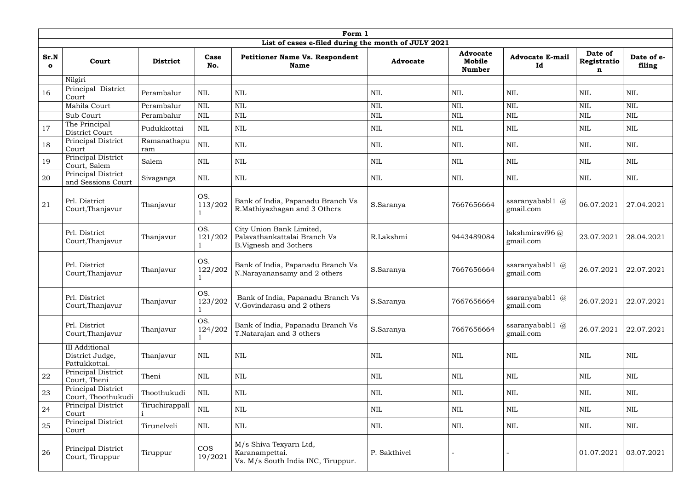|                      |                                                           |                    |                       | Form 1                                                                                                      |                 |                                            |                                            |                             |                      |
|----------------------|-----------------------------------------------------------|--------------------|-----------------------|-------------------------------------------------------------------------------------------------------------|-----------------|--------------------------------------------|--------------------------------------------|-----------------------------|----------------------|
| Sr.N<br>$\mathbf{o}$ | Court                                                     | <b>District</b>    | Case<br>No.           | List of cases e-filed during the month of JULY 2021<br><b>Petitioner Name Vs. Respondent</b><br><b>Name</b> | <b>Advocate</b> | <b>Advocate</b><br>Mobile<br><b>Number</b> | <b>Advocate E-mail</b><br>Id               | Date of<br>Registratio<br>n | Date of e-<br>filing |
|                      | Nilgiri                                                   |                    |                       |                                                                                                             |                 |                                            |                                            |                             |                      |
| 16                   | Principal District<br>Court                               | Perambalur         | $\mbox{NIL}$          | <b>NIL</b>                                                                                                  | NIL             | <b>NIL</b>                                 | <b>NIL</b>                                 | $\mbox{NIL}$                | <b>NIL</b>           |
|                      | Mahila Court                                              | Perambalur         | NIL                   | <b>NIL</b>                                                                                                  | <b>NIL</b>      | <b>NIL</b>                                 | <b>NIL</b>                                 | <b>NIL</b>                  | NIL                  |
|                      | Sub Court                                                 | Perambalur         | <b>NIL</b>            | <b>NIL</b>                                                                                                  | <b>NIL</b>      | <b>NIL</b>                                 | <b>NIL</b>                                 | <b>NIL</b>                  | <b>NIL</b>           |
| 17                   | The Principal<br>District Court                           | Pudukkottai        | <b>NIL</b>            | <b>NIL</b>                                                                                                  | NIL             | <b>NIL</b>                                 | <b>NIL</b>                                 | <b>NIL</b>                  | NIL                  |
| 18                   | Principal District<br>Court                               | Ramanathapu<br>ram | <b>NIL</b>            | <b>NIL</b>                                                                                                  | <b>NIL</b>      | $\mbox{NIL}$                               | <b>NIL</b>                                 | $\mbox{NIL}$                | <b>NIL</b>           |
| 19                   | Principal District<br>Court, Salem                        | Salem              | <b>NIL</b>            | <b>NIL</b>                                                                                                  | NIL             | <b>NIL</b>                                 | <b>NIL</b>                                 | $\mbox{NIL}$                | <b>NIL</b>           |
| 20                   | Principal District<br>and Sessions Court                  | Sivaganga          | <b>NIL</b>            | <b>NIL</b>                                                                                                  | NIL             | NIL                                        | <b>NIL</b>                                 | <b>NIL</b>                  | <b>NIL</b>           |
| 21                   | Prl. District<br>Court, Thanjavur                         | Thanjavur          | OS.<br>113/202        | Bank of India, Papanadu Branch Vs<br>R.Mathiyazhagan and 3 Others                                           | S.Saranya       | 7667656664                                 | ssaranyababl $1 \quad \omega$<br>gmail.com | 06.07.2021                  | 27.04.2021           |
|                      | Prl. District<br>Court, Thanjavur                         | Thanjavur          | OS.<br>121/202        | City Union Bank Limited,<br>Palavathankattalai Branch Vs<br><b>B.Vignesh and 3others</b>                    | R.Lakshmi       | 9443489084                                 | lakshmiravi96 $@$<br>gmail.com             | 23.07.2021                  | 28.04.2021           |
|                      | Prl. District<br>Court, Thanjavur                         | Thanjavur          | OS.<br>122/202        | Bank of India, Papanadu Branch Vs<br>N.Narayanansamy and 2 others                                           | S.Saranya       | 7667656664                                 | ssaranyababl $1 \quad \omega$<br>gmail.com | 26.07.2021                  | 22.07.2021           |
|                      | Prl. District<br>Court, Thanjavur                         | Thanjavur          | OS.<br>123/202        | Bank of India, Papanadu Branch Vs<br>V.Govindarasu and 2 others                                             | S.Saranya       | 7667656664                                 | ssaranyababl1 @<br>gmail.com               | 26.07.2021                  | 22.07.2021           |
|                      | Prl. District<br>Court, Thanjavur                         | Thanjavur          | OS.<br>124/202        | Bank of India, Papanadu Branch Vs<br>T.Natarajan and 3 others                                               | S.Saranya       | 7667656664                                 | ssaranyababl1 @<br>gmail.com               | 26.07.2021                  | 22.07.2021           |
|                      | <b>III</b> Additional<br>District Judge,<br>Pattukkottai. | Thanjavur          | <b>NIL</b>            | <b>NIL</b>                                                                                                  | <b>NIL</b>      | NIL                                        | <b>NIL</b>                                 | $\mbox{NIL}$                | $\mbox{NIL}$         |
| 22                   | Principal District<br>Court, Theni                        | Theni              | <b>NIL</b>            | <b>NIL</b>                                                                                                  | <b>NIL</b>      | NIL                                        | <b>NIL</b>                                 | $\mbox{NIL}$                | $\mbox{NIL}$         |
| 23                   | Principal District<br>Court, Thoothukudi                  | Thoothukudi        | <b>NIL</b>            | <b>NIL</b>                                                                                                  | <b>NIL</b>      | NIL                                        | <b>NIL</b>                                 | NIL                         | <b>NIL</b>           |
| 24                   | Principal District<br>Court                               | Tiruchirappall     | $\mbox{NIL}$          | <b>NIL</b>                                                                                                  | <b>NIL</b>      | $\mbox{NIL}$                               | <b>NIL</b>                                 | $\mbox{NIL}$                | $\mbox{NIL}$         |
| 25                   | Principal District<br>Court                               | Tirunelveli        | <b>NIL</b>            | <b>NIL</b>                                                                                                  | <b>NIL</b>      | NIL                                        | <b>NIL</b>                                 | <b>NIL</b>                  | <b>NIL</b>           |
| 26                   | Principal District<br>Court, Tiruppur                     | Tiruppur           | <b>COS</b><br>19/2021 | M/s Shiva Texyarn Ltd,<br>Karanampettai.<br>Vs. M/s South India INC, Tiruppur.                              | P. Sakthivel    |                                            |                                            | 01.07.2021                  | 03.07.2021           |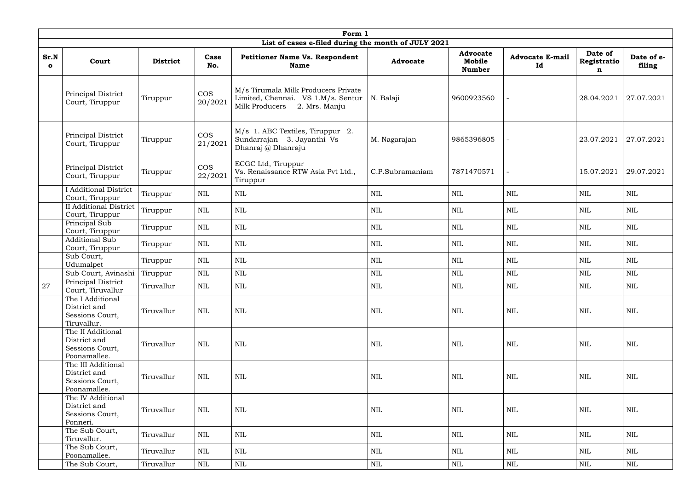|                      | Form 1                                                                                                                   |                 |                                                                      |                                                                                                              |                 |                                            |                              |                             |                      |
|----------------------|--------------------------------------------------------------------------------------------------------------------------|-----------------|----------------------------------------------------------------------|--------------------------------------------------------------------------------------------------------------|-----------------|--------------------------------------------|------------------------------|-----------------------------|----------------------|
|                      |                                                                                                                          |                 |                                                                      | List of cases e-filed during the month of JULY 2021                                                          |                 |                                            |                              |                             |                      |
| Sr.N<br>$\mathbf{o}$ | Court                                                                                                                    | <b>District</b> | Case<br>No.                                                          | <b>Petitioner Name Vs. Respondent</b><br><b>Name</b>                                                         | <b>Advocate</b> | <b>Advocate</b><br>Mobile<br><b>Number</b> | <b>Advocate E-mail</b><br>Id | Date of<br>Registratio<br>n | Date of e-<br>filing |
|                      | Principal District<br>Court, Tiruppur                                                                                    | Tiruppur        | <b>COS</b><br>20/2021                                                | M/s Tirumala Milk Producers Private<br>Limited, Chennai. VS 1.M/s. Sentur<br>Milk Producers<br>2. Mrs. Manju | N. Balaji       | 9600923560                                 |                              | 28.04.2021                  | 27.07.2021           |
|                      | Principal District<br>Court, Tiruppur                                                                                    | Tiruppur        | $\cos$<br>21/2021                                                    | M/s 1. ABC Textiles, Tiruppur 2.<br>Sundarrajan 3. Jayanthi Vs<br>Dhanraj @ Dhanraju                         | M. Nagarajan    | 9865396805                                 |                              | 23.07.2021                  | 27.07.2021           |
|                      | <b>COS</b><br>Principal District<br>Tiruppur<br>22/2021<br>Court, Tiruppur<br><b>I</b> Additional District<br><b>NIL</b> |                 | ECGC Ltd, Tiruppur<br>Vs. Renaissance RTW Asia Pvt Ltd.,<br>Tiruppur | C.P.Subramaniam                                                                                              | 7871470571      |                                            | 15.07.2021                   | 29.07.2021                  |                      |
|                      | Court, Tiruppur                                                                                                          | Tiruppur        |                                                                      | NIL                                                                                                          | <b>NIL</b>      | <b>NIL</b>                                 | <b>NIL</b>                   | <b>NIL</b>                  | <b>NIL</b>           |
|                      | <b>II</b> Additional District<br>Tiruppur<br><b>NIL</b><br>Court, Tiruppur                                               |                 |                                                                      | <b>NIL</b>                                                                                                   | <b>NIL</b>      | <b>NIL</b>                                 | <b>NIL</b>                   | <b>NIL</b>                  | $\mbox{NIL}$         |
|                      | Principal Sub<br>Court, Tiruppur                                                                                         | Tiruppur        | <b>NIL</b>                                                           | NIL                                                                                                          | <b>NIL</b>      | <b>NIL</b>                                 | NIL                          | <b>NIL</b>                  | <b>NIL</b>           |
|                      | <b>Additional Sub</b><br>$\mbox{NIL}$<br>Tiruppur<br>Court, Tiruppur                                                     |                 |                                                                      | $\mbox{NIL}$                                                                                                 | <b>NIL</b>      | $\mbox{NIL}$                               | NIL                          | <b>NIL</b>                  | $\mbox{NIL}$         |
|                      | Sub Court,<br>Udumalpet                                                                                                  | Tiruppur        | $\mbox{NIL}$                                                         | <b>NIL</b>                                                                                                   | <b>NIL</b>      | $\mbox{NIL}$                               | <b>NIL</b>                   | <b>NIL</b>                  | <b>NIL</b>           |
|                      | Sub Court, Avinashi                                                                                                      | Tiruppur        | $\mbox{NIL}$                                                         | <b>NIL</b>                                                                                                   | <b>NIL</b>      | <b>NIL</b>                                 | <b>NIL</b>                   | <b>NIL</b>                  | <b>NIL</b>           |
| 27                   | Principal District<br>Court, Tiruvallur                                                                                  | Tiruvallur      | $\mbox{NIL}$                                                         | $\mbox{NIL}$                                                                                                 | $\mbox{NIL}$    | $\mbox{NIL}$                               | $\mbox{NIL}$                 | $\mbox{NIL}$                | NIL                  |
|                      | The I Additional<br>District and<br>Sessions Court,<br>Tiruvallur.                                                       | Tiruvallur      | $\text{NIL}$                                                         | <b>NIL</b>                                                                                                   | NIL             | <b>NIL</b>                                 | NIL                          | NIL                         | NIL                  |
|                      | The II Additional<br>District and<br>Sessions Court,<br>Poonamallee.                                                     | Tiruvallur      | $\text{NIL}$                                                         | <b>NIL</b>                                                                                                   | NIL             | NIL                                        | NIL                          | NIL                         | NIL                  |
|                      | The III Additional<br>District and<br>Sessions Court,<br>Poonamallee.                                                    | Tiruvallur      | <b>NIL</b>                                                           | <b>NIL</b>                                                                                                   | NIL             | NIL                                        | NIL                          | NIL                         | NIL                  |
|                      | The IV Additional<br>District and<br>Sessions Court,<br>Ponneri.                                                         | Tiruvallur      | $\text{NIL}$                                                         | <b>NIL</b>                                                                                                   | <b>NIL</b>      | <b>NIL</b>                                 | NIL                          | NIL                         | NIL                  |
|                      | The Sub Court,<br>Tiruvallur.                                                                                            | Tiruvallur      | <b>NIL</b>                                                           | $\mbox{NIL}$                                                                                                 | NIL             | $\mbox{NIL}$                               | NIL                          | NIL                         | NIL                  |
|                      | The Sub Court,<br>Poonamallee.                                                                                           | Tiruvallur      | <b>NIL</b>                                                           | NIL                                                                                                          | <b>NIL</b>      | NIL                                        | NIL                          | NIL                         | NIL                  |
|                      | The Sub Court,                                                                                                           | Tiruvallur      | $\mbox{NIL}$                                                         | $\mbox{NIL}$                                                                                                 | $\mbox{NIL}$    | $\mbox{NIL}$                               | $\mbox{NIL}$                 | NIL                         | $\mbox{NIL}$         |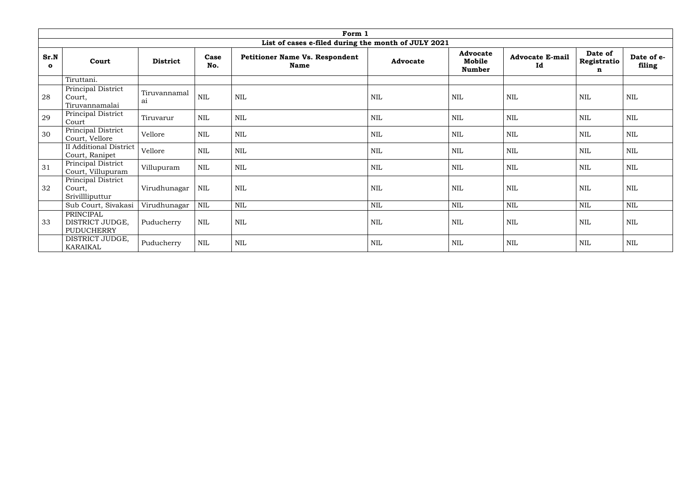|                      |                                                   |                    |              | Form 1                                               |                 |                                            |                              |                             |                      |
|----------------------|---------------------------------------------------|--------------------|--------------|------------------------------------------------------|-----------------|--------------------------------------------|------------------------------|-----------------------------|----------------------|
|                      |                                                   |                    |              | List of cases e-filed during the month of JULY 2021  |                 |                                            |                              |                             |                      |
| Sr.N<br>$\mathbf{o}$ | Court                                             | <b>District</b>    | Case<br>No.  | <b>Petitioner Name Vs. Respondent</b><br><b>Name</b> | <b>Advocate</b> | <b>Advocate</b><br>Mobile<br><b>Number</b> | <b>Advocate E-mail</b><br>Id | Date of<br>Registratio<br>n | Date of e-<br>filing |
|                      | Tiruttani.                                        |                    |              |                                                      |                 |                                            |                              |                             |                      |
| 28                   | Principal District<br>Court,<br>Tiruvannamalai    | Tiruvannamal<br>ai | <b>NIL</b>   | <b>NIL</b>                                           | NIL             | <b>NIL</b>                                 | <b>NIL</b>                   | <b>NIL</b>                  | NIL                  |
| 29                   | Principal District<br>Court                       | Tiruvarur          | <b>NIL</b>   | <b>NIL</b>                                           | <b>NIL</b>      | <b>NIL</b>                                 | <b>NIL</b>                   | <b>NIL</b>                  | <b>NIL</b>           |
| 30                   | Principal District<br>Court, Vellore              | Vellore            | <b>NIL</b>   | <b>NIL</b>                                           | <b>NIL</b>      | NIL                                        | <b>NIL</b>                   | <b>NIL</b>                  | <b>NIL</b>           |
|                      | <b>II</b> Additional District<br>Court, Ranipet   | Vellore            | $\mbox{NIL}$ | <b>NIL</b>                                           | <b>NIL</b>      | <b>NIL</b>                                 | <b>NIL</b>                   | <b>NIL</b>                  | <b>NIL</b>           |
| 31                   | Principal District<br>Court, Villupuram           | Villupuram         | <b>NIL</b>   | $\mbox{NIL}$                                         | <b>NIL</b>      | <b>NIL</b>                                 | <b>NIL</b>                   | <b>NIL</b>                  | <b>NIL</b>           |
| 32                   | Principal District<br>Court,<br>Srivillliputtur   | Virudhunagar       | <b>NIL</b>   | <b>NIL</b>                                           | <b>NIL</b>      | <b>NIL</b>                                 | <b>NIL</b>                   | <b>NIL</b>                  | <b>NIL</b>           |
|                      | Sub Court, Sivakasi                               | Virudhunagar       | NIL          | $\mbox{NIL}$                                         | <b>NIL</b>      | <b>NIL</b>                                 | <b>NIL</b>                   | <b>NIL</b>                  | <b>NIL</b>           |
| 33                   | PRINCIPAL<br>DISTRICT JUDGE,<br><b>PUDUCHERRY</b> | Puducherry         | <b>NIL</b>   | <b>NIL</b>                                           | NIL             | <b>NIL</b>                                 | NIL                          | <b>NIL</b>                  | <b>NIL</b>           |
|                      | DISTRICT JUDGE,<br>KARAIKAL                       | Puducherry         | $\mbox{NIL}$ | $\mbox{NIL}$                                         | <b>NIL</b>      | <b>NIL</b>                                 | <b>NIL</b>                   | $\mbox{NIL}$                | <b>NIL</b>           |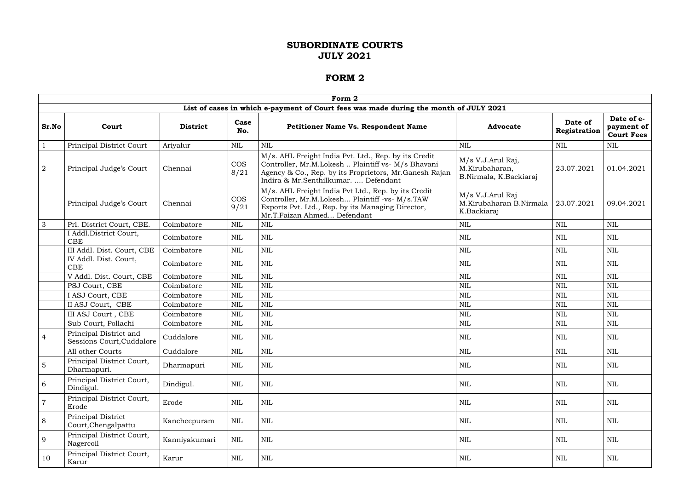|                |                                                     |                 |                    | Form 2                                                                                                                                                                                                        |                                                               |                         |                                               |
|----------------|-----------------------------------------------------|-----------------|--------------------|---------------------------------------------------------------------------------------------------------------------------------------------------------------------------------------------------------------|---------------------------------------------------------------|-------------------------|-----------------------------------------------|
|                |                                                     |                 |                    | List of cases in which e-payment of Court fees was made during the month of JULY 2021                                                                                                                         |                                                               |                         |                                               |
| Sr.No          | Court                                               | <b>District</b> | Case<br>No.        | <b>Petitioner Name Vs. Respondent Name</b>                                                                                                                                                                    | <b>Advocate</b>                                               | Date of<br>Registration | Date of e-<br>payment of<br><b>Court Fees</b> |
| $\mathbf{1}$   | <b>Principal District Court</b>                     | Ariyalur        | $\mbox{NIL}$       | <b>NIL</b>                                                                                                                                                                                                    | <b>NIL</b>                                                    | <b>NIL</b>              | <b>NIL</b>                                    |
| $\overline{2}$ | Principal Judge's Court                             | Chennai         | <b>COS</b><br>8/21 | M/s. AHL Freight India Pvt. Ltd., Rep. by its Credit<br>Controller, Mr.M.Lokesh  Plaintiff vs- M/s Bhavani<br>Agency & Co., Rep. by its Proprietors, Mr. Ganesh Rajan<br>Indira & Mr.Senthilkumar.  Defendant | M/s V.J.Arul Raj,<br>M.Kirubaharan,<br>B.Nirmala, K.Backiaraj | 23.07.2021              | 01.04.2021                                    |
|                | Principal Judge's Court                             | Chennai         | <b>COS</b><br>9/21 | M/s. AHL Freight India Pvt Ltd., Rep. by its Credit<br>Controller, Mr.M.Lokesh Plaintiff -vs- M/s.TAW<br>Exports Pvt. Ltd., Rep. by its Managing Director,<br>Mr.T.Faizan Ahmed Defendant                     | M/s V.J.Arul Raj<br>M.Kirubaharan B.Nirmala<br>K.Backiaraj    | 23.07.2021              | 09.04.2021                                    |
| $\mathbf{3}$   | Prl. District Court, CBE.                           | Coimbatore      | <b>NIL</b>         | NIL                                                                                                                                                                                                           | $\mbox{NIL}$                                                  | <b>NIL</b>              | <b>NIL</b>                                    |
|                | I Addl.District Court,<br>CBE                       | Coimbatore      | <b>NIL</b>         | <b>NIL</b>                                                                                                                                                                                                    | $\mbox{NIL}$                                                  | <b>NIL</b>              | <b>NIL</b>                                    |
|                | III Addl. Dist. Court, CBE                          | Coimbatore      | $\mbox{NIL}$       | <b>NIL</b>                                                                                                                                                                                                    | $\mbox{NIL}$                                                  | <b>NIL</b>              | <b>NIL</b>                                    |
|                | IV Addl. Dist. Court,<br><b>CBE</b>                 | Coimbatore      | <b>NIL</b>         | <b>NIL</b>                                                                                                                                                                                                    | $\mbox{NIL}$                                                  | <b>NIL</b>              | <b>NIL</b>                                    |
|                | V Addl. Dist. Court, CBE                            | Coimbatore      | $\mbox{NIL}$       | <b>NIL</b>                                                                                                                                                                                                    | $\mbox{NIL}$                                                  | <b>NIL</b>              | <b>NIL</b>                                    |
|                | PSJ Court, CBE                                      | Coimbatore      | NIL                | <b>NIL</b>                                                                                                                                                                                                    | $\mbox{NIL}$                                                  | <b>NIL</b>              | <b>NIL</b>                                    |
|                | I ASJ Court, CBE                                    | Coimbatore      | <b>NIL</b>         | <b>NIL</b>                                                                                                                                                                                                    | $\mbox{NIL}$                                                  | <b>NIL</b>              | <b>NIL</b>                                    |
|                | II ASJ Court, CBE                                   | Coimbatore      | NIL                | <b>NIL</b>                                                                                                                                                                                                    | $\mbox{NIL}$                                                  | <b>NIL</b>              | <b>NIL</b>                                    |
|                | III ASJ Court, CBE                                  | Coimbatore      | $\mbox{NIL}$       | <b>NIL</b>                                                                                                                                                                                                    | $\mbox{NIL}$                                                  | <b>NIL</b>              | <b>NIL</b>                                    |
|                | Sub Court, Pollachi                                 | Coimbatore      | <b>NIL</b>         | <b>NIL</b>                                                                                                                                                                                                    | <b>NIL</b>                                                    | <b>NIL</b>              | <b>NIL</b>                                    |
| $\overline{4}$ | Principal District and<br>Sessions Court, Cuddalore | Cuddalore       | NIL                | <b>NIL</b>                                                                                                                                                                                                    | <b>NIL</b>                                                    | NIL                     | NIL                                           |
|                | All other Courts                                    | Cuddalore       | <b>NIL</b>         | <b>NIL</b>                                                                                                                                                                                                    | $\mbox{NIL}$                                                  | <b>NIL</b>              | $\mbox{NIL}$                                  |
| $\overline{5}$ | Principal District Court,<br>Dharmapuri.            | Dharmapuri      | <b>NIL</b>         | <b>NIL</b>                                                                                                                                                                                                    | $\mbox{NIL}$                                                  | NIL                     | <b>NIL</b>                                    |
| 6              | Principal District Court,<br>Dindigul.              | Dindigul.       | $\mbox{NIL}$       | <b>NIL</b>                                                                                                                                                                                                    | $\mbox{NIL}$                                                  | NIL                     | $\mbox{NIL}$                                  |
| $\overline{7}$ | Principal District Court,<br>Erode                  | Erode           | NIL                | <b>NIL</b>                                                                                                                                                                                                    | $\mbox{NIL}$                                                  | NIL                     | <b>NIL</b>                                    |
| 8              | Principal District<br>Court, Chengalpattu           | Kancheepuram    | <b>NIL</b>         | <b>NIL</b>                                                                                                                                                                                                    | $\mbox{NIL}$                                                  | <b>NIL</b>              | $\mbox{NIL}$                                  |
| 9              | Principal District Court,<br>Nagercoil              | Kanniyakumari   | $\mbox{NIL}$       | <b>NIL</b>                                                                                                                                                                                                    | $\mbox{NIL}$                                                  | <b>NIL</b>              | NIL                                           |
| 10             | Principal District Court,<br>Karur                  | Karur           | NIL                | NIL                                                                                                                                                                                                           | $\mbox{NIL}$                                                  | NIL                     | $\rm NIL$                                     |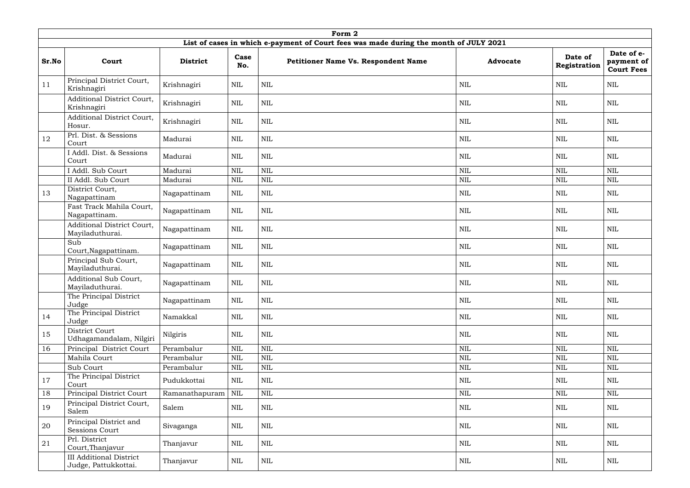|       |                                                        |                 |              | Form 2                                                                                |                 |                         |                                               |
|-------|--------------------------------------------------------|-----------------|--------------|---------------------------------------------------------------------------------------|-----------------|-------------------------|-----------------------------------------------|
|       |                                                        |                 |              | List of cases in which e-payment of Court fees was made during the month of JULY 2021 |                 |                         |                                               |
| Sr.No | Court                                                  | <b>District</b> | Case<br>No.  | Petitioner Name Vs. Respondent Name                                                   | <b>Advocate</b> | Date of<br>Registration | Date of e-<br>payment of<br><b>Court Fees</b> |
| 11    | Principal District Court,<br>Krishnagiri               | Krishnagiri     | <b>NIL</b>   | <b>NIL</b>                                                                            | <b>NIL</b>      | <b>NIL</b>              | <b>NIL</b>                                    |
|       | Additional District Court,<br>Krishnagiri              | Krishnagiri     | <b>NIL</b>   | <b>NIL</b>                                                                            | <b>NIL</b>      | <b>NIL</b>              | <b>NIL</b>                                    |
|       | <b>Additional District Court,</b><br>Hosur.            | Krishnagiri     | <b>NIL</b>   | <b>NIL</b>                                                                            | <b>NIL</b>      | NIL                     | <b>NIL</b>                                    |
| 12    | Prl. Dist. & Sessions<br>Court                         | Madurai         | <b>NIL</b>   | <b>NIL</b>                                                                            | <b>NIL</b>      | NIL                     | <b>NIL</b>                                    |
|       | I Addl. Dist. & Sessions<br>Court                      | Madurai         | <b>NIL</b>   | <b>NIL</b>                                                                            | <b>NIL</b>      | NIL                     | <b>NIL</b>                                    |
|       | I Addl. Sub Court                                      | Madurai         | $\mbox{NIL}$ | <b>NIL</b>                                                                            | <b>NIL</b>      | <b>NIL</b>              | <b>NIL</b>                                    |
|       | II Addl. Sub Court                                     | Madurai         | $\mbox{NIL}$ | <b>NIL</b>                                                                            | $\mbox{NIL}$    | <b>NIL</b>              | $\mbox{NIL}$                                  |
| 13    | District Court,<br>Nagapattinam                        | Nagapattinam    | <b>NIL</b>   | <b>NIL</b>                                                                            | NIL             | NIL                     | <b>NIL</b>                                    |
|       | Fast Track Mahila Court,<br>Nagapattinam.              | Nagapattinam    | <b>NIL</b>   | <b>NIL</b>                                                                            | NIL             | NIL                     | NIL                                           |
|       | Additional District Court,<br>Mayiladuthurai.          | Nagapattinam    | <b>NIL</b>   | <b>NIL</b>                                                                            | NIL             | NIL                     | <b>NIL</b>                                    |
|       | Sub<br>Court, Nagapattinam.                            | Nagapattinam    | $\mbox{NIL}$ | <b>NIL</b>                                                                            | <b>NIL</b>      | NIL                     | <b>NIL</b>                                    |
|       | Principal Sub Court,<br>Mayiladuthurai.                | Nagapattinam    | <b>NIL</b>   | <b>NIL</b>                                                                            | <b>NIL</b>      | <b>NIL</b>              | <b>NIL</b>                                    |
|       | Additional Sub Court,<br>Mayiladuthurai.               | Nagapattinam    | $\mbox{NIL}$ | <b>NIL</b>                                                                            | <b>NIL</b>      | NIL                     | $\mbox{NIL}$                                  |
|       | The Principal District<br>Judge                        | Nagapattinam    | <b>NIL</b>   | <b>NIL</b>                                                                            | $\mbox{NIL}$    | <b>NIL</b>              | <b>NIL</b>                                    |
| 14    | The Principal District<br>Judge                        | Namakkal        | NIL          | $\mbox{NIL}$                                                                          | $\mbox{NIL}$    | NIL                     | NIL                                           |
| 15    | District Court<br>Udhagamandalam, Nilgiri              | Nilgiris        | $\mbox{NIL}$ | $\mbox{NIL}$                                                                          | $\mbox{NIL}$    | NIL                     | <b>NIL</b>                                    |
| 16    | Principal District Court                               | Perambalur      | $\mbox{NIL}$ | $\text{NIL}$                                                                          | $\mbox{NIL}$    | NIL                     | $\mbox{NIL}$                                  |
|       | Mahila Court                                           | Perambalur      | <b>NIL</b>   | <b>NIL</b>                                                                            | $\mbox{NIL}$    | NIL                     | $\mbox{NIL}$                                  |
|       | Sub Court                                              | Perambalur      | $\mbox{NIL}$ | $\text{NIL}$                                                                          | $\mbox{NIL}$    | $\mbox{NIL}$            | $\mbox{NIL}$                                  |
| 17    | The Principal District<br>Court                        | Pudukkottai     | <b>NIL</b>   | <b>NIL</b>                                                                            | <b>NIL</b>      | NIL                     | <b>NIL</b>                                    |
| 18    | Principal District Court                               | Ramanathapuram  | <b>NIL</b>   | <b>NIL</b>                                                                            | $\text{NIL}$    | NIL                     | $\mbox{NIL}$                                  |
| 19    | Principal District Court,<br>Salem                     | Salem           | <b>NIL</b>   | $\mbox{NIL}$                                                                          | NIL             | <b>NIL</b>              | NIL                                           |
| 20    | Principal District and<br>Sessions Court               | Sivaganga       | <b>NIL</b>   | <b>NIL</b>                                                                            | $\mbox{NIL}$    | NIL                     | $\mbox{NIL}$                                  |
| 21    | Prl. District<br>Court, Thanjavur                      | Thanjavur       | <b>NIL</b>   | <b>NIL</b>                                                                            | NIL             | <b>NIL</b>              | <b>NIL</b>                                    |
|       | <b>III Additional District</b><br>Judge, Pattukkottai. | Thanjavur       | NIL          | NIL                                                                                   | NIL             | NIL                     | NIL                                           |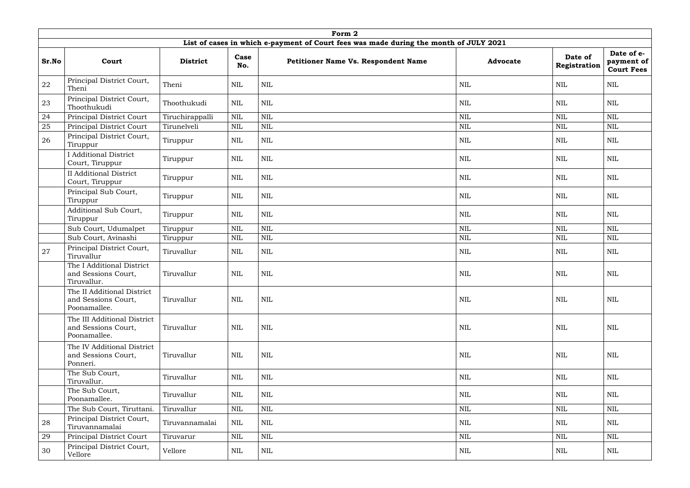|       |                                                                    |                 |              | Form 2                                                                                |                 |                         |                                               |
|-------|--------------------------------------------------------------------|-----------------|--------------|---------------------------------------------------------------------------------------|-----------------|-------------------------|-----------------------------------------------|
|       |                                                                    |                 |              | List of cases in which e-payment of Court fees was made during the month of JULY 2021 |                 |                         |                                               |
| Sr.No | Court                                                              | <b>District</b> | Case<br>No.  | Petitioner Name Vs. Respondent Name                                                   | <b>Advocate</b> | Date of<br>Registration | Date of e-<br>payment of<br><b>Court Fees</b> |
| 22    | Principal District Court,<br>Theni                                 | Theni           | <b>NIL</b>   | <b>NIL</b>                                                                            | $\text{NIL}$    | <b>NIL</b>              | <b>NIL</b>                                    |
| 23    | Principal District Court,<br>Thoothukudi                           | Thoothukudi     | <b>NIL</b>   | <b>NIL</b>                                                                            | <b>NIL</b>      | <b>NIL</b>              | <b>NIL</b>                                    |
| 24    | Principal District Court                                           | Tiruchirappalli | $\mbox{NIL}$ | <b>NIL</b>                                                                            | $\mbox{NIL}$    | <b>NIL</b>              | $\mbox{NIL}$                                  |
| 25    | Principal District Court                                           | Tirunelveli     | <b>NIL</b>   | <b>NIL</b>                                                                            | $\mbox{NIL}$    | <b>NIL</b>              | $\mbox{NIL}$                                  |
| 26    | Principal District Court,<br>Tiruppur                              | Tiruppur        | NIL          | <b>NIL</b>                                                                            | NIL             | NIL                     | <b>NIL</b>                                    |
|       | <b>I</b> Additional District<br>Court, Tiruppur                    | Tiruppur        | <b>NIL</b>   | <b>NIL</b>                                                                            | <b>NIL</b>      | <b>NIL</b>              | <b>NIL</b>                                    |
|       | <b>II</b> Additional District<br>Court, Tiruppur                   | Tiruppur        | <b>NIL</b>   | <b>NIL</b>                                                                            | $\mbox{NIL}$    | <b>NIL</b>              | <b>NIL</b>                                    |
|       | Principal Sub Court,<br>Tiruppur                                   | Tiruppur        | <b>NIL</b>   | $\mbox{NIL}$                                                                          | $\mbox{NIL}$    | <b>NIL</b>              | $\mbox{NIL}$                                  |
|       | Additional Sub Court,<br>Tiruppur                                  | Tiruppur        | <b>NIL</b>   | $\mbox{NIL}$                                                                          | $\mbox{NIL}$    | <b>NIL</b>              | <b>NIL</b>                                    |
|       | Sub Court, Udumalpet                                               | Tiruppur        | NIL          | <b>NIL</b>                                                                            | <b>NIL</b>      | <b>NIL</b>              | <b>NIL</b>                                    |
|       | Sub Court, Avinashi                                                | Tiruppur        | $\mbox{NIL}$ | <b>NIL</b>                                                                            | $\mbox{NIL}$    | NIL                     | $\mbox{NIL}$                                  |
| 27    | Principal District Court,<br>Tiruvallur                            | Tiruvallur      | NIL          | <b>NIL</b>                                                                            | NIL             | NIL                     | <b>NIL</b>                                    |
|       | The I Additional District<br>and Sessions Court,<br>Tiruvallur.    | Tiruvallur      | <b>NIL</b>   | <b>NIL</b>                                                                            | <b>NIL</b>      | <b>NIL</b>              | <b>NIL</b>                                    |
|       | The II Additional District<br>and Sessions Court,<br>Poonamallee.  | Tiruvallur      | <b>NIL</b>   | <b>NIL</b>                                                                            | NIL             | NIL                     | $\mbox{NIL}$                                  |
|       | The III Additional District<br>and Sessions Court,<br>Poonamallee. | Tiruvallur      | <b>NIL</b>   | <b>NIL</b>                                                                            | $\mbox{NIL}$    | <b>NIL</b>              | $\mbox{NIL}$                                  |
|       | The IV Additional District<br>and Sessions Court,<br>Ponneri.      | Tiruvallur      | <b>NIL</b>   | <b>NIL</b>                                                                            | NIL             | NIL                     | $\mbox{NIL}$                                  |
|       | The Sub Court,<br>Tiruvallur.                                      | Tiruvallur      | <b>NIL</b>   | <b>NIL</b>                                                                            | <b>NIL</b>      | NIL                     | <b>NIL</b>                                    |
|       | The Sub Court,<br>Poonamallee.                                     | Tiruvallur      | <b>NIL</b>   | <b>NIL</b>                                                                            | <b>NIL</b>      | <b>NIL</b>              | <b>NIL</b>                                    |
|       | The Sub Court, Tiruttani.                                          | Tiruvallur      | $\mbox{NIL}$ | <b>NIL</b>                                                                            | $\mbox{NIL}$    | NIL                     | <b>NIL</b>                                    |
| 28    | Principal District Court,<br>Tiruvannamalai                        | Tiruvannamalai  | NIL          | <b>NIL</b>                                                                            | NIL             | NIL                     | NIL                                           |
| 29    | Principal District Court                                           | Tiruvarur       | $\mbox{NIL}$ | <b>NIL</b>                                                                            | $\mbox{NIL}$    | $\mbox{NIL}$            | $\mbox{NIL}$                                  |
| 30    | Principal District Court,<br>Vellore                               | Vellore         | <b>NIL</b>   | <b>NIL</b>                                                                            | $\mbox{NIL}$    | NIL                     | <b>NIL</b>                                    |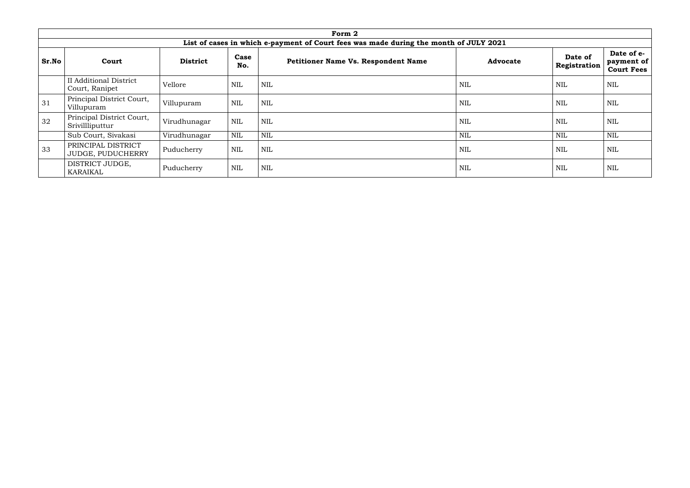|       |                                                 |                 |              | Form 2                                                                                |                 |                         |                                               |
|-------|-------------------------------------------------|-----------------|--------------|---------------------------------------------------------------------------------------|-----------------|-------------------------|-----------------------------------------------|
|       |                                                 |                 |              | List of cases in which e-payment of Court fees was made during the month of JULY 2021 |                 |                         |                                               |
| Sr.No | Court                                           | <b>District</b> | Case<br>No.  | <b>Petitioner Name Vs. Respondent Name</b>                                            | <b>Advocate</b> | Date of<br>Registration | Date of e-<br>payment of<br><b>Court Fees</b> |
|       | <b>II Additional District</b><br>Court, Ranipet | Vellore         | <b>NIL</b>   | <b>NIL</b>                                                                            | NIL             | NIL                     | <b>NIL</b>                                    |
| 31    | Principal District Court,<br>Villupuram         | ∣ Villupuram    | NIL          | <b>NIL</b>                                                                            | NIL             | <b>NIL</b>              | $\mbox{NIL}$                                  |
| 32    | Principal District Court,<br>Srivillliputtur    | Virudhunagar    | <b>NIL</b>   | <b>NIL</b>                                                                            | NIL             | NIL                     | <b>NIL</b>                                    |
|       | Sub Court, Sivakasi                             | Virudhunagar    | $\mbox{NIL}$ | <b>NIL</b>                                                                            | <b>NIL</b>      | NIL                     | <b>NIL</b>                                    |
| 33    | PRINCIPAL DISTRICT<br>JUDGE, PUDUCHERRY         | Puducherry      | NIL          | <b>NIL</b>                                                                            | NIL             | <b>NIL</b>              | <b>NIL</b>                                    |
|       | DISTRICT JUDGE,<br>KARAIKAL                     | Puducherry      | NIL          | <b>NIL</b>                                                                            | NIL             | <b>NIL</b>              | <b>NIL</b>                                    |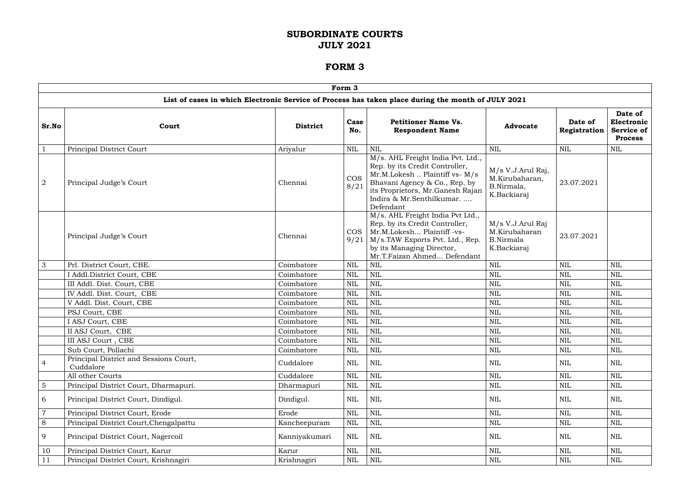|                  |                                                     |                 | Form 3             |                                                                                                                                                                                                                     |                                                                      |                         |                                                              |
|------------------|-----------------------------------------------------|-----------------|--------------------|---------------------------------------------------------------------------------------------------------------------------------------------------------------------------------------------------------------------|----------------------------------------------------------------------|-------------------------|--------------------------------------------------------------|
|                  |                                                     |                 |                    | List of cases in which Electronic Service of Process has taken place during the month of JULY 2021                                                                                                                  |                                                                      |                         |                                                              |
| Sr.No            | Court                                               | <b>District</b> | Case<br>No.        | <b>Petitioner Name Vs.</b><br><b>Respondent Name</b>                                                                                                                                                                | <b>Advocate</b>                                                      | Date of<br>Registration | Date of<br>Electronic<br><b>Service of</b><br><b>Process</b> |
| $\mathbf 1$      | Principal District Court                            | Ariyalur        | <b>NIL</b>         | NIL                                                                                                                                                                                                                 | <b>NIL</b>                                                           | <b>NIL</b>              | <b>NIL</b>                                                   |
| $\boldsymbol{2}$ | Principal Judge's Court                             | Chennai         | <b>COS</b><br>8/21 | M/s. AHL Freight India Pvt. Ltd.,<br>Rep. by its Credit Controller,<br>Mr.M.Lokesh  Plaintiff vs- M/s<br>Bhavani Agency & Co., Rep. by<br>its Proprietors, Mr.Ganesh Rajan<br>Indira & Mr.Senthilkumar<br>Defendant | M/s V.J.Arul Raj,<br>M.Kirubaharan,<br>B.Nirmala,<br>K.Backiaraj     | 23.07.2021              |                                                              |
|                  | Principal Judge's Court                             | Chennai         | <b>COS</b><br>9/21 | M/s. AHL Freight India Pvt Ltd.,<br>Rep. by its Credit Controller,<br>Mr.M.Lokesh Plaintiff -vs-<br>M/s.TAW Exports Pvt. Ltd., Rep.<br>by its Managing Director,<br>Mr.T.Faizan Ahmed Defendant                     | M/s V.J.Arul Raj<br>M.Kirubaharan<br><b>B.Nirmala</b><br>K.Backiaraj | 23.07.2021              |                                                              |
| 3                | Prl. District Court, CBE.                           | Coimbatore      | <b>NIL</b>         | $\text{NIL}$                                                                                                                                                                                                        | <b>NIL</b>                                                           | <b>NIL</b>              | <b>NIL</b>                                                   |
|                  | I Addl. District Court, CBE                         | Coimbatore      | <b>NIL</b>         | <b>NIL</b>                                                                                                                                                                                                          | <b>NIL</b>                                                           | <b>NIL</b>              | <b>NIL</b>                                                   |
|                  | III Addl. Dist. Court, CBE                          | Coimbatore      | <b>NIL</b>         | <b>NIL</b>                                                                                                                                                                                                          | <b>NIL</b>                                                           | <b>NIL</b>              | <b>NIL</b>                                                   |
|                  | IV Addl. Dist. Court, CBE                           | Coimbatore      | <b>NIL</b>         | <b>NIL</b>                                                                                                                                                                                                          | <b>NIL</b>                                                           | NIL                     | <b>NIL</b>                                                   |
|                  | V Addl. Dist. Court, CBE                            | Coimbatore      | <b>NIL</b>         | $\text{NIL}$                                                                                                                                                                                                        | <b>NIL</b>                                                           | NIL                     | <b>NIL</b>                                                   |
|                  | PSJ Court, CBE                                      | Coimbatore      | <b>NIL</b>         | <b>NIL</b>                                                                                                                                                                                                          | <b>NIL</b>                                                           | NIL                     | NIL                                                          |
|                  | I ASJ Court, CBE                                    | Coimbatore      | <b>NIL</b>         | <b>NIL</b>                                                                                                                                                                                                          | <b>NIL</b>                                                           | NIL                     | <b>NIL</b>                                                   |
|                  | II ASJ Court, CBE                                   | Coimbatore      | <b>NIL</b>         | <b>NIL</b>                                                                                                                                                                                                          | <b>NIL</b>                                                           | <b>NIL</b>              | NIL                                                          |
|                  | III ASJ Court, CBE                                  | Coimbatore      | $\mbox{NIL}$       | $\mbox{NIL}$                                                                                                                                                                                                        | $\mbox{NIL}$                                                         | $\mbox{NIL}$            | $\mbox{NIL}$                                                 |
|                  | Sub Court, Pollachi                                 | Coimbatore      | <b>NIL</b>         | $\text{NIL}$                                                                                                                                                                                                        | <b>NIL</b>                                                           | <b>NIL</b>              | <b>NIL</b>                                                   |
| 4                | Principal District and Sessions Court,<br>Cuddalore | Cuddalore       | NIL                | <b>NIL</b>                                                                                                                                                                                                          | NIL                                                                  | NIL                     | <b>NIL</b>                                                   |
|                  | All other Courts                                    | Cuddalore       | <b>NIL</b>         | $\mbox{NIL}$                                                                                                                                                                                                        | <b>NIL</b>                                                           | <b>NIL</b>              | <b>NIL</b>                                                   |
| $\mathbf 5$      | Principal District Court, Dharmapuri.               | Dharmapuri      | <b>NIL</b>         | $\mbox{NIL}$                                                                                                                                                                                                        | <b>NIL</b>                                                           | NIL                     | <b>NIL</b>                                                   |
| 6                | Principal District Court, Dindigul.                 | Dindigul.       | <b>NIL</b>         | NIL                                                                                                                                                                                                                 | NIL                                                                  | NIL                     | <b>NIL</b>                                                   |
| $\overline{7}$   | Principal District Court, Erode                     | Erode           | <b>NIL</b>         | $\mbox{NIL}$                                                                                                                                                                                                        | <b>NIL</b>                                                           | <b>NIL</b>              | <b>NIL</b>                                                   |
| $8\,$            | Principal District Court, Chengalpattu              | Kancheepuram    | <b>NIL</b>         | $\mbox{NIL}$                                                                                                                                                                                                        | <b>NIL</b>                                                           | NIL                     | <b>NIL</b>                                                   |
| 9                | Principal District Court, Nagercoil                 | Kanniyakumari   | <b>NIL</b>         | <b>NIL</b>                                                                                                                                                                                                          | <b>NIL</b>                                                           | NIL                     | <b>NIL</b>                                                   |
| 10               | Principal District Court, Karur                     | Karur           | <b>NIL</b>         | $\mbox{NIL}$                                                                                                                                                                                                        | <b>NIL</b>                                                           | <b>NIL</b>              | <b>NIL</b>                                                   |
| 11               | Principal District Court, Krishnagiri               | Krishnagiri     | <b>NIL</b>         | NIL                                                                                                                                                                                                                 | NIL                                                                  | NIL                     | NIL                                                          |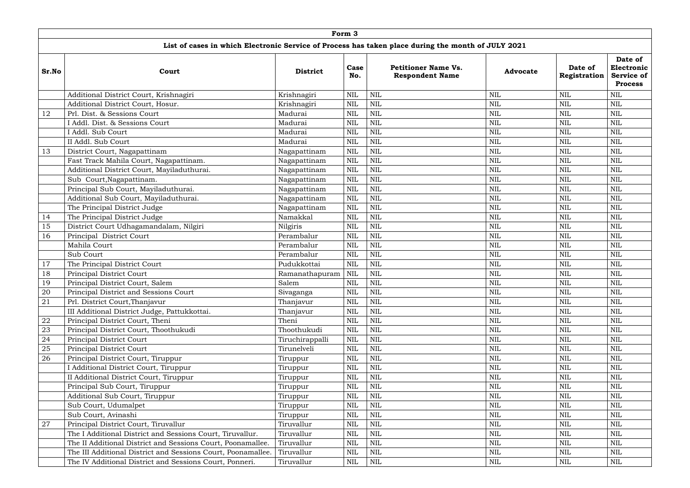|       |                                                              |                 | Form 3       |                                                                                                    |                 |                         |                                                              |
|-------|--------------------------------------------------------------|-----------------|--------------|----------------------------------------------------------------------------------------------------|-----------------|-------------------------|--------------------------------------------------------------|
|       |                                                              |                 |              | List of cases in which Electronic Service of Process has taken place during the month of JULY 2021 |                 |                         |                                                              |
| Sr.No | Court                                                        | <b>District</b> | Case<br>No.  | <b>Petitioner Name Vs.</b><br><b>Respondent Name</b>                                               | <b>Advocate</b> | Date of<br>Registration | Date of<br>Electronic<br><b>Service of</b><br><b>Process</b> |
|       | Additional District Court, Krishnagiri                       | Krishnagiri     | <b>NIL</b>   | <b>NIL</b>                                                                                         | <b>NIL</b>      | <b>NIL</b>              | <b>NIL</b>                                                   |
|       | Additional District Court, Hosur.                            | Krishnagiri     | <b>NIL</b>   | <b>NIL</b>                                                                                         | <b>NIL</b>      | <b>NIL</b>              | <b>NIL</b>                                                   |
| 12    | Prl. Dist. & Sessions Court                                  | Madurai         | <b>NIL</b>   | $\text{NIL}$                                                                                       | <b>NIL</b>      | NIL                     | <b>NIL</b>                                                   |
|       | I Addl. Dist. & Sessions Court                               | Madurai         | <b>NIL</b>   | $\text{NIL}$                                                                                       | <b>NIL</b>      | <b>NIL</b>              | <b>NIL</b>                                                   |
|       | I Addl. Sub Court                                            | Madurai         | <b>NIL</b>   | <b>NIL</b>                                                                                         | <b>NIL</b>      | <b>NIL</b>              | <b>NIL</b>                                                   |
|       | II Addl. Sub Court                                           | Madurai         | <b>NIL</b>   | $\text{NIL}$                                                                                       | <b>NIL</b>      | <b>NIL</b>              | <b>NIL</b>                                                   |
| 13    | District Court, Nagapattinam                                 | Nagapattinam    | <b>NIL</b>   | $\text{NIL}$                                                                                       | <b>NIL</b>      | <b>NIL</b>              | <b>NIL</b>                                                   |
|       | Fast Track Mahila Court, Nagapattinam.                       | Nagapattinam    | <b>NIL</b>   | $\text{NIL}$                                                                                       | <b>NIL</b>      | <b>NIL</b>              | <b>NIL</b>                                                   |
|       | Additional District Court, Mayiladuthurai.                   | Nagapattinam    | <b>NIL</b>   | $\text{NIL}$                                                                                       | <b>NIL</b>      | <b>NIL</b>              | <b>NIL</b>                                                   |
|       | Sub Court, Nagapattinam.                                     | Nagapattinam    | <b>NIL</b>   | <b>NIL</b>                                                                                         | <b>NIL</b>      | NIL                     | <b>NIL</b>                                                   |
|       | Principal Sub Court, Mayiladuthurai.                         | Nagapattinam    | <b>NIL</b>   | <b>NIL</b>                                                                                         | $\mbox{NIL}$    | <b>NIL</b>              | <b>NIL</b>                                                   |
|       | Additional Sub Court, Mayiladuthurai.                        | Nagapattinam    | <b>NIL</b>   | <b>NIL</b>                                                                                         | <b>NIL</b>      | <b>NIL</b>              | <b>NIL</b>                                                   |
|       | The Principal District Judge                                 | Nagapattinam    | <b>NIL</b>   | <b>NIL</b>                                                                                         | <b>NIL</b>      | <b>NIL</b>              | <b>NIL</b>                                                   |
| 14    | The Principal District Judge                                 | Namakkal        | <b>NIL</b>   | $\text{NIL}$                                                                                       | <b>NIL</b>      | <b>NIL</b>              | <b>NIL</b>                                                   |
| 15    | District Court Udhagamandalam, Nilgiri                       | Nilgiris        | <b>NIL</b>   | <b>NIL</b>                                                                                         | <b>NIL</b>      | <b>NIL</b>              | <b>NIL</b>                                                   |
| 16    | Principal District Court                                     | Perambalur      | <b>NIL</b>   | $\text{NIL}$                                                                                       | <b>NIL</b>      | <b>NIL</b>              | <b>NIL</b>                                                   |
|       | Mahila Court                                                 | Perambalur      | <b>NIL</b>   | NIL                                                                                                | <b>NIL</b>      | NIL                     | <b>NIL</b>                                                   |
|       | Sub Court                                                    | Perambalur      | <b>NIL</b>   | $\text{NIL}$                                                                                       | $\mbox{NIL}$    | <b>NIL</b>              | <b>NIL</b>                                                   |
| 17    | The Principal District Court                                 | Pudukkottai     | <b>NIL</b>   | $\text{NIL}$                                                                                       | <b>NIL</b>      | <b>NIL</b>              | <b>NIL</b>                                                   |
| 18    | Principal District Court                                     | Ramanathapuram  | <b>NIL</b>   | $\text{NIL}$                                                                                       | <b>NIL</b>      | NIL                     | <b>NIL</b>                                                   |
| 19    | Principal District Court, Salem                              | Salem           | <b>NIL</b>   | $\text{NIL}$                                                                                       | <b>NIL</b>      | <b>NIL</b>              | <b>NIL</b>                                                   |
| 20    | Principal District and Sessions Court                        | Sivaganga       | $\mbox{NIL}$ | $\mbox{NIL}$                                                                                       | <b>NIL</b>      | $\mbox{NIL}$            | <b>NIL</b>                                                   |
| 21    | Prl. District Court, Thanjavur                               | Thanjavur       | <b>NIL</b>   | $\text{NIL}$                                                                                       | <b>NIL</b>      | <b>NIL</b>              | <b>NIL</b>                                                   |
|       | III Additional District Judge, Pattukkottai.                 | Thanjavur       | <b>NIL</b>   | $\mbox{NIL}$                                                                                       | $\mbox{NIL}$    | <b>NIL</b>              | <b>NIL</b>                                                   |
| 22    | Principal District Court, Theni                              | Theni           | <b>NIL</b>   | $\mbox{NIL}$                                                                                       | $\mbox{NIL}$    | <b>NIL</b>              | <b>NIL</b>                                                   |
| 23    | Principal District Court, Thoothukudi                        | Thoothukudi     | <b>NIL</b>   | $\mbox{NIL}$                                                                                       | $\mbox{NIL}$    | <b>NIL</b>              | <b>NIL</b>                                                   |
| 24    | Principal District Court                                     | Tiruchirappalli | <b>NIL</b>   | $\mbox{NIL}$                                                                                       | $\mbox{NIL}$    | NIL                     | <b>NIL</b>                                                   |
| 25    | <b>Principal District Court</b>                              | Tirunelveli     | <b>NIL</b>   | $\mbox{NIL}$                                                                                       | $\mbox{NIL}$    | <b>NIL</b>              | <b>NIL</b>                                                   |
| 26    | Principal District Court, Tiruppur                           | Tiruppur        | <b>NIL</b>   | $\mbox{NIL}$                                                                                       | $\mbox{NIL}$    | NIL                     | <b>NIL</b>                                                   |
|       | I Additional District Court, Tiruppur                        | Tiruppur        | <b>NIL</b>   | $\text{NIL}$                                                                                       | $\mbox{NIL}$    | NIL                     | <b>NIL</b>                                                   |
|       | II Additional District Court, Tiruppur                       | Tiruppur        | <b>NIL</b>   | $\mbox{NIL}$                                                                                       | $\mbox{NIL}$    | <b>NIL</b>              | <b>NIL</b>                                                   |
|       | Principal Sub Court, Tiruppur                                | Tiruppur        | NIL          | $\mbox{NIL}$                                                                                       | $\mbox{NIL}$    | NIL                     | <b>NIL</b>                                                   |
|       | Additional Sub Court, Tiruppur                               | Tiruppur        | <b>NIL</b>   | $\text{NIL}$                                                                                       | $\mbox{NIL}$    | <b>NIL</b>              | <b>NIL</b>                                                   |
|       | Sub Court, Udumalpet                                         | Tiruppur        | <b>NIL</b>   | $\mbox{NIL}$                                                                                       | $\mbox{NIL}$    | NIL                     | <b>NIL</b>                                                   |
|       | Sub Court, Avinashi                                          | Tiruppur        | NIL          | $\mbox{NIL}$                                                                                       | $\mbox{NIL}$    | NIL                     | <b>NIL</b>                                                   |
| 27    | Principal District Court, Tiruvallur                         | Tiruvallur      | <b>NIL</b>   | $\mbox{NIL}$                                                                                       | $\mbox{NIL}$    | <b>NIL</b>              | <b>NIL</b>                                                   |
|       | The I Additional District and Sessions Court, Tiruvallur.    | Tiruvallur      | <b>NIL</b>   | $\mbox{NIL}$                                                                                       | $\mbox{NIL}$    | <b>NIL</b>              | <b>NIL</b>                                                   |
|       | The II Additional District and Sessions Court, Poonamallee.  | Tiruvallur      | <b>NIL</b>   | $\mbox{NIL}$                                                                                       | $\mbox{NIL}$    | NIL                     | <b>NIL</b>                                                   |
|       | The III Additional District and Sessions Court, Poonamallee. | Tiruvallur      | <b>NIL</b>   | $\mbox{NIL}$                                                                                       | $\mbox{NIL}$    | <b>NIL</b>              | <b>NIL</b>                                                   |
|       | The IV Additional District and Sessions Court, Ponneri.      | Tiruvallur      | <b>NIL</b>   | $\mbox{NIL}$                                                                                       | $\mbox{NIL}$    | <b>NIL</b>              | <b>NIL</b>                                                   |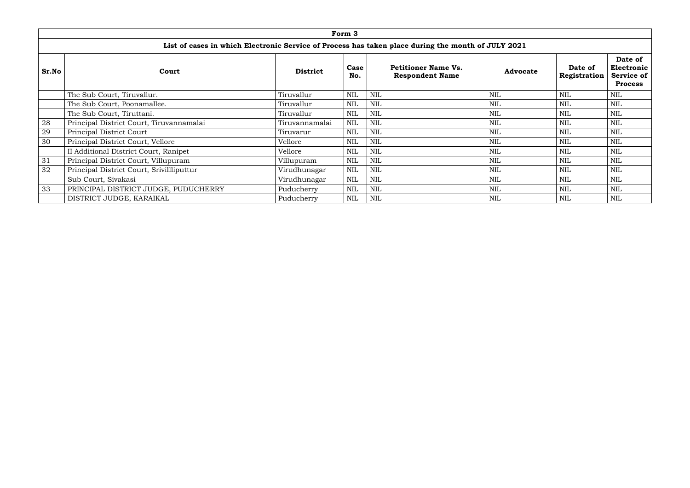|              |                                                                                                    |                 | Form 3                  |                                                              |  |            |            |            |
|--------------|----------------------------------------------------------------------------------------------------|-----------------|-------------------------|--------------------------------------------------------------|--|------------|------------|------------|
|              | List of cases in which Electronic Service of Process has taken place during the month of JULY 2021 |                 |                         |                                                              |  |            |            |            |
| <b>Sr.No</b> | Court                                                                                              | <b>Advocate</b> | Date of<br>Registration | Date of<br>Electronic<br><b>Service of</b><br><b>Process</b> |  |            |            |            |
|              | The Sub Court, Tiruvallur.                                                                         | Tiruvallur      | <b>NIL</b>              | <b>NIL</b>                                                   |  | <b>NIL</b> | <b>NIL</b> | <b>NIL</b> |
|              | The Sub Court, Poonamallee.                                                                        | Tiruvallur      | <b>NIL</b>              | <b>NIL</b>                                                   |  | <b>NIL</b> | <b>NIL</b> | <b>NIL</b> |
|              | The Sub Court, Tiruttani.                                                                          | Tiruvallur      | <b>NIL</b>              | <b>NIL</b>                                                   |  | <b>NIL</b> | <b>NIL</b> | <b>NIL</b> |
| 28           | Principal District Court, Tiruvannamalai                                                           | Tiruvannamalai  | <b>NIL</b>              | <b>NIL</b>                                                   |  | <b>NIL</b> | <b>NIL</b> | <b>NIL</b> |
| 29           | Principal District Court                                                                           | Tiruvarur       | <b>NIL</b>              | <b>NIL</b>                                                   |  | <b>NIL</b> | <b>NIL</b> | <b>NIL</b> |
| 30           | Principal District Court, Vellore                                                                  | Vellore         | <b>NIL</b>              | <b>NIL</b>                                                   |  | <b>NIL</b> | <b>NIL</b> | <b>NIL</b> |
|              | II Additional District Court, Ranipet                                                              | Vellore         | <b>NIL</b>              | <b>NIL</b>                                                   |  | <b>NIL</b> | <b>NIL</b> | <b>NIL</b> |
| 31           | Principal District Court, Villupuram                                                               | Villupuram      | <b>NIL</b>              | <b>NIL</b>                                                   |  | <b>NIL</b> | <b>NIL</b> | <b>NIL</b> |
| 32           | Principal District Court, Srivillliputtur                                                          | Virudhunagar    | NIL                     | <b>NIL</b>                                                   |  | <b>NIL</b> | <b>NIL</b> | <b>NIL</b> |
|              | Sub Court, Sivakasi                                                                                | Virudhunagar    | NIL                     | NIL                                                          |  | <b>NIL</b> | <b>NIL</b> | <b>NIL</b> |
| 33           | PRINCIPAL DISTRICT JUDGE, PUDUCHERRY                                                               | Puducherry      | <b>NIL</b>              | NIL                                                          |  | <b>NIL</b> | <b>NIL</b> | <b>NIL</b> |
|              | DISTRICT JUDGE, KARAIKAL                                                                           | Puducherry      | <b>NIL</b>              | <b>NIL</b>                                                   |  | <b>NIL</b> | <b>NIL</b> | <b>NIL</b> |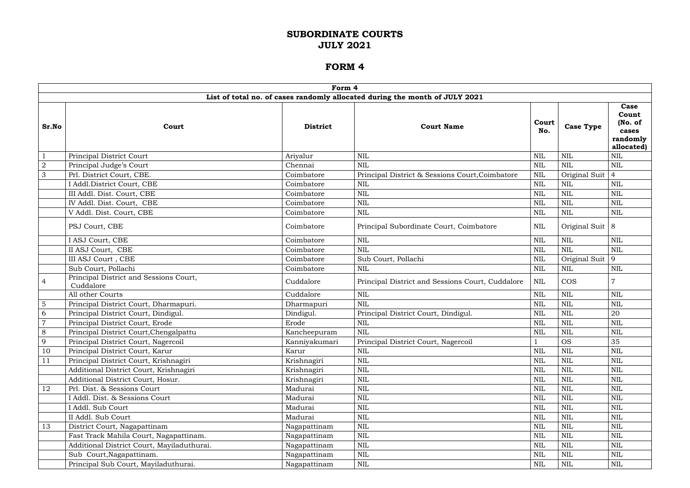|                |                                                     | Form 4          |                                                                             |              |                    |                                                             |
|----------------|-----------------------------------------------------|-----------------|-----------------------------------------------------------------------------|--------------|--------------------|-------------------------------------------------------------|
|                |                                                     |                 | List of total no. of cases randomly allocated during the month of JULY 2021 |              |                    |                                                             |
| Sr.No          | Court                                               | <b>District</b> | <b>Court Name</b>                                                           | Court<br>No. | <b>Case Type</b>   | Case<br>Count<br>(No. of<br>cases<br>randomly<br>allocated) |
|                | Principal District Court                            | Arivalur        | <b>NIL</b>                                                                  | <b>NIL</b>   | <b>NIL</b>         | <b>NIL</b>                                                  |
| $\overline{2}$ | Principal Judge's Court                             | Chennai         | <b>NIL</b>                                                                  | <b>NIL</b>   | $\text{NIL}$       | <b>NIL</b>                                                  |
| 3              | Prl. District Court, CBE.                           | Coimbatore      | Principal District & Sessions Court, Coimbatore                             | <b>NIL</b>   | Original Suit      | $\overline{4}$                                              |
|                | I Addl.District Court, CBE                          | Coimbatore      | NIL                                                                         | <b>NIL</b>   | <b>NIL</b>         | <b>NIL</b>                                                  |
|                | III Addl. Dist. Court, CBE                          | Coimbatore      | $\text{NIL}$                                                                | <b>NIL</b>   | $\text{NIL}$       | NIL                                                         |
|                | IV Addl. Dist. Court, CBE                           | Coimbatore      | <b>NIL</b>                                                                  | <b>NIL</b>   | <b>NIL</b>         | <b>NIL</b>                                                  |
|                | V Addl. Dist. Court, CBE                            | Coimbatore      | <b>NIL</b>                                                                  | <b>NIL</b>   | <b>NIL</b>         | <b>NIL</b>                                                  |
|                | PSJ Court, CBE                                      | Coimbatore      | Principal Subordinate Court, Coimbatore                                     | NIL          | Original Suit $ 8$ |                                                             |
|                | I ASJ Court, CBE                                    | Coimbatore      | <b>NIL</b>                                                                  | <b>NIL</b>   | <b>NIL</b>         | <b>NIL</b>                                                  |
|                | II ASJ Court, CBE                                   | Coimbatore      | <b>NIL</b>                                                                  | <b>NIL</b>   | <b>NIL</b>         | <b>NIL</b>                                                  |
|                | III ASJ Court, CBE                                  | Coimbatore      | Sub Court, Pollachi                                                         | <b>NIL</b>   | Original Suit      | 9                                                           |
|                | Sub Court, Pollachi                                 | Coimbatore      | <b>NIL</b>                                                                  | <b>NIL</b>   | <b>NIL</b>         | <b>NIL</b>                                                  |
| 4              | Principal District and Sessions Court,<br>Cuddalore | Cuddalore       | Principal District and Sessions Court, Cuddalore                            | <b>NIL</b>   | <b>COS</b>         |                                                             |
|                | All other Courts                                    | Cuddalore       | <b>NIL</b>                                                                  | <b>NIL</b>   | $\text{NIL}$       | <b>NIL</b>                                                  |
| 5              | Principal District Court, Dharmapuri.               | Dharmapuri      | <b>NIL</b>                                                                  | <b>NIL</b>   | <b>NIL</b>         | NIL                                                         |
| 6              | Principal District Court, Dindigul.                 | Dindigul.       | Principal District Court, Dindigul.                                         | <b>NIL</b>   | <b>NIL</b>         | 20                                                          |
| $\overline{7}$ | Principal District Court, Erode                     | Erode           | NIL                                                                         | <b>NIL</b>   | <b>NIL</b>         | NIL                                                         |
| 8              | Principal District Court, Chengalpattu              | Kancheepuram    | <b>NIL</b>                                                                  | <b>NIL</b>   | <b>NIL</b>         | NIL                                                         |
| $\overline{9}$ | Principal District Court, Nagercoil                 | Kanniyakumari   | Principal District Court, Nagercoil                                         |              | <b>OS</b>          | 35                                                          |
| 10             | Principal District Court, Karur                     | Karur           | NIL                                                                         | <b>NIL</b>   | <b>NIL</b>         | NIL                                                         |
| 11             | Principal District Court, Krishnagiri               | Krishnagiri     | <b>NIL</b>                                                                  | NIL          | $\text{NIL}$       | <b>NIL</b>                                                  |
|                | Additional District Court, Krishnagiri              | Krishnagiri     | $\mbox{NIL}$                                                                | <b>NIL</b>   | $\mbox{NIL}$       | NIL                                                         |
|                | Additional District Court, Hosur.                   | Krishnagiri     | $\text{NIL}$                                                                | NIL          | <b>NIL</b>         | <b>NIL</b>                                                  |
| 12             | Prl. Dist. & Sessions Court                         | Madurai         | NIL                                                                         | NIL          | $\text{NIL}$       | <b>NIL</b>                                                  |
|                | I Addl. Dist. & Sessions Court                      | Madurai         | <b>NIL</b>                                                                  | NIL          | <b>NIL</b>         | <b>NIL</b>                                                  |
|                | I Addl. Sub Court                                   | Madurai         | $\text{NIL}$                                                                | <b>NIL</b>   | $\text{NIL}$       | <b>NIL</b>                                                  |
|                | II Addl. Sub Court                                  | Madurai         | <b>NIL</b>                                                                  | <b>NIL</b>   | $\text{NIL}$       | <b>NIL</b>                                                  |
| 13             | District Court, Nagapattinam                        | Nagapattinam    | <b>NIL</b>                                                                  | NIL          | $\text{NIL}$       | NIL                                                         |
|                | Fast Track Mahila Court, Nagapattinam.              | Nagapattinam    | $\mbox{NIL}$                                                                | <b>NIL</b>   | $\mbox{NIL}$       | <b>NIL</b>                                                  |
|                | Additional District Court, Mayiladuthurai.          | Nagapattinam    | <b>NIL</b>                                                                  | NIL          | <b>NIL</b>         | <b>NIL</b>                                                  |
|                | Sub Court, Nagapattinam.                            | Nagapattinam    | NIL                                                                         | NIL          | $\text{NIL}$       | <b>NIL</b>                                                  |
|                | Principal Sub Court, Mayiladuthurai.                | Nagapattinam    | $\mbox{NIL}$                                                                | NIL          | $\mbox{NIL}$       | NIL                                                         |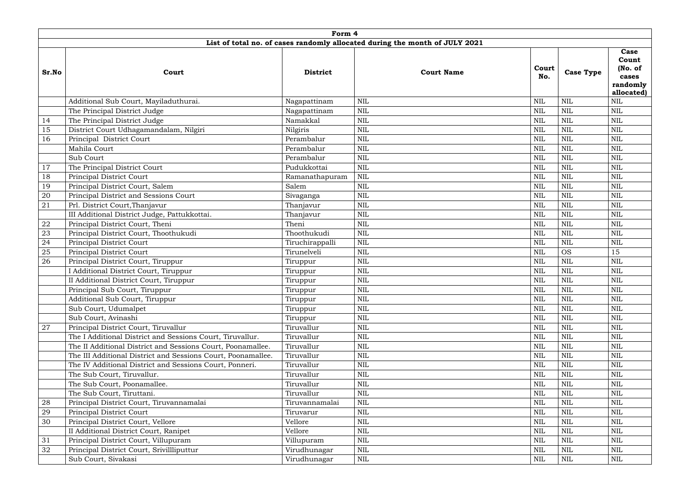|        |                                                              | Form 4                                                                      |              |                   |              |                  |                                                              |
|--------|--------------------------------------------------------------|-----------------------------------------------------------------------------|--------------|-------------------|--------------|------------------|--------------------------------------------------------------|
|        |                                                              | List of total no. of cases randomly allocated during the month of JULY 2021 |              |                   |              |                  |                                                              |
| Sr.No  | Court                                                        | <b>District</b>                                                             |              | <b>Court Name</b> | Court<br>No. | <b>Case Type</b> | Case<br>Count<br>(No. of)<br>cases<br>randomly<br>allocated) |
|        | Additional Sub Court, Mayiladuthurai.                        | Nagapattinam                                                                | <b>NIL</b>   |                   | <b>NIL</b>   | <b>NIL</b>       | <b>NIL</b>                                                   |
|        | The Principal District Judge                                 | Nagapattinam                                                                | <b>NIL</b>   |                   | <b>NIL</b>   | $\text{NIL}$     | <b>NIL</b>                                                   |
| 14     | The Principal District Judge                                 | Namakkal                                                                    | $\text{NIL}$ |                   | <b>NIL</b>   | $\text{NIL}$     | <b>NIL</b>                                                   |
| 15     | District Court Udhagamandalam, Nilgiri                       | Nilgiris                                                                    | <b>NIL</b>   |                   | <b>NIL</b>   | $\text{NIL}$     | <b>NIL</b>                                                   |
| 16     | Principal District Court                                     | Perambalur                                                                  | <b>NIL</b>   |                   | <b>NIL</b>   | $\text{NIL}$     | <b>NIL</b>                                                   |
|        | Mahila Court                                                 | Perambalur                                                                  | <b>NIL</b>   |                   | <b>NIL</b>   | <b>NIL</b>       | <b>NIL</b>                                                   |
|        | Sub Court                                                    | Perambalur                                                                  | <b>NIL</b>   |                   | $\mbox{NIL}$ | <b>NIL</b>       | <b>NIL</b>                                                   |
| 17     | The Principal District Court                                 | Pudukkottai                                                                 | <b>NIL</b>   |                   | <b>NIL</b>   | $\text{NIL}$     | <b>NIL</b>                                                   |
| 18     | Principal District Court                                     | Ramanathapuram                                                              | <b>NIL</b>   |                   | <b>NIL</b>   | $\text{NIL}$     | <b>NIL</b>                                                   |
| 19     | Principal District Court, Salem                              | Salem                                                                       | $\mbox{NIL}$ |                   | <b>NIL</b>   | <b>NIL</b>       | <b>NIL</b>                                                   |
| 20     | Principal District and Sessions Court                        | Sivaganga                                                                   | <b>NIL</b>   |                   | <b>NIL</b>   | <b>NIL</b>       | <b>NIL</b>                                                   |
| 21     | Prl. District Court, Thanjavur                               | Thanjavur                                                                   | <b>NIL</b>   |                   | <b>NIL</b>   | $\text{NIL}$     | <b>NIL</b>                                                   |
|        | III Additional District Judge, Pattukkottai.                 | Thanjavur                                                                   | <b>NIL</b>   |                   | <b>NIL</b>   | $\text{NIL}$     | <b>NIL</b>                                                   |
| 22     | Principal District Court, Theni                              | Theni                                                                       | NIL          |                   | <b>NIL</b>   | <b>NIL</b>       | <b>NIL</b>                                                   |
| 23     | Principal District Court, Thoothukudi                        | Thoothukudi                                                                 | NIL          |                   | <b>NIL</b>   | $\text{NIL}$     | NIL                                                          |
| 24     | Principal District Court                                     | Tiruchirappalli                                                             | <b>NIL</b>   |                   | <b>NIL</b>   | $\text{NIL}$     | <b>NIL</b>                                                   |
| $25\,$ | Principal District Court                                     | Tirunelveli                                                                 | <b>NIL</b>   |                   | <b>NIL</b>   | <b>OS</b>        | 15                                                           |
| 26     | Principal District Court, Tiruppur                           | Tiruppur                                                                    | NIL          |                   | <b>NIL</b>   | $\text{NIL}$     | <b>NIL</b>                                                   |
|        | I Additional District Court, Tiruppur                        | Tiruppur                                                                    | NIL          |                   | <b>NIL</b>   | $\text{NIL}$     | <b>NIL</b>                                                   |
|        | II Additional District Court, Tiruppur                       | Tiruppur                                                                    | NIL          |                   | NIL          | <b>NIL</b>       | NIL                                                          |
|        | Principal Sub Court, Tiruppur                                | Tiruppur                                                                    | <b>NIL</b>   |                   | <b>NIL</b>   | <b>NIL</b>       | <b>NIL</b>                                                   |
|        | Additional Sub Court, Tiruppur                               | Tiruppur                                                                    | NIL          |                   | NIL          | $\mbox{NIL}$     | <b>NIL</b>                                                   |
|        | Sub Court, Udumalpet                                         | Tiruppur                                                                    | NIL          |                   | <b>NIL</b>   | $\text{NIL}$     | <b>NIL</b>                                                   |
|        | Sub Court, Avinashi                                          | Tiruppur                                                                    | <b>NIL</b>   |                   | <b>NIL</b>   | $\text{NIL}$     | <b>NIL</b>                                                   |
| 27     | Principal District Court, Tiruvallur                         | Tiruvallur                                                                  | <b>NIL</b>   |                   | <b>NIL</b>   | $\text{NIL}$     | <b>NIL</b>                                                   |
|        | The I Additional District and Sessions Court, Tiruvallur.    | Tiruvallur                                                                  | NIL          |                   | <b>NIL</b>   | $\text{NIL}$     | NIL                                                          |
|        | The II Additional District and Sessions Court, Poonamallee.  | Tiruvallur                                                                  | NIL          |                   | <b>NIL</b>   | $\mbox{NIL}$     | <b>NIL</b>                                                   |
|        | The III Additional District and Sessions Court, Poonamallee. | Tiruvallur                                                                  | <b>NIL</b>   |                   | <b>NIL</b>   | $\text{NIL}$     | <b>NIL</b>                                                   |
|        | The IV Additional District and Sessions Court, Ponneri.      | Tiruvallur                                                                  | <b>NIL</b>   |                   | <b>NIL</b>   | <b>NIL</b>       | <b>NIL</b>                                                   |
|        | The Sub Court, Tiruvallur.                                   | Tiruvallur                                                                  | NIL          |                   | <b>NIL</b>   | $\text{NIL}$     | <b>NIL</b>                                                   |
|        | The Sub Court, Poonamallee.                                  | Tiruvallur                                                                  | <b>NIL</b>   |                   | <b>NIL</b>   | <b>NIL</b>       | <b>NIL</b>                                                   |
|        | The Sub Court, Tiruttani.                                    | Tiruvallur                                                                  | <b>NIL</b>   |                   | <b>NIL</b>   | $\text{NIL}$     | <b>NIL</b>                                                   |
| 28     | Principal District Court, Tiruvannamalai                     | Tiruvannamalai                                                              | <b>NIL</b>   |                   | <b>NIL</b>   | $\text{NIL}$     | <b>NIL</b>                                                   |
| 29     | Principal District Court                                     | Tiruvarur                                                                   | <b>NIL</b>   |                   | <b>NIL</b>   | $\mbox{NIL}$     | <b>NIL</b>                                                   |
| 30     | Principal District Court, Vellore                            | Vellore                                                                     | <b>NIL</b>   |                   | <b>NIL</b>   | <b>NIL</b>       | <b>NIL</b>                                                   |
|        | II Additional District Court, Ranipet                        | Vellore                                                                     | NIL          |                   | <b>NIL</b>   | $\text{NIL}$     | <b>NIL</b>                                                   |
| 31     | Principal District Court, Villupuram                         | Villupuram                                                                  | <b>NIL</b>   |                   | <b>NIL</b>   | <b>NIL</b>       | <b>NIL</b>                                                   |
| 32     | Principal District Court, Srivillliputtur                    | Virudhunagar                                                                | NIL          |                   | <b>NIL</b>   | $\text{NIL}$     | <b>NIL</b>                                                   |
|        | Sub Court, Sivakasi                                          | Virudhunagar                                                                | NIL          |                   | <b>NIL</b>   | <b>NIL</b>       | <b>NIL</b>                                                   |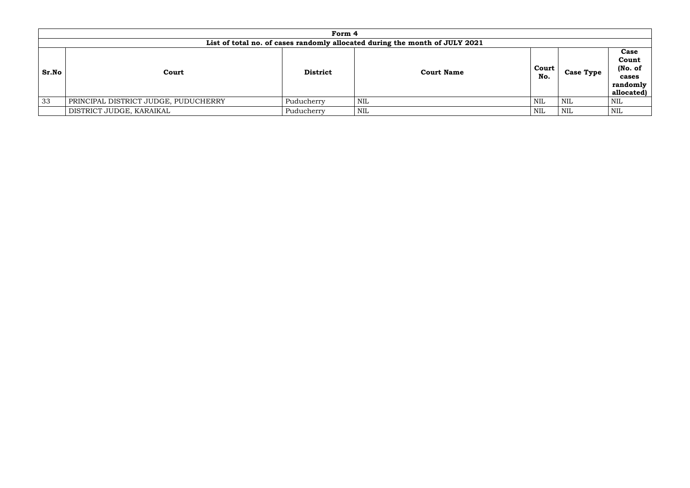|       | Form 4                                                                      |                 |                   |              |                  |                                                             |  |  |  |  |  |  |
|-------|-----------------------------------------------------------------------------|-----------------|-------------------|--------------|------------------|-------------------------------------------------------------|--|--|--|--|--|--|
|       | List of total no. of cases randomly allocated during the month of JULY 2021 |                 |                   |              |                  |                                                             |  |  |  |  |  |  |
| Sr.No | Court                                                                       | <b>District</b> | <b>Court Name</b> | Court<br>No. | <b>Case Type</b> | Case<br>Count<br>(No. of<br>cases<br>randomly<br>allocated) |  |  |  |  |  |  |
| 33    | PRINCIPAL DISTRICT JUDGE, PUDUCHERRY                                        | Puducherry      | NIL               | NIL          | NIL              | NIL                                                         |  |  |  |  |  |  |
|       | DISTRICT JUDGE, KARAIKAL                                                    | Puducherry      | <b>NIL</b>        | NIL          | NIL              | NIL                                                         |  |  |  |  |  |  |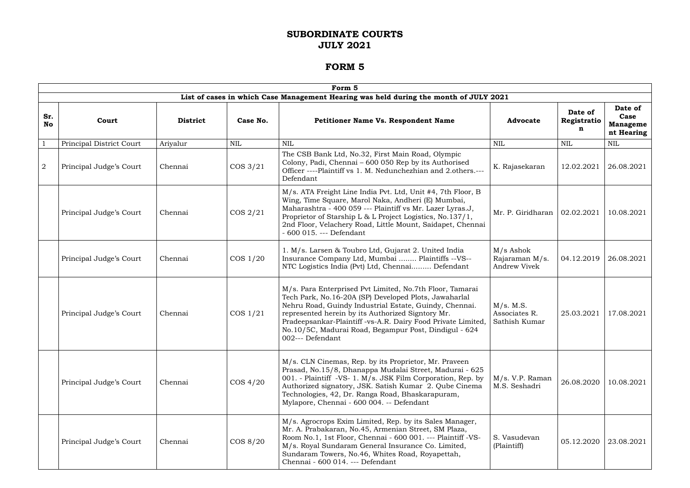|                  |                          |                 |             | Form 5                                                                                                                                                                                                                                                                                                                                                                        |                                                    |                             |                                                  |
|------------------|--------------------------|-----------------|-------------|-------------------------------------------------------------------------------------------------------------------------------------------------------------------------------------------------------------------------------------------------------------------------------------------------------------------------------------------------------------------------------|----------------------------------------------------|-----------------------------|--------------------------------------------------|
|                  |                          |                 |             | List of cases in which Case Management Hearing was held during the month of JULY 2021                                                                                                                                                                                                                                                                                         |                                                    |                             |                                                  |
| Sr.<br><b>No</b> | Court                    | <b>District</b> | Case No.    | <b>Petitioner Name Vs. Respondent Name</b>                                                                                                                                                                                                                                                                                                                                    | <b>Advocate</b>                                    | Date of<br>Registratio<br>n | Date of<br>Case<br><b>Manageme</b><br>nt Hearing |
| $\mathbf{1}$     | Principal District Court | Ariyalur        | <b>NIL</b>  | <b>NIL</b>                                                                                                                                                                                                                                                                                                                                                                    | <b>NIL</b>                                         | <b>NIL</b>                  | <b>NIL</b>                                       |
| $\overline{2}$   | Principal Judge's Court  | Chennai         | $\cos 3/21$ | The CSB Bank Ltd, No.32, First Main Road, Olympic<br>Colony, Padi, Chennai - 600 050 Rep by its Authorised<br>Officer ----Plaintiff vs 1. M. Nedunchezhian and 2.others.---<br>Defendant                                                                                                                                                                                      | K. Rajasekaran                                     | 12.02.2021                  | 26.08.2021                                       |
|                  | Principal Judge's Court  | Chennai         | $\cos 2/21$ | M/s. ATA Freight Line India Pvt. Ltd, Unit #4, 7th Floor, B<br>Wing, Time Square, Marol Naka, Andheri (E) Mumbai,<br>Maharashtra - 400 059 --- Plaintiff vs Mr. Lazer Lyras.J,<br>Proprietor of Starship L & L Project Logistics, No.137/1,<br>2nd Floor, Velachery Road, Little Mount, Saidapet, Chennai<br>- 600 015. --- Defendant                                         | Mr. P. Giridharan                                  | 02.02.2021                  | 10.08.2021                                       |
|                  | Principal Judge's Court  | Chennai         | $\cos 1/20$ | 1. M/s. Larsen & Toubro Ltd, Gujarat 2. United India<br>Insurance Company Ltd, Mumbai  Plaintiffs --VS--<br>NTC Logistics India (Pvt) Ltd, Chennai Defendant                                                                                                                                                                                                                  | M/s Ashok<br>Rajaraman M/s.<br><b>Andrew Vivek</b> | 04.12.2019                  | 26.08.2021                                       |
|                  | Principal Judge's Court  | Chennai         | $\cos 1/21$ | M/s. Para Enterprised Pvt Limited, No.7th Floor, Tamarai<br>Tech Park, No.16-20A (SP) Developed Plots, Jawaharlal<br>Nehru Road, Guindy Industrial Estate, Guindy, Chennai.<br>represented herein by its Authorized Signtory Mr.<br>Pradeepsankar-Plaintiff -vs-A.R. Dairy Food Private Limited,<br>No.10/5C, Madurai Road, Begampur Post, Dindigul - 624<br>002--- Defendant | M/s. M.S.<br>Associates R.<br>Sathish Kumar        | 25.03.2021                  | 17.08.2021                                       |
|                  | Principal Judge's Court  | Chennai         | $\cos 4/20$ | M/s. CLN Cinemas, Rep. by its Proprietor, Mr. Praveen<br>Prasad, No.15/8, Dhanappa Mudalai Street, Madurai - 625<br>001. - Plaintiff -VS- 1. M/s. JSK Film Corporation, Rep. by<br>Authorized signatory, JSK. Satish Kumar 2. Qube Cinema<br>Technologies, 42, Dr. Ranga Road, Bhaskarapuram,<br>Mylapore, Chennai - 600 004. -- Defendant                                    | $M/s$ . V.P. Raman<br>M.S. Seshadri                | 26.08.2020                  | 10.08.2021                                       |
|                  | Principal Judge's Court  | Chennai         | $\cos 8/20$ | M/s. Agrocrops Exim Limited, Rep. by its Sales Manager,<br>Mr. A. Prabakaran, No.45, Armenian Street, SM Plaza,<br>Room No.1, 1st Floor, Chennai - 600 001. --- Plaintiff -VS-<br>M/s. Royal Sundaram General Insurance Co. Limited,<br>Sundaram Towers, No.46, Whites Road, Royapettah,<br>Chennai - 600 014. --- Defendant                                                  | S. Vasudevan<br>(Plaintiff)                        | 05.12.2020                  | 23.08.2021                                       |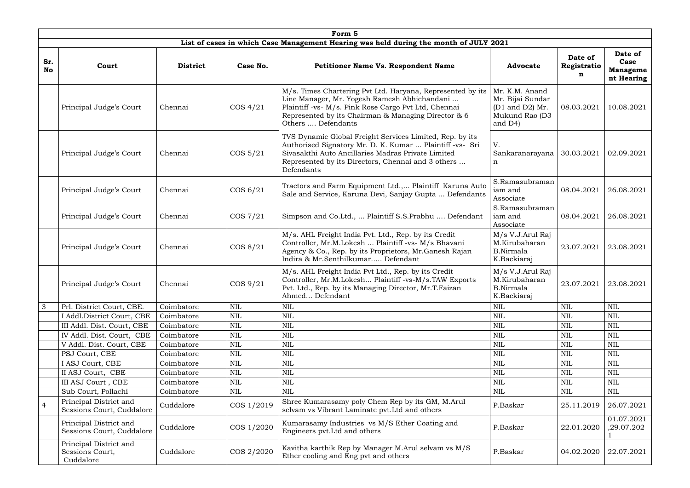|                  |                                                                                       |                 |              | Form 5                                                                                                                                                                                                                                          |                                                                                    |                             |                                                  |  |  |  |  |  |
|------------------|---------------------------------------------------------------------------------------|-----------------|--------------|-------------------------------------------------------------------------------------------------------------------------------------------------------------------------------------------------------------------------------------------------|------------------------------------------------------------------------------------|-----------------------------|--------------------------------------------------|--|--|--|--|--|
|                  | List of cases in which Case Management Hearing was held during the month of JULY 2021 |                 |              |                                                                                                                                                                                                                                                 |                                                                                    |                             |                                                  |  |  |  |  |  |
| Sr.<br><b>No</b> | Court                                                                                 | <b>District</b> | Case No.     | <b>Petitioner Name Vs. Respondent Name</b>                                                                                                                                                                                                      | <b>Advocate</b>                                                                    | Date of<br>Registratio<br>n | Date of<br>Case<br><b>Manageme</b><br>nt Hearing |  |  |  |  |  |
|                  | Principal Judge's Court                                                               | Chennai         | $\cos 4/21$  | M/s. Times Chartering Pvt Ltd. Haryana, Represented by its<br>Line Manager, Mr. Yogesh Ramesh Abhichandani<br>Plaintiff -vs- M/s. Pink Rose Cargo Pvt Ltd, Chennai<br>Represented by its Chairman & Managing Director & 6<br>Others  Defendants | Mr. K.M. Anand<br>Mr. Bijai Sundar<br>(D1 and D2) Mr.<br>Mukund Rao (D3<br>and D4) | 08.03.2021                  | 10.08.2021                                       |  |  |  |  |  |
|                  | Principal Judge's Court                                                               | Chennai         | $\cos 5/21$  | TVS Dynamic Global Freight Services Limited, Rep. by its<br>Authorised Signatory Mr. D. K. Kumar  Plaintiff -vs- Sri<br>Sivasakthi Auto Ancillaries Madras Private Limited<br>Represented by its Directors, Chennai and 3 others<br>Defendants  | V.<br>Sankaranarayana<br>n                                                         | 30.03.2021                  | 02.09.2021                                       |  |  |  |  |  |
|                  | Principal Judge's Court                                                               | Chennai         | $\cos 6/21$  | Tractors and Farm Equipment Ltd., Plaintiff Karuna Auto<br>Sale and Service, Karuna Devi, Sanjay Gupta  Defendants                                                                                                                              | S.Ramasubraman<br>iam and<br>Associate                                             | 08.04.2021                  | 26.08.2021                                       |  |  |  |  |  |
|                  | Principal Judge's Court                                                               | Chennai         | $\cos$ 7/21  | Simpson and Co.Ltd.,  Plaintiff S.S.Prabhu  Defendant                                                                                                                                                                                           | S.Ramasubraman<br>iam and<br>Associate                                             | 08.04.2021                  | 26.08.2021                                       |  |  |  |  |  |
|                  | Principal Judge's Court                                                               | Chennai         | $\cos 8/21$  | M/s. AHL Freight India Pvt. Ltd., Rep. by its Credit<br>Controller, Mr.M.Lokesh  Plaintiff -vs- M/s Bhavani<br>Agency & Co., Rep. by its Proprietors, Mr.Ganesh Rajan<br>Indira & Mr.Senthilkumar Defendant                                     | M/s V.J.Arul Raj<br>M.Kirubaharan<br><b>B.Nirmala</b><br>K.Backiaraj               | 23.07.2021                  | 23.08.2021                                       |  |  |  |  |  |
|                  | Principal Judge's Court                                                               | Chennai         | $\cos 9/21$  | M/s. AHL Freight India Pvt Ltd., Rep. by its Credit<br>Controller, Mr.M.Lokesh Plaintiff -vs-M/s.TAW Exports<br>Pvt. Ltd., Rep. by its Managing Director, Mr.T.Faizan<br>Ahmed Defendant                                                        | M/s V.J.Arul Raj<br>M.Kirubaharan<br><b>B.Nirmala</b><br>K.Backiaraj               | 23.07.2021                  | 23.08.2021                                       |  |  |  |  |  |
| 3                | Prl. District Court, CBE.                                                             | Coimbatore      | <b>NIL</b>   | <b>NIL</b>                                                                                                                                                                                                                                      | $\text{NIL}$                                                                       | <b>NIL</b>                  | <b>NIL</b>                                       |  |  |  |  |  |
|                  | I Addl.District Court, CBE                                                            | Coimbatore      | <b>NIL</b>   | $\mbox{NIL}$                                                                                                                                                                                                                                    | $\mbox{NIL}$                                                                       | $\text{NIL}$                | <b>NIL</b>                                       |  |  |  |  |  |
|                  | III Addl. Dist. Court, CBE                                                            | Coimbatore      | <b>NIL</b>   | <b>NIL</b>                                                                                                                                                                                                                                      | <b>NIL</b>                                                                         | <b>NIL</b>                  | <b>NIL</b>                                       |  |  |  |  |  |
|                  | IV Addl. Dist. Court, CBE                                                             | Coimbatore      | <b>NIL</b>   | <b>NIL</b>                                                                                                                                                                                                                                      | $\text{NIL}$                                                                       | <b>NIL</b>                  | <b>NIL</b>                                       |  |  |  |  |  |
|                  | V Addl. Dist. Court, CBE                                                              | Coimbatore      | <b>NIL</b>   | NIL                                                                                                                                                                                                                                             | $\text{NIL}$                                                                       | <b>NIL</b>                  | <b>NIL</b>                                       |  |  |  |  |  |
|                  | PSJ Court, CBE                                                                        | Coimbatore      | $\mbox{NIL}$ | <b>NIL</b>                                                                                                                                                                                                                                      | <b>NIL</b>                                                                         | <b>NIL</b>                  | <b>NIL</b>                                       |  |  |  |  |  |
|                  | I ASJ Court, CBE                                                                      | Coimbatore      | <b>NIL</b>   | <b>NIL</b>                                                                                                                                                                                                                                      | <b>NIL</b>                                                                         | NIL                         | <b>NIL</b>                                       |  |  |  |  |  |
|                  | II ASJ Court, CBE                                                                     | Coimbatore      | <b>NIL</b>   | <b>NIL</b>                                                                                                                                                                                                                                      | $\text{NIL}$                                                                       | <b>NIL</b>                  | <b>NIL</b>                                       |  |  |  |  |  |
|                  | III ASJ Court, CBE                                                                    | Coimbatore      | <b>NIL</b>   | <b>NIL</b>                                                                                                                                                                                                                                      | $\text{NIL}$                                                                       | <b>NIL</b>                  | <b>NIL</b>                                       |  |  |  |  |  |
|                  | Sub Court, Pollachi                                                                   | Coimbatore      | NIL          | <b>NIL</b>                                                                                                                                                                                                                                      | $\text{NIL}$                                                                       | <b>NIL</b>                  | <b>NIL</b>                                       |  |  |  |  |  |
| $\overline{4}$   | Principal District and<br>Sessions Court, Cuddalore                                   | Cuddalore       | COS 1/2019   | Shree Kumarasamy poly Chem Rep by its GM, M.Arul<br>selvam vs Vibrant Laminate pvt. Ltd and others                                                                                                                                              | P.Baskar                                                                           | 25.11.2019                  | 26.07.2021                                       |  |  |  |  |  |
|                  | Principal District and<br>Sessions Court, Cuddalore                                   | Cuddalore       | COS 1/2020   | Kumarasamy Industries vs M/S Ether Coating and<br>Engineers pvt. Ltd and others                                                                                                                                                                 | P.Baskar                                                                           | 22.01.2020                  | 01.07.2021<br>,29.07.202                         |  |  |  |  |  |
|                  | Principal District and<br>Sessions Court,<br>Cuddalore                                | Cuddalore       | COS 2/2020   | Kavitha karthik Rep by Manager M.Arul selvam vs M/S<br>Ether cooling and Eng pvt and others                                                                                                                                                     | P.Baskar                                                                           | 04.02.2020                  | 22.07.2021                                       |  |  |  |  |  |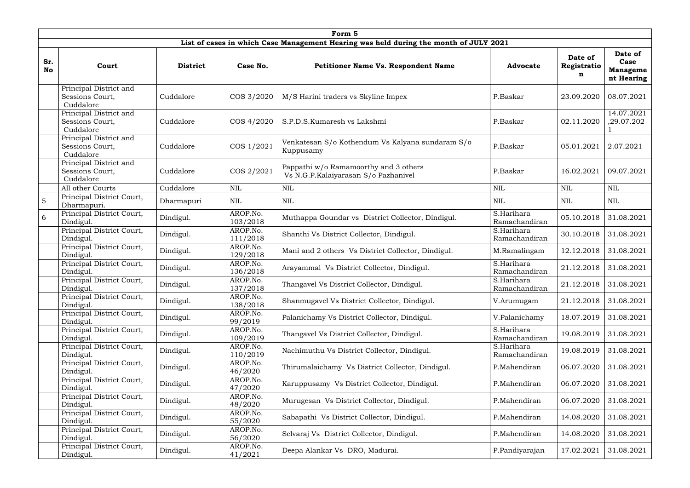| Form 5           |                                                        |                 |                      |                                                                                       |                             |                             |                                                  |  |  |  |  |
|------------------|--------------------------------------------------------|-----------------|----------------------|---------------------------------------------------------------------------------------|-----------------------------|-----------------------------|--------------------------------------------------|--|--|--|--|
|                  |                                                        |                 |                      | List of cases in which Case Management Hearing was held during the month of JULY 2021 |                             |                             |                                                  |  |  |  |  |
| Sr.<br><b>No</b> | Court                                                  | <b>District</b> | Case No.             | <b>Petitioner Name Vs. Respondent Name</b>                                            | <b>Advocate</b>             | Date of<br>Registratio<br>n | Date of<br>Case<br><b>Manageme</b><br>nt Hearing |  |  |  |  |
|                  | Principal District and<br>Sessions Court,<br>Cuddalore | Cuddalore       | COS 3/2020           | M/S Harini traders vs Skyline Impex                                                   | P.Baskar                    | 23.09.2020                  | 08.07.2021                                       |  |  |  |  |
|                  | Principal District and<br>Sessions Court,<br>Cuddalore | Cuddalore       | COS 4/2020           | S.P.D.S.Kumaresh vs Lakshmi                                                           | P.Baskar                    | 02.11.2020                  | 14.07.2021<br>,29.07.202                         |  |  |  |  |
|                  | Principal District and<br>Sessions Court,<br>Cuddalore | Cuddalore       | COS 1/2021           | Venkatesan S/o Kothendum Vs Kalyana sundaram S/o<br>Kuppusamy                         | P.Baskar                    | 05.01.2021                  | 2.07.2021                                        |  |  |  |  |
|                  | Principal District and<br>Sessions Court,<br>Cuddalore | Cuddalore       | COS 2/2021           | Pappathi w/o Ramamoorthy and 3 others<br>Vs N.G.P.Kalaiyarasan S/o Pazhanivel         | P.Baskar                    | 16.02.2021                  | 09.07.2021                                       |  |  |  |  |
|                  | All other Courts                                       | Cuddalore       | <b>NIL</b>           | <b>NIL</b>                                                                            | <b>NIL</b>                  | <b>NIL</b>                  | <b>NIL</b>                                       |  |  |  |  |
| $\overline{5}$   | Principal District Court,<br>Dharmapuri.               | Dharmapuri      | NIL                  | <b>NIL</b>                                                                            | <b>NIL</b>                  | <b>NIL</b>                  | <b>NIL</b>                                       |  |  |  |  |
| 6                | Principal District Court,<br>Dindigul.                 | Dindigul.       | AROP.No.<br>103/2018 | Muthappa Goundar vs District Collector, Dindigul.                                     | S.Harihara<br>Ramachandiran | 05.10.2018                  | 31.08.2021                                       |  |  |  |  |
|                  | Principal District Court,<br>Dindigul.                 | Dindigul.       | AROP.No.<br>111/2018 | Shanthi Vs District Collector, Dindigul.                                              | S.Harihara<br>Ramachandiran | 30.10.2018                  | 31.08.2021                                       |  |  |  |  |
|                  | Principal District Court,<br>Dindigul.                 | Dindigul.       | AROP.No.<br>129/2018 | Mani and 2 others Vs District Collector, Dindigul.                                    | M.Ramalingam                | 12.12.2018                  | 31.08.2021                                       |  |  |  |  |
|                  | Principal District Court,<br>Dindigul.                 | Dindigul.       | AROP.No.<br>136/2018 | Arayammal Vs District Collector, Dindigul.                                            | S.Harihara<br>Ramachandiran | 21.12.2018                  | 31.08.2021                                       |  |  |  |  |
|                  | Principal District Court,<br>Dindigul.                 | Dindigul.       | AROP.No.<br>137/2018 | Thangavel Vs District Collector, Dindigul.                                            | S.Harihara<br>Ramachandiran | 21.12.2018 31.08.2021       |                                                  |  |  |  |  |
|                  | Principal District Court,<br>Dindigul.                 | Dindigul.       | AROP.No.<br>138/2018 | Shanmugavel Vs District Collector, Dindigul.                                          | V.Arumugam                  | 21.12.2018                  | 31.08.2021                                       |  |  |  |  |
|                  | Principal District Court,<br>Dindigul.                 | Dindigul.       | AROP.No.<br>99/2019  | Palanichamy Vs District Collector, Dindigul.                                          | V.Palanichamy               | 18.07.2019                  | 31.08.2021                                       |  |  |  |  |
|                  | Principal District Court,<br>Dindigul.                 | Dindigul.       | AROP.No.<br>109/2019 | Thangavel Vs District Collector, Dindigul.                                            | S.Harihara<br>Ramachandiran | 19.08.2019                  | 31.08.2021                                       |  |  |  |  |
|                  | Principal District Court,<br>Dindigul.                 | Dindigul.       | AROP.No.<br>110/2019 | Nachimuthu Vs District Collector, Dindigul.                                           | S.Harihara<br>Ramachandiran | 19.08.2019                  | 31.08.2021                                       |  |  |  |  |
|                  | Principal District Court,<br>Dindigul.                 | Dindigul.       | AROP.No.<br>46/2020  | Thirumalaichamy Vs District Collector, Dindigul.                                      | P.Mahendiran                | 06.07.2020                  | 31.08.2021                                       |  |  |  |  |
|                  | Principal District Court,<br>Dindigul.                 | Dindigul.       | AROP.No.<br>47/2020  | Karuppusamy Vs District Collector, Dindigul.                                          | P.Mahendiran                | 06.07.2020                  | 31.08.2021                                       |  |  |  |  |
|                  | Principal District Court,<br>Dindigul.                 | Dindigul.       | AROP.No.<br>48/2020  | Murugesan Vs District Collector, Dindigul.                                            | P.Mahendiran                | 06.07.2020                  | 31.08.2021                                       |  |  |  |  |
|                  | Principal District Court,<br>Dindigul.                 | Dindigul.       | AROP.No.<br>55/2020  | Sabapathi Vs District Collector, Dindigul.                                            | P.Mahendiran                | 14.08.2020                  | 31.08.2021                                       |  |  |  |  |
|                  | Principal District Court,<br>Dindigul.                 | Dindigul.       | AROP.No.<br>56/2020  | Selvaraj Vs District Collector, Dindigul.                                             | P.Mahendiran                | 14.08.2020                  | 31.08.2021                                       |  |  |  |  |
|                  | Principal District Court,<br>Dindigul.                 | Dindigul.       | AROP.No.<br>41/2021  | Deepa Alankar Vs DRO, Madurai.                                                        | P.Pandiyarajan              | 17.02.2021                  | 31.08.2021                                       |  |  |  |  |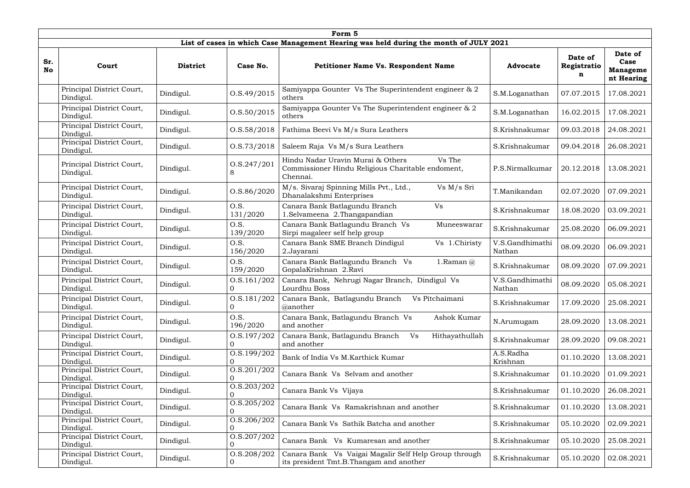|                  | Form 5                                 |                 |                                   |                                                                                                              |                           |                             |                                                  |  |  |  |  |
|------------------|----------------------------------------|-----------------|-----------------------------------|--------------------------------------------------------------------------------------------------------------|---------------------------|-----------------------------|--------------------------------------------------|--|--|--|--|
|                  |                                        |                 |                                   | List of cases in which Case Management Hearing was held during the month of JULY 2021                        |                           |                             |                                                  |  |  |  |  |
| Sr.<br><b>No</b> | Court                                  | <b>District</b> | Case No.                          | <b>Petitioner Name Vs. Respondent Name</b>                                                                   | <b>Advocate</b>           | Date of<br>Registratio<br>n | Date of<br>Case<br><b>Manageme</b><br>nt Hearing |  |  |  |  |
|                  | Principal District Court,<br>Dindigul. | Dindigul.       | 0. S.49/2015                      | Samiyappa Gounter Vs The Superintendent engineer & 2<br>others                                               | S.M.Loganathan            | 07.07.2015                  | 17.08.2021                                       |  |  |  |  |
|                  | Principal District Court,<br>Dindigul. | Dindigul.       | 0. S. 50 / 2015                   | Samiyappa Gounter Vs The Superintendent engineer & 2<br>others                                               | S.M.Loganathan            | 16.02.2015                  | 17.08.2021                                       |  |  |  |  |
|                  | Principal District Court,<br>Dindigul. | Dindigul.       | 0. S. 58/2018                     | Fathima Beevi Vs M/s Sura Leathers                                                                           | S.Krishnakumar            | 09.03.2018                  | 24.08.2021                                       |  |  |  |  |
|                  | Principal District Court,<br>Dindigul. | Dindigul.       | 0. S. 73/2018                     | Saleem Raja Vs M/s Sura Leathers                                                                             | S.Krishnakumar            | 09.04.2018                  | 26.08.2021                                       |  |  |  |  |
|                  | Principal District Court,<br>Dindigul. | Dindigul.       | O.S.247/201<br>8                  | Hindu Nadar Uravin Murai & Others<br>Vs The<br>Commissioner Hindu Religious Charitable endoment,<br>Chennai. | P.S.Nirmalkumar           | 20.12.2018                  | 13.08.2021                                       |  |  |  |  |
|                  | Principal District Court,<br>Dindigul. | Dindigul.       | O.S.86/2020                       | M/s. Sivaraj Spinning Mills Pvt., Ltd.,<br>Vs M/s Sri<br>Dhanalakshmi Enterprises                            | T.Manikandan              | 02.07.2020                  | 07.09.2021                                       |  |  |  |  |
|                  | Principal District Court,<br>Dindigul. | Dindigul.       | O.S.<br>131/2020                  | Canara Bank Batlagundu Branch<br>Vs<br>1.Selvameena 2.Thangapandian                                          | S.Krishnakumar            | 18.08.2020                  | 03.09.2021                                       |  |  |  |  |
|                  | Principal District Court,<br>Dindigul. | Dindigul.       | O.S.<br>139/2020                  | Canara Bank Batlagundu Branch Vs<br>Muneeswarar<br>Sirpi magaleer self help group                            | S.Krishnakumar            | 25.08.2020                  | 06.09.2021                                       |  |  |  |  |
|                  | Principal District Court,<br>Dindigul. | Dindigul.       | O.S.<br>156/2020                  | Canara Bank SME Branch Dindigul<br>Vs 1.Chiristy<br>2.Jayarani                                               | V.S.Gandhimathi<br>Nathan | 08.09.2020                  | 06.09.2021                                       |  |  |  |  |
|                  | Principal District Court,<br>Dindigul. | Dindigul.       | O.S.<br>159/2020                  | Canara Bank Batlagundu Branch Vs<br>1. Raman $(a)$<br>GopalaKrishnan 2.Ravi                                  | S.Krishnakumar            | 08.09.2020                  | 07.09.2021                                       |  |  |  |  |
|                  | Principal District Court,<br>Dindigul. | Dindigul.       | 0. S. 161 / 202<br>$\overline{0}$ | Canara Bank, Nehrugi Nagar Branch, Dindigul Vs<br>Lourdhu Boss                                               | V.S.Gandhimathi<br>Nathan | 08.09.2020                  | 05.08.2021                                       |  |  |  |  |
|                  | Principal District Court,<br>Dindigul. | Dindigul.       | O.S.181/202<br>0                  | Canara Bank, Batlagundu Branch<br>Vs Pitchaimani<br>@another                                                 | S.Krishnakumar            | 17.09.2020                  | 25.08.2021                                       |  |  |  |  |
|                  | Principal District Court,<br>Dindigul. | Dindigul.       | O.S.<br>196/2020                  | Canara Bank, Batlagundu Branch Vs<br>Ashok Kumar<br>and another                                              | N.Arumugam                | 28.09.2020                  | 13.08.2021                                       |  |  |  |  |
|                  | Principal District Court,<br>Dindigul. | Dindigul.       | O.S.197/202<br>0                  | Canara Bank, Batlagundu Branch<br>Hithayathullah<br>Vs<br>and another                                        | S.Krishnakumar            | 28.09.2020                  | 09.08.2021                                       |  |  |  |  |
|                  | Principal District Court,<br>Dindigul. | Dindigul.       | 0. S. 199 / 202                   | Bank of India Vs M.Karthick Kumar                                                                            | A.S.Radha<br>Krishnan     | 01.10.2020                  | 13.08.2021                                       |  |  |  |  |
|                  | Principal District Court,<br>Dindigul. | Dindigul.       | 0. S. 201 / 202                   | Canara Bank Vs Selvam and another                                                                            | S.Krishnakumar            | 01.10.2020                  | 01.09.2021                                       |  |  |  |  |
|                  | Principal District Court,<br>Dindigul. | Dindigul.       | 0. S. 203 / 202<br>$\overline{0}$ | Canara Bank Vs Vijaya                                                                                        | S.Krishnakumar            | 01.10.2020                  | 26.08.2021                                       |  |  |  |  |
|                  | Principal District Court,<br>Dindigul. | Dindigul.       | 0. S. 205 / 202                   | Canara Bank Vs Ramakrishnan and another                                                                      | S.Krishnakumar            | 01.10.2020                  | 13.08.2021                                       |  |  |  |  |
|                  | Principal District Court,<br>Dindigul. | Dindigul.       | O.S.206/202<br>$\Omega$           | Canara Bank Vs Sathik Batcha and another                                                                     | S.Krishnakumar            | 05.10.2020                  | 02.09.2021                                       |  |  |  |  |
|                  | Principal District Court,<br>Dindigul. | Dindigul.       | 0. S. 207 / 202                   | Canara Bank Vs Kumaresan and another                                                                         | S.Krishnakumar            | 05.10.2020                  | 25.08.2021                                       |  |  |  |  |
|                  | Principal District Court,<br>Dindigul. | Dindigul.       | 0. S. 208 / 202<br>$\overline{0}$ | Canara Bank Vs Vaigai Magalir Self Help Group through<br>its president Tmt.B.Thangam and another             | S.Krishnakumar            | 05.10.2020                  | 02.08.2021                                       |  |  |  |  |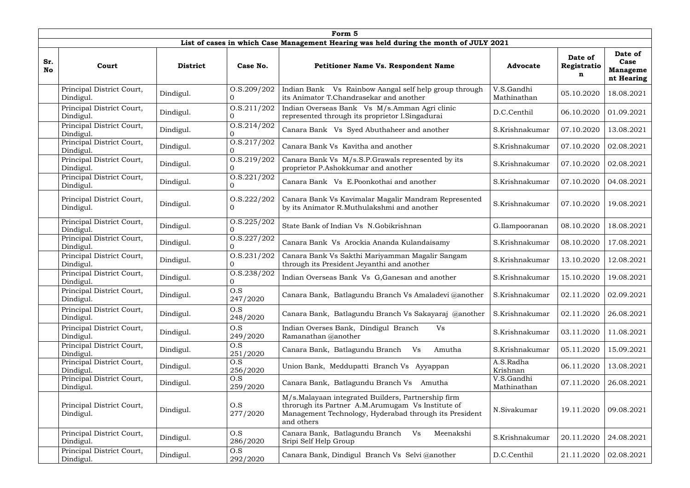|                  |                                        |                 |                                   | Form 5                                                                                                                                                                          |                           |                             |                                                  |
|------------------|----------------------------------------|-----------------|-----------------------------------|---------------------------------------------------------------------------------------------------------------------------------------------------------------------------------|---------------------------|-----------------------------|--------------------------------------------------|
|                  |                                        |                 |                                   | List of cases in which Case Management Hearing was held during the month of JULY 2021                                                                                           |                           |                             |                                                  |
| Sr.<br><b>No</b> | Court                                  | <b>District</b> | Case No.                          | <b>Petitioner Name Vs. Respondent Name</b>                                                                                                                                      | <b>Advocate</b>           | Date of<br>Registratio<br>n | Date of<br>Case<br><b>Manageme</b><br>nt Hearing |
|                  | Principal District Court,<br>Dindigul. | Dindigul.       | 0. S. 209 / 202<br>0              | Indian Bank Vs Rainbow Aangal self help group through<br>its Animator T.Chandrasekar and another                                                                                | V.S.Gandhi<br>Mathinathan | 05.10.2020                  | 18.08.2021                                       |
|                  | Principal District Court,<br>Dindigul. | Dindigul.       | 0. S. 211/202<br>0                | Indian Overseas Bank Vs M/s.Amman Agri clinic<br>represented through its proprietor I.Singadurai                                                                                | D.C.Centhil               | 06.10.2020                  | 01.09.2021                                       |
|                  | Principal District Court,<br>Dindigul. | Dindigul.       | 0. S. 214 / 202<br>0              | Canara Bank Vs Syed Abuthaheer and another                                                                                                                                      | S.Krishnakumar            | 07.10.2020                  | 13.08.2021                                       |
|                  | Principal District Court,<br>Dindigul. | Dindigul.       | 0. S. 217 / 202                   | Canara Bank Vs Kavitha and another                                                                                                                                              | S.Krishnakumar            | 07.10.2020                  | 02.08.2021                                       |
|                  | Principal District Court,<br>Dindigul. | Dindigul.       | O.S.219/202<br>$\overline{0}$     | Canara Bank Vs M/s.S.P.Grawals represented by its<br>proprietor P.Ashokkumar and another                                                                                        | S.Krishnakumar            | 07.10.2020                  | 02.08.2021                                       |
|                  | Principal District Court,<br>Dindigul. | Dindigul.       | 0. S. 221 / 202<br>0              | Canara Bank Vs E.Poonkothai and another                                                                                                                                         | S.Krishnakumar            | 07.10.2020                  | 04.08.2021                                       |
|                  | Principal District Court,<br>Dindigul. | Dindigul.       | 0. S. 222 / 202<br>$\Omega$       | Canara Bank Vs Kavimalar Magalir Mandram Represented<br>by its Animator R.Muthulakshmi and another                                                                              | S.Krishnakumar            | 07.10.2020                  | 19.08.2021                                       |
|                  | Principal District Court,<br>Dindigul. | Dindigul.       | O.S.225/202<br>$\Omega$           | State Bank of Indian Vs N.Gobikrishnan                                                                                                                                          | G.Ilampooranan            | 08.10.2020                  | 18.08.2021                                       |
|                  | Principal District Court,<br>Dindigul. | Dindigul.       | 0. S. 227 / 202<br>$\Omega$       | Canara Bank Vs Arockia Ananda Kulandaisamy                                                                                                                                      | S.Krishnakumar            | 08.10.2020                  | 17.08.2021                                       |
|                  | Principal District Court,<br>Dindigul. | Dindigul.       | 0. S. 231 / 202<br>$\overline{0}$ | Canara Bank Vs Sakthi Mariyamman Magalir Sangam<br>through its President Jeyanthi and another                                                                                   | S.Krishnakumar            | 13.10.2020                  | 12.08.2021                                       |
|                  | Principal District Court,<br>Dindigul. | Dindigul.       | O.S.238/202<br>$\overline{0}$     | Indian Overseas Bank Vs G, Ganesan and another                                                                                                                                  | S.Krishnakumar            | 15.10.2020                  | 19.08.2021                                       |
|                  | Principal District Court,<br>Dindigul. | Dindigul.       | O.S<br>247/2020                   | Canara Bank, Batlagundu Branch Vs Amaladevi @another                                                                                                                            | S.Krishnakumar            | 02.11.2020                  | 02.09.2021                                       |
|                  | Principal District Court,<br>Dindigul. | Dindigul.       | O.S<br>248/2020                   | Canara Bank, Batlagundu Branch Vs Sakayaraj @another                                                                                                                            | S.Krishnakumar            | 02.11.2020                  | 26.08.2021                                       |
|                  | Principal District Court,<br>Dindigul. | Dindigul.       | O.S<br>249/2020                   | Indian Overses Bank, Dindigul Branch<br>Vs<br>Ramanathan @another                                                                                                               | S.Krishnakumar            | 03.11.2020                  | 11.08.2021                                       |
|                  | Principal District Court,<br>Dindigul. | Dindigul.       | O.S<br>251/2020                   | Canara Bank, Batlagundu Branch<br>Amutha<br>Vs                                                                                                                                  | S.Krishnakumar            | 05.11.2020                  | 15.09.2021                                       |
|                  | Principal District Court,<br>Dindigul. | Dindigul.       | O.S<br>256/2020                   | Union Bank, Meddupatti Branch Vs Ayyappan                                                                                                                                       | A.S.Radha<br>Krishnan     | 06.11.2020                  | 13.08.2021                                       |
|                  | Principal District Court,<br>Dindigul. | Dindigul.       | O.S<br>259/2020                   | Canara Bank, Batlagundu Branch Vs Amutha                                                                                                                                        | V.S.Gandhi<br>Mathinathan | 07.11.2020                  | 26.08.2021                                       |
|                  | Principal District Court,<br>Dindigul. | Dindigul.       | O.S<br>277/2020                   | M/s.Malayaan integrated Builders, Partnership firm<br>throrugh its Partner A.M.Arumugam Vs Institute of<br>Management Technology, Hyderabad through its President<br>and others | N.Sivakumar               | 19.11.2020                  | 09.08.2021                                       |
|                  | Principal District Court,<br>Dindigul. | Dindigul.       | O.S<br>286/2020                   | Canara Bank, Batlagundu Branch<br>Meenakshi<br>Vs<br>Sripi Self Help Group                                                                                                      | S.Krishnakumar            | 20.11.2020                  | 24.08.2021                                       |
|                  | Principal District Court,<br>Dindigul. | Dindigul.       | O.S<br>292/2020                   | Canara Bank, Dindigul Branch Vs Selvi @another                                                                                                                                  | D.C.Centhil               | 21.11.2020                  | 02.08.2021                                       |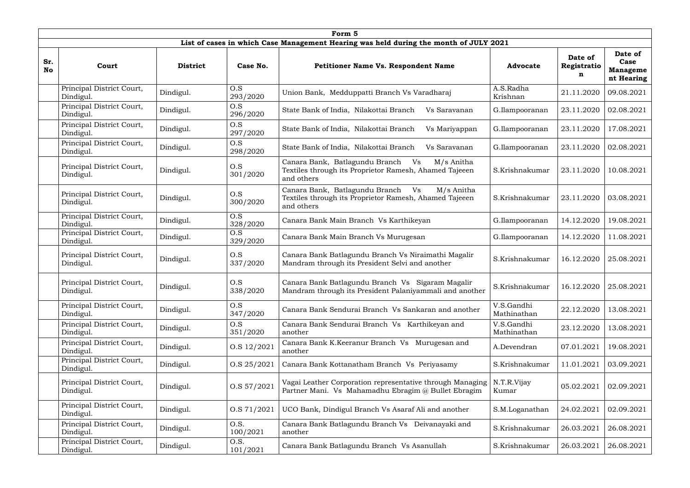|                  | Form 5                                 |                 |                  |                                                                                                                            |                           |                             |                                                  |  |  |  |  |  |
|------------------|----------------------------------------|-----------------|------------------|----------------------------------------------------------------------------------------------------------------------------|---------------------------|-----------------------------|--------------------------------------------------|--|--|--|--|--|
|                  |                                        |                 |                  | List of cases in which Case Management Hearing was held during the month of JULY 2021                                      |                           |                             |                                                  |  |  |  |  |  |
| Sr.<br><b>No</b> | Court                                  | <b>District</b> | Case No.         | <b>Petitioner Name Vs. Respondent Name</b>                                                                                 | <b>Advocate</b>           | Date of<br>Registratio<br>n | Date of<br>Case<br><b>Manageme</b><br>nt Hearing |  |  |  |  |  |
|                  | Principal District Court,<br>Dindigul. | Dindigul.       | O.S<br>293/2020  | Union Bank, Medduppatti Branch Vs Varadharaj                                                                               | A.S.Radha<br>Krishnan     | 21.11.2020                  | 09.08.2021                                       |  |  |  |  |  |
|                  | Principal District Court,<br>Dindigul. | Dindigul.       | O.S<br>296/2020  | State Bank of India, Nilakottai Branch<br>Vs Saravanan                                                                     | G.Ilampooranan            | 23.11.2020                  | 02.08.2021                                       |  |  |  |  |  |
|                  | Principal District Court,<br>Dindigul. | Dindigul.       | O.S<br>297/2020  | State Bank of India, Nilakottai Branch<br>Vs Mariyappan                                                                    | G.Ilampooranan            | 23.11.2020                  | 17.08.2021                                       |  |  |  |  |  |
|                  | Principal District Court,<br>Dindigul. | Dindigul.       | O.S<br>298/2020  | State Bank of India, Nilakottai Branch<br>Vs Saravanan                                                                     | G.Ilampooranan            | 23.11.2020                  | 02.08.2021                                       |  |  |  |  |  |
|                  | Principal District Court,<br>Dindigul. | Dindigul.       | O.S<br>301/2020  | Canara Bank, Batlagundu Branch<br>Vs<br>M/s Anitha<br>Textiles through its Proprietor Ramesh, Ahamed Tajeeen<br>and others | S.Krishnakumar            | 23.11.2020                  | 10.08.2021                                       |  |  |  |  |  |
|                  | Principal District Court,<br>Dindigul. | Dindigul.       | O.S<br>300/2020  | Canara Bank, Batlagundu Branch<br>Vs<br>M/s Anitha<br>Textiles through its Proprietor Ramesh, Ahamed Tajeeen<br>and others | S.Krishnakumar            | 23.11.2020                  | 03.08.2021                                       |  |  |  |  |  |
|                  | Principal District Court,<br>Dindigul. | Dindigul.       | O.S<br>328/2020  | Canara Bank Main Branch Vs Karthikeyan                                                                                     | G.Ilampooranan            | 14.12.2020                  | 19.08.2021                                       |  |  |  |  |  |
|                  | Principal District Court,<br>Dindigul. | Dindigul.       | O.S<br>329/2020  | Canara Bank Main Branch Vs Murugesan                                                                                       | G.Ilampooranan            | 14.12.2020                  | 11.08.2021                                       |  |  |  |  |  |
|                  | Principal District Court,<br>Dindigul. | Dindigul.       | O.S<br>337/2020  | Canara Bank Batlagundu Branch Vs Niraimathi Magalir<br>Mandram through its President Selvi and another                     | S.Krishnakumar            | 16.12.2020                  | 25.08.2021                                       |  |  |  |  |  |
|                  | Principal District Court,<br>Dindigul. | Dindigul.       | O.S<br>338/2020  | Canara Bank Batlagundu Branch Vs Sigaram Magalir<br>Mandram through its President Palaniyammali and another                | S.Krishnakumar            |                             | 16.12.2020   25.08.2021                          |  |  |  |  |  |
|                  | Principal District Court,<br>Dindigul. | Dindigul.       | O.S<br>347/2020  | Canara Bank Sendurai Branch Vs Sankaran and another                                                                        | V.S.Gandhi<br>Mathinathan | 22.12.2020                  | 13.08.2021                                       |  |  |  |  |  |
|                  | Principal District Court,<br>Dindigul. | Dindigul.       | O.S<br>351/2020  | Canara Bank Sendurai Branch Vs Karthikeyan and<br>another                                                                  | V.S.Gandhi<br>Mathinathan | 23.12.2020                  | 13.08.2021                                       |  |  |  |  |  |
|                  | Principal District Court,<br>Dindigul. | Dindigul.       | O.S 12/2021      | Canara Bank K.Keeranur Branch Vs Murugesan and<br>another                                                                  | A.Devendran               | 07.01.2021                  | 19.08.2021                                       |  |  |  |  |  |
|                  | Principal District Court,<br>Dindigul. | Dindigul.       | O.S 25/2021      | Canara Bank Kottanatham Branch Vs Periyasamy                                                                               | S.Krishnakumar            | 11.01.2021                  | 03.09.2021                                       |  |  |  |  |  |
|                  | Principal District Court,<br>Dindigul. | Dindigul.       | O.S 57/2021      | Vagai Leather Corporation representative through Managing<br>Partner Mani. Vs Mahamadhu Ebragim @ Bullet Ebragim           | N.T.R.Vijay<br>Kumar      | 05.02.2021                  | 02.09.2021                                       |  |  |  |  |  |
|                  | Principal District Court,<br>Dindigul. | Dindigul.       | O.S 71/2021      | UCO Bank, Dindigul Branch Vs Asaraf Ali and another                                                                        | S.M.Loganathan            | 24.02.2021                  | 02.09.2021                                       |  |  |  |  |  |
|                  | Principal District Court,<br>Dindigul. | Dindigul.       | O.S.<br>100/2021 | Canara Bank Batlagundu Branch Vs Deivanayaki and<br>another                                                                | S.Krishnakumar            | 26.03.2021                  | 26.08.2021                                       |  |  |  |  |  |
|                  | Principal District Court,<br>Dindigul. | Dindigul.       | O.S.<br>101/2021 | Canara Bank Batlagundu Branch Vs Asanullah                                                                                 | S.Krishnakumar            | 26.03.2021                  | 26.08.2021                                       |  |  |  |  |  |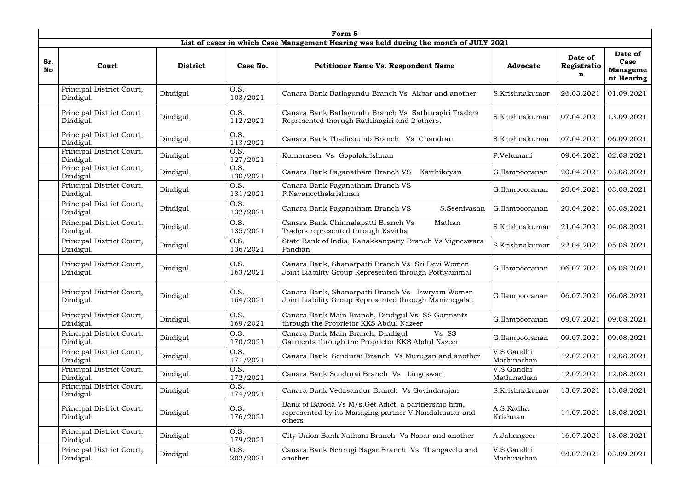|                  | Form 5                                 |                 |                  |                                                                                                                         |                           |                             |                                                  |  |  |  |  |  |
|------------------|----------------------------------------|-----------------|------------------|-------------------------------------------------------------------------------------------------------------------------|---------------------------|-----------------------------|--------------------------------------------------|--|--|--|--|--|
|                  |                                        |                 |                  | List of cases in which Case Management Hearing was held during the month of JULY 2021                                   |                           |                             |                                                  |  |  |  |  |  |
| Sr.<br><b>No</b> | Court                                  | <b>District</b> | Case No.         | <b>Petitioner Name Vs. Respondent Name</b>                                                                              | <b>Advocate</b>           | Date of<br>Registratio<br>n | Date of<br>Case<br><b>Manageme</b><br>nt Hearing |  |  |  |  |  |
|                  | Principal District Court,<br>Dindigul. | Dindigul.       | O.S.<br>103/2021 | Canara Bank Batlagundu Branch Vs Akbar and another                                                                      | S.Krishnakumar            | 26.03.2021                  | 01.09.2021                                       |  |  |  |  |  |
|                  | Principal District Court,<br>Dindigul. | Dindigul.       | O.S.<br>112/2021 | Canara Bank Batlagundu Branch Vs Sathuragiri Traders<br>Represented thorugh Rathinagiri and 2 others.                   | S.Krishnakumar            | 07.04.2021                  | 13.09.2021                                       |  |  |  |  |  |
|                  | Principal District Court,<br>Dindigul. | Dindigul.       | O.S.<br>113/2021 | Canara Bank Thadicoumb Branch Vs Chandran                                                                               | S.Krishnakumar            | 07.04.2021                  | 06.09.2021                                       |  |  |  |  |  |
|                  | Principal District Court,<br>Dindigul. | Dindigul.       | O.S.<br>127/2021 | Kumarasen Vs Gopalakrishnan                                                                                             | P.Velumani                | 09.04.2021                  | 02.08.2021                                       |  |  |  |  |  |
|                  | Principal District Court,<br>Dindigul. | Dindigul.       | O.S.<br>130/2021 | Canara Bank Paganatham Branch VS<br>Karthikeyan                                                                         | G.Ilampooranan            | 20.04.2021                  | 03.08.2021                                       |  |  |  |  |  |
|                  | Principal District Court,<br>Dindigul. | Dindigul.       | O.S.<br>131/2021 | Canara Bank Paganatham Branch VS<br>P.Navaneethakrishnan                                                                | G.Ilampooranan            | 20.04.2021                  | 03.08.2021                                       |  |  |  |  |  |
|                  | Principal District Court,<br>Dindigul. | Dindigul.       | O.S.<br>132/2021 | Canara Bank Paganatham Branch VS<br>S.Seenivasan                                                                        | G.Ilampooranan            | 20.04.2021                  | 03.08.2021                                       |  |  |  |  |  |
|                  | Principal District Court,<br>Dindigul. | Dindigul.       | O.S.<br>135/2021 | Canara Bank Chinnalapatti Branch Vs<br>Mathan<br>Traders represented through Kavitha                                    | S.Krishnakumar            | 21.04.2021                  | 04.08.2021                                       |  |  |  |  |  |
|                  | Principal District Court,<br>Dindigul. | Dindigul.       | O.S.<br>136/2021 | State Bank of India, Kanakkanpatty Branch Vs Vigneswara<br>Pandian                                                      | S.Krishnakumar            | 22.04.2021                  | 05.08.2021                                       |  |  |  |  |  |
|                  | Principal District Court,<br>Dindigul. | Dindigul.       | O.S.<br>163/2021 | Canara Bank, Shanarpatti Branch Vs Sri Devi Women<br>Joint Liability Group Represented through Pottiyammal              | G.Ilampooranan            | 06.07.2021                  | 06.08.2021                                       |  |  |  |  |  |
|                  | Principal District Court,<br>Dindigul. | Dindigul.       | O.S.<br>164/2021 | Canara Bank, Shanarpatti Branch Vs Iswryam Women<br>Joint Liability Group Represented through Manimegalai.              | G.Ilampooranan            | 06.07.2021                  | 06.08.2021                                       |  |  |  |  |  |
|                  | Principal District Court,<br>Dindigul. | Dindigul.       | O.S.<br>169/2021 | Canara Bank Main Branch, Dindigul Vs SS Garments<br>through the Proprietor KKS Abdul Nazeer                             | G.Ilampooranan            | 09.07.2021                  | 09.08.2021                                       |  |  |  |  |  |
|                  | Principal District Court,<br>Dindigul. | Dindigul.       | O.S.<br>170/2021 | Vs SS<br>Canara Bank Main Branch, Dindigul<br>Garments through the Proprietor KKS Abdul Nazeer                          | G.Ilampooranan            | 09.07.2021                  | 09.08.2021                                       |  |  |  |  |  |
|                  | Principal District Court,<br>Dindigul. | Dindigul.       | O.S.<br>171/2021 | Canara Bank Sendurai Branch Vs Murugan and another                                                                      | V.S.Gandhi<br>Mathinathan | 12.07.2021                  | 12.08.2021                                       |  |  |  |  |  |
|                  | Principal District Court,<br>Dindigul. | Dindigul.       | O.S.<br>172/2021 | Canara Bank Sendurai Branch Vs Lingeswari                                                                               | V.S.Gandhi<br>Mathinathan | 12.07.2021                  | 12.08.2021                                       |  |  |  |  |  |
|                  | Principal District Court,<br>Dindigul. | Dindigul.       | O.S.<br>174/2021 | Canara Bank Vedasandur Branch Vs Govindarajan                                                                           | S.Krishnakumar            | 13.07.2021                  | 13.08.2021                                       |  |  |  |  |  |
|                  | Principal District Court,<br>Dindigul. | Dindigul.       | O.S.<br>176/2021 | Bank of Baroda Vs M/s. Get Adict, a partnership firm,<br>represented by its Managing partner V.Nandakumar and<br>others | A.S.Radha<br>Krishnan     | 14.07.2021                  | 18.08.2021                                       |  |  |  |  |  |
|                  | Principal District Court,<br>Dindigul. | Dindigul.       | O.S.<br>179/2021 | City Union Bank Natham Branch Vs Nasar and another                                                                      | A.Jahangeer               | 16.07.2021                  | 18.08.2021                                       |  |  |  |  |  |
|                  | Principal District Court,<br>Dindigul. | Dindigul.       | O.S.<br>202/2021 | Canara Bank Nehrugi Nagar Branch Vs Thangavelu and<br>another                                                           | V.S.Gandhi<br>Mathinathan | 28.07.2021                  | 03.09.2021                                       |  |  |  |  |  |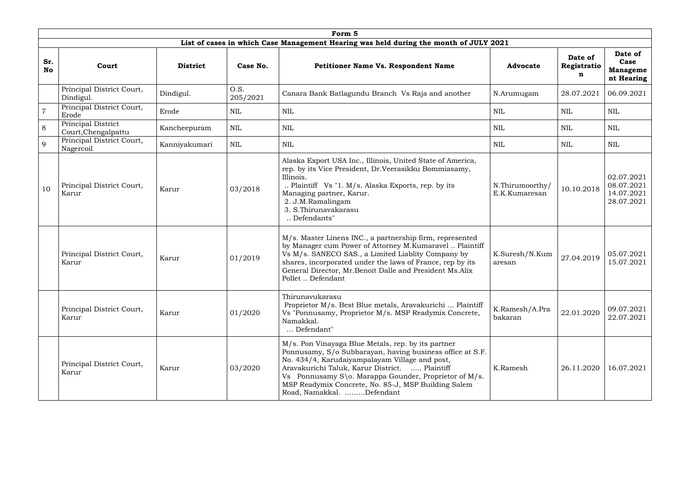|                  | Form 5                                    |                 |                  |                                                                                                                                                                                                                                                                                                                                                                  |                                  |                             |                                                      |  |  |  |  |
|------------------|-------------------------------------------|-----------------|------------------|------------------------------------------------------------------------------------------------------------------------------------------------------------------------------------------------------------------------------------------------------------------------------------------------------------------------------------------------------------------|----------------------------------|-----------------------------|------------------------------------------------------|--|--|--|--|
|                  |                                           |                 |                  | List of cases in which Case Management Hearing was held during the month of JULY 2021                                                                                                                                                                                                                                                                            |                                  |                             |                                                      |  |  |  |  |
| Sr.<br><b>No</b> | Court                                     | <b>District</b> | Case No.         | <b>Petitioner Name Vs. Respondent Name</b>                                                                                                                                                                                                                                                                                                                       | <b>Advocate</b>                  | Date of<br>Registratio<br>n | Date of<br>Case<br><b>Manageme</b><br>nt Hearing     |  |  |  |  |
|                  | Principal District Court,<br>Dindigul.    | Dindigul.       | O.S.<br>205/2021 | Canara Bank Batlagundu Branch Vs Raja and another                                                                                                                                                                                                                                                                                                                | N.Arumugam                       | 28.07.2021                  | 06.09.2021                                           |  |  |  |  |
|                  | Principal District Court,<br>Erode        | Erode           | <b>NIL</b>       | <b>NIL</b>                                                                                                                                                                                                                                                                                                                                                       | <b>NIL</b>                       | <b>NIL</b>                  | <b>NIL</b>                                           |  |  |  |  |
| 8                | Principal District<br>Court, Chengalpattu | Kancheepuram    | <b>NIL</b>       | <b>NIL</b>                                                                                                                                                                                                                                                                                                                                                       | <b>NIL</b>                       | <b>NIL</b>                  | <b>NIL</b>                                           |  |  |  |  |
| 9                | Principal District Court,<br>Nagercoil    | Kanniyakumari   | <b>NIL</b>       | <b>NIL</b>                                                                                                                                                                                                                                                                                                                                                       | <b>NIL</b>                       | <b>NIL</b>                  | <b>NIL</b>                                           |  |  |  |  |
| 10               | Principal District Court,<br>Karur        | Karur           | 03/2018          | Alaska Export USA Inc., Illinois, United State of America,<br>rep. by its Vice President, Dr.Veerasikku Bommiasamy,<br>Illinois.<br>Plaintiff Vs "1. M/s. Alaska Exports, rep. by its<br>Managing partner, Karur.<br>2. J.M.Ramalingam<br>3. S. Thirunavakarasu<br>Defendants"                                                                                   | N.Thirumoorthy/<br>E.K.Kumaresan | 10.10.2018                  | 02.07.2021<br>08.07.2021<br>14.07.2021<br>28.07.2021 |  |  |  |  |
|                  | Principal District Court,<br>Karur        | Karur           | 01/2019          | M/s. Master Linens INC., a partnership firm, represented<br>by Manager cum Power of Attorney M.Kumaravel  Plaintiff<br>Vs M/s. SANECO SAS., a Limited Liablity Company by<br>shares, incorporated under the laws of France, rep by its<br>General Director, Mr.Benoit Dalle and President Ms.Alix<br>Pollet  Defendant                                           | K.Suresh/N.Kum<br>aresan         | 27.04.2019                  | 05.07.2021<br>15.07.2021                             |  |  |  |  |
|                  | Principal District Court,<br>Karur        | Karur           | 01/2020          | Thirunavukarasu<br>Proprietor M/s. Best Blue metals, Aravakurichi  Plaintiff<br>Vs "Ponnusamy, Proprietor M/s. MSP Readymix Concrete,<br>Namakkal.<br>Defendant"                                                                                                                                                                                                 | K.Ramesh/A.Pra<br>bakaran        | 22.01.2020                  | 09.07.2021<br>22.07.2021                             |  |  |  |  |
|                  | Principal District Court,<br>Karur        | Karur           | 03/2020          | M/s. Pon Vinayaga Blue Metals, rep. by its partner<br>Ponnusamy, S/o Subbarayan, having business office at S.F.<br>No. 434/4, Karudaiyampalayam Village and post,<br>Aravakurichi Taluk, Karur District.  Plaintiff<br>Vs Ponnusamy S\o. Marappa Gounder, Proprietor of M/s.<br>MSP Readymix Concrete, No. 85-J, MSP Building Salem<br>Road, Namakkal. Defendant | K.Ramesh                         | 26.11.2020                  | 16.07.2021                                           |  |  |  |  |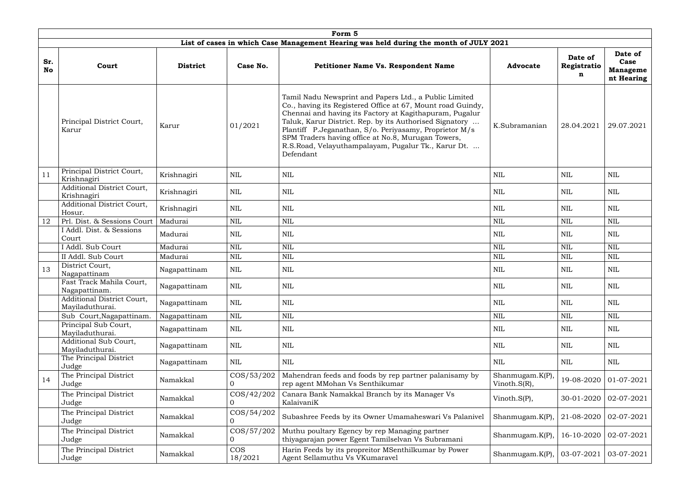|                  | Form 5                                                                                                                                                                  |                 |                            |                                                                                                                                                                                                                                                                                                                                                                                                                                 |                                     |                             |                                                  |  |  |  |  |  |  |
|------------------|-------------------------------------------------------------------------------------------------------------------------------------------------------------------------|-----------------|----------------------------|---------------------------------------------------------------------------------------------------------------------------------------------------------------------------------------------------------------------------------------------------------------------------------------------------------------------------------------------------------------------------------------------------------------------------------|-------------------------------------|-----------------------------|--------------------------------------------------|--|--|--|--|--|--|
|                  |                                                                                                                                                                         |                 |                            | List of cases in which Case Management Hearing was held during the month of JULY 2021                                                                                                                                                                                                                                                                                                                                           |                                     |                             |                                                  |  |  |  |  |  |  |
| Sr.<br><b>No</b> | Court                                                                                                                                                                   | <b>District</b> | Case No.                   | <b>Petitioner Name Vs. Respondent Name</b>                                                                                                                                                                                                                                                                                                                                                                                      | <b>Advocate</b>                     | Date of<br>Registratio<br>n | Date of<br>Case<br><b>Manageme</b><br>nt Hearing |  |  |  |  |  |  |
|                  | Principal District Court,<br>Karur<br>Karur                                                                                                                             |                 | 01/2021                    | Tamil Nadu Newsprint and Papers Ltd., a Public Limited<br>Co., having its Registered Office at 67, Mount road Guindy,<br>Chennai and having its Factory at Kagithapuram, Pugalur<br>Taluk, Karur District. Rep. by its Authorised Signatory<br>Plantiff P.Jeganathan, S/o. Periyasamy, Proprietor M/s<br>SPM Traders having office at No.8, Murugan Towers,<br>R.S.Road, Velayuthampalayam, Pugalur Tk., Karur Dt.<br>Defendant | K.Subramanian                       | 28.04.2021                  | 29.07.2021                                       |  |  |  |  |  |  |
| 11               | Principal District Court,<br>Krishnagiri<br>Krishnagiri                                                                                                                 |                 | <b>NIL</b>                 | <b>NIL</b>                                                                                                                                                                                                                                                                                                                                                                                                                      | <b>NIL</b>                          | <b>NIL</b>                  | <b>NIL</b>                                       |  |  |  |  |  |  |
|                  | Additional District Court,<br><b>NIL</b><br>Krishnagiri<br>Krishnagiri                                                                                                  |                 |                            | <b>NIL</b>                                                                                                                                                                                                                                                                                                                                                                                                                      | <b>NIL</b>                          | <b>NIL</b>                  | <b>NIL</b>                                       |  |  |  |  |  |  |
|                  | Additional District Court,<br>Hosur.                                                                                                                                    | Krishnagiri     | <b>NIL</b>                 | <b>NIL</b>                                                                                                                                                                                                                                                                                                                                                                                                                      | <b>NIL</b>                          | NIL                         | <b>NIL</b>                                       |  |  |  |  |  |  |
| 12               | Prl. Dist. & Sessions Court                                                                                                                                             | Madurai         | <b>NIL</b>                 | <b>NIL</b>                                                                                                                                                                                                                                                                                                                                                                                                                      | <b>NIL</b>                          | <b>NIL</b>                  | $\mbox{NIL}$                                     |  |  |  |  |  |  |
|                  | I Addl. Dist. & Sessions<br>Court                                                                                                                                       | Madurai         | <b>NIL</b>                 | <b>NIL</b>                                                                                                                                                                                                                                                                                                                                                                                                                      | <b>NIL</b>                          | <b>NIL</b>                  | <b>NIL</b>                                       |  |  |  |  |  |  |
|                  | I Addl. Sub Court                                                                                                                                                       | Madurai         | <b>NIL</b>                 | <b>NIL</b>                                                                                                                                                                                                                                                                                                                                                                                                                      | <b>NIL</b>                          | <b>NIL</b>                  | <b>NIL</b>                                       |  |  |  |  |  |  |
|                  | II Addl. Sub Court                                                                                                                                                      | Madurai         | <b>NIL</b>                 | <b>NIL</b>                                                                                                                                                                                                                                                                                                                                                                                                                      | <b>NIL</b>                          | <b>NIL</b>                  | <b>NIL</b>                                       |  |  |  |  |  |  |
| 13               | District Court,<br>Nagapattinam                                                                                                                                         | Nagapattinam    | <b>NIL</b>                 | <b>NIL</b>                                                                                                                                                                                                                                                                                                                                                                                                                      | <b>NIL</b>                          | <b>NIL</b>                  | <b>NIL</b>                                       |  |  |  |  |  |  |
|                  | Fast Track Mahila Court,<br>Nagapattinam.                                                                                                                               | Nagapattinam    | NIL                        | NIL                                                                                                                                                                                                                                                                                                                                                                                                                             | NIL                                 | $\mbox{NIL}$                | NIL                                              |  |  |  |  |  |  |
|                  | Additional District Court,<br>Mayiladuthurai.                                                                                                                           | Nagapattinam    | <b>NIL</b>                 | <b>NIL</b>                                                                                                                                                                                                                                                                                                                                                                                                                      | $\mbox{NIL}$                        | <b>NIL</b>                  | $\mbox{NIL}$                                     |  |  |  |  |  |  |
|                  | Sub Court, Nagapattinam.                                                                                                                                                | Nagapattinam    | <b>NIL</b>                 | $\text{NIL}$                                                                                                                                                                                                                                                                                                                                                                                                                    | $\mbox{NIL}$                        | <b>NIL</b>                  | <b>NIL</b>                                       |  |  |  |  |  |  |
|                  | Principal Sub Court,<br>Mayiladuthurai.                                                                                                                                 | Nagapattinam    | NIL                        | NIL                                                                                                                                                                                                                                                                                                                                                                                                                             | NIL                                 | NIL                         | NIL                                              |  |  |  |  |  |  |
|                  | Additional Sub Court,<br>Mayiladuthurai.                                                                                                                                | Nagapattinam    | NIL                        | <b>NIL</b>                                                                                                                                                                                                                                                                                                                                                                                                                      | NIL                                 | NIL                         | NIL                                              |  |  |  |  |  |  |
|                  | The Principal District<br>Judge                                                                                                                                         | Nagapattinam    | <b>NIL</b>                 | <b>NIL</b>                                                                                                                                                                                                                                                                                                                                                                                                                      | <b>NIL</b>                          | NIL                         | NIL                                              |  |  |  |  |  |  |
| 14               | The Principal District<br>Judge                                                                                                                                         | Namakkal        | $\cos(53/202)$<br>$\Omega$ | Mahendran feeds and foods by rep partner palanisamy by<br>rep agent MMohan Vs Senthikumar                                                                                                                                                                                                                                                                                                                                       | Shanmugam.K(P),<br>Vinoth. $S(R)$ , | 19-08-2020                  | 01-07-2021                                       |  |  |  |  |  |  |
|                  | The Principal District<br>$\cos(42/202)$<br>Canara Bank Namakkal Branch by its Manager Vs<br>Namakkal<br>$\overline{0}$<br>KalaivaniK<br>Judge                          |                 | Vinoth. $S(P)$ ,           | 30-01-2020                                                                                                                                                                                                                                                                                                                                                                                                                      | 02-07-2021                          |                             |                                                  |  |  |  |  |  |  |
|                  | The Principal District<br>$\cos/54/202$<br>Subashree Feeds by its Owner Umamaheswari Vs Palanivel<br>Namakkal<br>Judge<br>$\overline{0}$                                |                 | Shanmugam. $K(P)$          | 21-08-2020                                                                                                                                                                                                                                                                                                                                                                                                                      | 02-07-2021                          |                             |                                                  |  |  |  |  |  |  |
|                  | The Principal District<br>$\cos/57/202$<br>Muthu poultary Egency by rep Managing partner<br>Namakkal<br>thiyagarajan power Egent Tamilselvan Vs Subramani<br>Judge<br>0 |                 |                            | Shanmugam. $K(P)$                                                                                                                                                                                                                                                                                                                                                                                                               | 16-10-2020                          | 02-07-2021                  |                                                  |  |  |  |  |  |  |
|                  | The Principal District<br><b>COS</b><br>Harin Feeds by its propreitor MSenthilkumar by Power<br>Namakkal<br>Agent Sellamuthu Vs VKumaravel<br>18/2021<br>Judge          |                 | Shanmugam.K(P),            | 03-07-2021                                                                                                                                                                                                                                                                                                                                                                                                                      | 03-07-2021                          |                             |                                                  |  |  |  |  |  |  |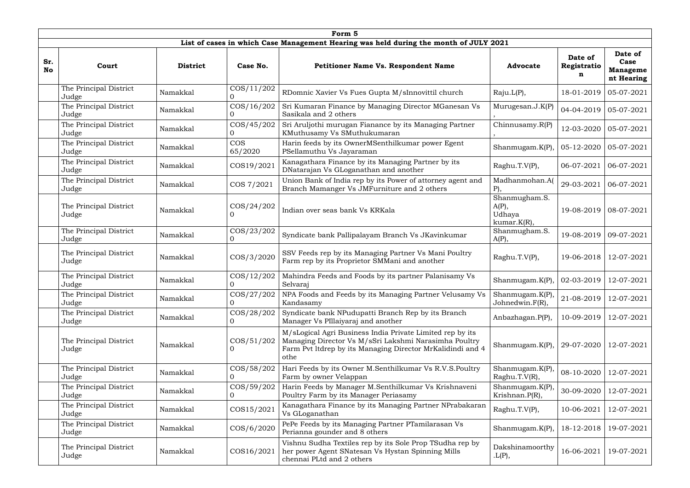|                  |                                                                             |                                                                                                                                                                                                                                                                                                                                                                                                                                                                                                                                             | Form 5                                                                                                                                     |                                                                                                                                                                                          |                                    |                             |                                                  |  |  |  |  |  |  |  |  |
|------------------|-----------------------------------------------------------------------------|---------------------------------------------------------------------------------------------------------------------------------------------------------------------------------------------------------------------------------------------------------------------------------------------------------------------------------------------------------------------------------------------------------------------------------------------------------------------------------------------------------------------------------------------|--------------------------------------------------------------------------------------------------------------------------------------------|------------------------------------------------------------------------------------------------------------------------------------------------------------------------------------------|------------------------------------|-----------------------------|--------------------------------------------------|--|--|--|--|--|--|--|--|
|                  |                                                                             |                                                                                                                                                                                                                                                                                                                                                                                                                                                                                                                                             |                                                                                                                                            | List of cases in which Case Management Hearing was held during the month of JULY 2021                                                                                                    |                                    |                             |                                                  |  |  |  |  |  |  |  |  |
| Sr.<br><b>No</b> | Court                                                                       | <b>District</b>                                                                                                                                                                                                                                                                                                                                                                                                                                                                                                                             | Case No.                                                                                                                                   | <b>Petitioner Name Vs. Respondent Name</b>                                                                                                                                               | <b>Advocate</b>                    | Date of<br>Registratio<br>n | Date of<br>Case<br><b>Manageme</b><br>nt Hearing |  |  |  |  |  |  |  |  |
|                  | The Principal District<br>Judge                                             | Namakkal                                                                                                                                                                                                                                                                                                                                                                                                                                                                                                                                    | $\cos/11/202$                                                                                                                              | RDomnic Xavier Vs Fues Gupta M/sInnovittil church                                                                                                                                        | Raju.L(P),                         | 18-01-2019                  | 05-07-2021                                       |  |  |  |  |  |  |  |  |
|                  | The Principal District<br>Judge                                             | Namakkal                                                                                                                                                                                                                                                                                                                                                                                                                                                                                                                                    | COS/16/202<br>$\Omega$                                                                                                                     | Sri Kumaran Finance by Managing Director MGanesan Vs<br>Sasikala and 2 others                                                                                                            | Murugesan.J. $K(P)$                | 04-04-2019                  | 05-07-2021                                       |  |  |  |  |  |  |  |  |
|                  | The Principal District<br>Judge                                             | Namakkal                                                                                                                                                                                                                                                                                                                                                                                                                                                                                                                                    | $\cos/45/202$<br>$\overline{0}$                                                                                                            | Sri Aruljothi murugan Fianance by its Managing Partner<br>KMuthusamy Vs SMuthukumaran                                                                                                    | Chinnusamy.R(P)                    | 12-03-2020                  | 05-07-2021                                       |  |  |  |  |  |  |  |  |
|                  | The Principal District<br>Judge                                             | <b>COS</b><br>Harin feeds by its OwnerMSenthilkumar power Egent<br>Namakkal<br>PSellamuthu Vs Jayaraman<br>65/2020<br>Kanagathara Finance by its Managing Partner by its<br>COS19/2021<br>Namakkal<br>DNatarajan Vs GLoganathan and another<br>Union Bank of India rep by its Power of attorney agent and<br>COS 7/2021<br>Namakkal<br>Branch Mamanger Vs JMFurniture and 2 others<br>$\cos(24/202)$<br>Indian over seas bank Vs KRKala<br>Namakkal<br>$\cos(23/202)$<br>Syndicate bank Pallipalayam Branch Vs JKavinkumar<br>Namakkal<br>0 |                                                                                                                                            | Shanmugam. $K(P)$                                                                                                                                                                        | 05-12-2020                         | 05-07-2021                  |                                                  |  |  |  |  |  |  |  |  |
|                  | The Principal District<br>Judge                                             |                                                                                                                                                                                                                                                                                                                                                                                                                                                                                                                                             |                                                                                                                                            | Raghu.T.V(P),                                                                                                                                                                            | 06-07-2021                         | 06-07-2021                  |                                                  |  |  |  |  |  |  |  |  |
|                  | The Principal District<br>Judge                                             |                                                                                                                                                                                                                                                                                                                                                                                                                                                                                                                                             |                                                                                                                                            | Madhanmohan.A(<br>$P$ ),                                                                                                                                                                 | 29-03-2021                         | 06-07-2021                  |                                                  |  |  |  |  |  |  |  |  |
|                  | The Principal District<br>Judge                                             |                                                                                                                                                                                                                                                                                                                                                                                                                                                                                                                                             |                                                                                                                                            | Shanmugham.S.<br>$A(P)$ ,<br>Udhaya<br>$kumar.K(R)$ ,                                                                                                                                    | 19-08-2019                         | 08-07-2021                  |                                                  |  |  |  |  |  |  |  |  |
|                  | The Principal District<br>Judge                                             |                                                                                                                                                                                                                                                                                                                                                                                                                                                                                                                                             |                                                                                                                                            |                                                                                                                                                                                          | Shanmugham.S.<br>$A(P)$ ,          | 19-08-2019                  | 09-07-2021                                       |  |  |  |  |  |  |  |  |
|                  | The Principal District<br>Judge                                             | Namakkal                                                                                                                                                                                                                                                                                                                                                                                                                                                                                                                                    | $\cos/3/2020$                                                                                                                              | SSV Feeds rep by its Managing Partner Vs Mani Poultry<br>Farm rep by its Proprietor SMMani and another                                                                                   | Raghu.T.V(P),                      | 19-06-2018                  | 12-07-2021                                       |  |  |  |  |  |  |  |  |
|                  | The Principal District<br>Judge                                             | Namakkal                                                                                                                                                                                                                                                                                                                                                                                                                                                                                                                                    | $\cos/12/202$<br>$\overline{0}$                                                                                                            | Mahindra Feeds and Foods by its partner Palanisamy Vs<br>Selvaraj                                                                                                                        | Shanmugam. $K(P)$ ,                | 02-03-2019                  | 12-07-2021                                       |  |  |  |  |  |  |  |  |
|                  | The Principal District<br>Judge                                             | Namakkal                                                                                                                                                                                                                                                                                                                                                                                                                                                                                                                                    | $\cos/27/202$<br>0                                                                                                                         | NPA Foods and Feeds by its Managing Partner Velusamy Vs<br>Kandasamy                                                                                                                     | Shanmugam.K(P),<br>Johnedwin.F(R), | 21-08-2019                  | 12-07-2021                                       |  |  |  |  |  |  |  |  |
|                  | The Principal District<br>Judge                                             | Namakkal                                                                                                                                                                                                                                                                                                                                                                                                                                                                                                                                    | COS/28/202<br>$\overline{0}$                                                                                                               | Syndicate bank NPudupatti Branch Rep by its Branch<br>Manager Vs PIllaiyaraj and another                                                                                                 | Anbazhagan.P(P),                   | 10-09-2019                  | 12-07-2021                                       |  |  |  |  |  |  |  |  |
|                  | The Principal District<br>Judge                                             | Namakkal                                                                                                                                                                                                                                                                                                                                                                                                                                                                                                                                    | $\cos(51/202)$<br>0                                                                                                                        | M/sLogical Agri Business India Private Limited rep by its<br>Managing Director Vs M/sSri Lakshmi Narasimha Poultry<br>Farm Pvt ltdrep by its Managing Director MrKalidindi and 4<br>othe | Shanmugam. $K(P)$ ,                | 29-07-2020                  | 12-07-2021                                       |  |  |  |  |  |  |  |  |
|                  | The Principal District<br>Judge                                             | Namakkal                                                                                                                                                                                                                                                                                                                                                                                                                                                                                                                                    | COS/58/202                                                                                                                                 | Hari Feeds by its Owner M.Senthilkumar Vs R.V.S.Poultry<br>Farm by owner Velappan                                                                                                        | Shanmugam.K(P),<br>Raghu.T.V(R),   | 08-10-2020                  | 12-07-2021                                       |  |  |  |  |  |  |  |  |
|                  | The Principal District<br>Judge                                             | COS/59/202<br>Harin Feeds by Manager M.Senthilkumar Vs Krishnaveni<br>Namakkal<br>Poultry Farm by its Manager Periasamy<br>$\Omega$                                                                                                                                                                                                                                                                                                                                                                                                         |                                                                                                                                            | Shanmugam.K(P),<br>Krishnan.P(R),                                                                                                                                                        | 30-09-2020                         | 12-07-2021                  |                                                  |  |  |  |  |  |  |  |  |
|                  | The Principal District<br>COS15/2021<br>Namakkal<br>Vs GLoganathan<br>Judge |                                                                                                                                                                                                                                                                                                                                                                                                                                                                                                                                             | Kanagathara Finance by its Managing Partner NPrabakaran                                                                                    | Raghu.T.V(P),                                                                                                                                                                            | 10-06-2021                         | 12-07-2021                  |                                                  |  |  |  |  |  |  |  |  |
|                  | The Principal District<br>$\cos/6/2020$<br>Namakkal<br>Judge                |                                                                                                                                                                                                                                                                                                                                                                                                                                                                                                                                             | PePe Feeds by its Managing Partner PTamilarasan Vs<br>Perianna gounder and 8 others                                                        | Shanmugam.K(P),                                                                                                                                                                          | 18-12-2018                         | 19-07-2021                  |                                                  |  |  |  |  |  |  |  |  |
|                  | The Principal District<br>COS16/2021<br>Namakkal<br>Judge                   |                                                                                                                                                                                                                                                                                                                                                                                                                                                                                                                                             | Vishnu Sudha Textiles rep by its Sole Prop TSudha rep by<br>her power Agent SNatesan Vs Hystan Spinning Mills<br>chennai PLtd and 2 others | Dakshinamoorthy<br>$L(P)$ ,                                                                                                                                                              | 16-06-2021                         | 19-07-2021                  |                                                  |  |  |  |  |  |  |  |  |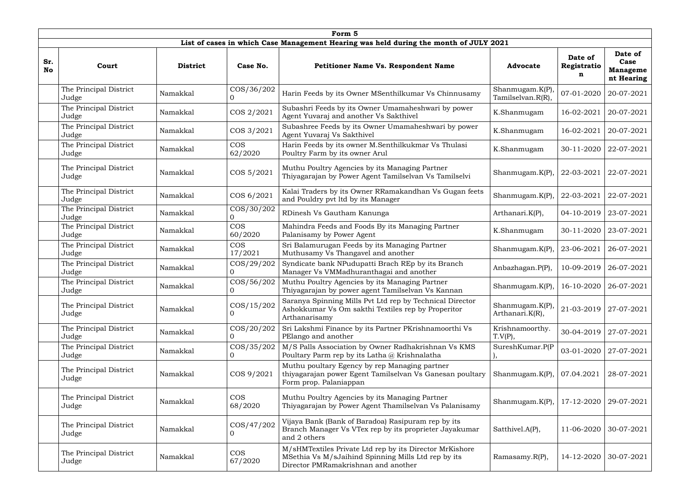|                  | Form 5                                      |                 |                       |                                                                                                                                                       |                                           |                             |                                                  |  |  |  |  |  |  |
|------------------|---------------------------------------------|-----------------|-----------------------|-------------------------------------------------------------------------------------------------------------------------------------------------------|-------------------------------------------|-----------------------------|--------------------------------------------------|--|--|--|--|--|--|
|                  |                                             |                 |                       | List of cases in which Case Management Hearing was held during the month of JULY 2021                                                                 |                                           |                             |                                                  |  |  |  |  |  |  |
| Sr.<br><b>No</b> | Court                                       | <b>District</b> | Case No.              | Petitioner Name Vs. Respondent Name                                                                                                                   | <b>Advocate</b>                           | Date of<br>Registratio<br>n | Date of<br>Case<br><b>Manageme</b><br>nt Hearing |  |  |  |  |  |  |
|                  | The Principal District<br>Judge             | Namakkal        | COS/36/202<br>0       | Harin Feeds by its Owner MSenthilkumar Vs Chinnusamy                                                                                                  | Shanmugam.K(P),<br>Tamilselvan.R(R),      | 07-01-2020                  | 20-07-2021                                       |  |  |  |  |  |  |
|                  | The Principal District<br>Judge             | Namakkal        | COS 2/2021            | Subashri Feeds by its Owner Umamaheshwari by power<br>Agent Yuvaraj and another Vs Sakthivel                                                          | K.Shanmugam                               | 16-02-2021                  | 20-07-2021                                       |  |  |  |  |  |  |
|                  | The Principal District<br>Namakkal<br>Judge |                 | COS 3/2021            | Subashree Feeds by its Owner Umamaheshwari by power<br>Agent Yuvaraj Vs Sakthivel                                                                     | K.Shanmugam                               | 16-02-2021                  | 20-07-2021                                       |  |  |  |  |  |  |
|                  | The Principal District<br>Judge             | Namakkal        | <b>COS</b><br>62/2020 | Harin Feeds by its owner M.Senthilkukmar Vs Thulasi<br>Poultry Farm by its owner Arul                                                                 | K.Shanmugam                               | 30-11-2020                  | 22-07-2021                                       |  |  |  |  |  |  |
|                  | The Principal District<br>Judge             | Namakkal        | COS 5/2021            | Muthu Poultry Agencies by its Managing Partner<br>Thiyagarajan by Power Agent Tamilselvan Vs Tamilselvi                                               | Shanmugam. $K(P)$ ,                       | 22-03-2021                  | 22-07-2021                                       |  |  |  |  |  |  |
|                  | The Principal District<br>Judge             | Namakkal        | COS 6/2021            | Kalai Traders by its Owner RRamakandhan Vs Gugan feets<br>and Pouldry pvt ltd by its Manager                                                          | Shanmugam.K(P),                           | 22-03-2021                  | 22-07-2021                                       |  |  |  |  |  |  |
|                  | The Principal District<br>Judge             | Namakkal        | COS/30/202<br>0       | RDinesh Vs Gautham Kanunga                                                                                                                            | Arthanari.K(P),                           | 04-10-2019                  | 23-07-2021                                       |  |  |  |  |  |  |
|                  | The Principal District<br>Judge             | Namakkal        | <b>COS</b><br>60/2020 | Mahindra Feeds and Foods By its Managing Partner<br>Palanisamy by Power Agent                                                                         | K.Shanmugam                               | 30-11-2020                  | 23-07-2021                                       |  |  |  |  |  |  |
|                  | The Principal District<br>Judge             | Namakkal        | <b>COS</b><br>17/2021 | Sri Balamurugan Feeds by its Managing Partner<br>Muthusamy Vs Thangavel and another                                                                   | Shanmugam.K(P),                           | 23-06-2021                  | 26-07-2021                                       |  |  |  |  |  |  |
|                  | The Principal District<br>Judge             | Namakkal        | COS/29/202<br>0       | Syndicate bank NPudupatti Brach REp by its Branch<br>Manager Vs VMMadhuranthagai and another                                                          | Anbazhagan.P(P),                          | 10-09-2019                  | 26-07-2021                                       |  |  |  |  |  |  |
|                  | The Principal District<br>Judge             | Namakkal        | COS/56/202            | Muthu Poultry Agencies by its Managing Partner<br>Thiyagarajan by power agent Tamilselvan Vs Kannan                                                   | Shanmugam.K(P),   16-10-2020   26-07-2021 |                             |                                                  |  |  |  |  |  |  |
|                  | The Principal District<br>Judge             | Namakkal        | $\cos/15/202$         | Saranya Spinning Mills Pvt Ltd rep by Technical Director<br>Ashokkumar Vs Om sakthi Textiles rep by Properitor<br>Arthanarisamy                       | Shanmugam.K(P),<br>Arthanari.K(R),        | 21-03-2019                  | $27-07-2021$                                     |  |  |  |  |  |  |
|                  | The Principal District<br>Judge             | Namakkal        | COS/20/202            | Sri Lakshmi Finance by its Partner PKrishnamoorthi Vs<br>PElango and another                                                                          | Krishnamoorthy.<br>T.V(P),                | 30-04-2019                  | 27-07-2021                                       |  |  |  |  |  |  |
|                  | The Principal District<br>Judge             | Namakkal        | COS/35/202<br>O.      | M/S Palls Association by Owner Radhakrishnan Vs KMS<br>Poultary Parm rep by its Latha @ Krishnalatha                                                  | SureshKumar.P(P                           | 03-01-2020                  | 27-07-2021                                       |  |  |  |  |  |  |
|                  | The Principal District<br>Judge             | Namakkal        | COS 9/2021            | Muthu poultary Egency by rep Managing partner<br>thiyagarajan power Egent Tamilselvan Vs Ganesan poultary<br>Form prop. Palaniappan                   | Shanmugam. $K(P)$ ,                       | 07.04.2021                  | 28-07-2021                                       |  |  |  |  |  |  |
|                  | The Principal District<br>Judge             | Namakkal        | <b>COS</b><br>68/2020 | Muthu Poultry Agencies by its Managing Partner<br>Thiyagarajan by Power Agent Thamilselvan Vs Palanisamy                                              | Shanmugam.K(P),                           | 17-12-2020                  | 29-07-2021                                       |  |  |  |  |  |  |
|                  | The Principal District<br>Judge             | Namakkal        | COS/47/202            | Vijaya Bank (Bank of Baradoa) Rasipuram rep by its<br>Branch Manager Vs VTex rep by its proprieter Jayakumar<br>and 2 others                          | Satthivel.A(P),                           | 11-06-2020                  | 30-07-2021                                       |  |  |  |  |  |  |
|                  | The Principal District<br>Judge             | Namakkal        | <b>COS</b><br>67/2020 | M/sHMTextiles Private Ltd rep by its Director MrKishore<br>MSethia Vs M/sJaihind Spinning Mills Ltd rep by its<br>Director PMRamakrishnan and another | Ramasamy.R(P),                            | 14-12-2020                  | 30-07-2021                                       |  |  |  |  |  |  |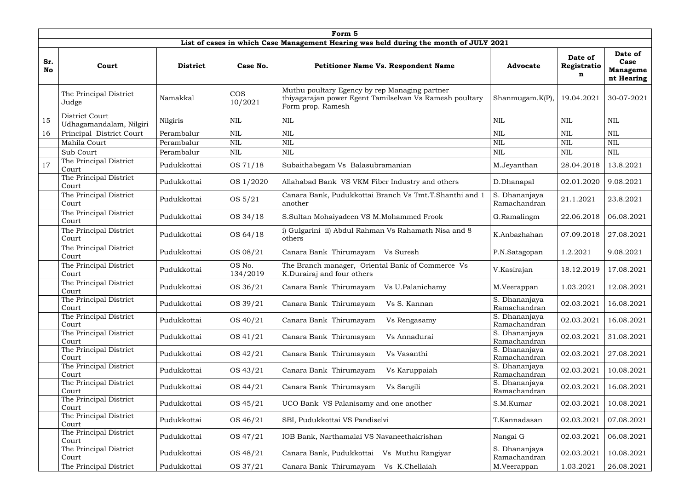|           | Form 5                                    |                 |                       |                                                                                                                               |                               |                             |                                                  |  |  |  |  |  |  |
|-----------|-------------------------------------------|-----------------|-----------------------|-------------------------------------------------------------------------------------------------------------------------------|-------------------------------|-----------------------------|--------------------------------------------------|--|--|--|--|--|--|
|           |                                           |                 |                       | List of cases in which Case Management Hearing was held during the month of JULY 2021                                         |                               |                             |                                                  |  |  |  |  |  |  |
| Sr.<br>No | Court                                     | <b>District</b> | Case No.              | <b>Petitioner Name Vs. Respondent Name</b>                                                                                    | <b>Advocate</b>               | Date of<br>Registratio<br>n | Date of<br>Case<br><b>Manageme</b><br>nt Hearing |  |  |  |  |  |  |
|           | The Principal District<br>Judge           | Namakkal        | <b>COS</b><br>10/2021 | Muthu poultary Egency by rep Managing partner<br>thiyagarajan power Egent Tamilselvan Vs Ramesh poultary<br>Form prop. Ramesh | $Shanmugam.K(P)$ ,            | 19.04.2021                  | 30-07-2021                                       |  |  |  |  |  |  |
| 15        | District Court<br>Udhagamandalam, Nilgiri | Nilgiris        | NIL                   | NIL                                                                                                                           | <b>NIL</b>                    | <b>NIL</b>                  | NIL                                              |  |  |  |  |  |  |
| 16        | Principal District Court                  | Perambalur      | <b>NIL</b>            | NIL                                                                                                                           | <b>NIL</b>                    | <b>NIL</b>                  | <b>NIL</b>                                       |  |  |  |  |  |  |
|           | Mahila Court                              | Perambalur      | <b>NIL</b>            | <b>NIL</b>                                                                                                                    | <b>NIL</b>                    | <b>NIL</b>                  | <b>NIL</b>                                       |  |  |  |  |  |  |
|           | Sub Court                                 | Perambalur      | <b>NIL</b>            | $\mbox{NIL}$                                                                                                                  | $\text{NIL}$                  | <b>NIL</b>                  | <b>NIL</b>                                       |  |  |  |  |  |  |
| 17        | The Principal District<br>Court           | Pudukkottai     | OS 71/18              | Subaithabegam Vs Balasubramanian                                                                                              | M.Jeyanthan                   | 28.04.2018                  | 13.8.2021                                        |  |  |  |  |  |  |
|           | The Principal District<br>Court           | Pudukkottai     | OS 1/2020             | Allahabad Bank VS VKM Fiber Industry and others                                                                               | D.Dhanapal                    | 02.01.2020                  | 9.08.2021                                        |  |  |  |  |  |  |
|           | The Principal District<br>Court           | Pudukkottai     | OS 5/21               | Canara Bank, Pudukkottai Branch Vs Tmt.T.Shanthi and 1<br>another                                                             | S. Dhananjaya<br>Ramachandran | 21.1.2021                   | 23.8.2021                                        |  |  |  |  |  |  |
|           | The Principal District<br>Court           | Pudukkottai     | OS 34/18              | S.Sultan Mohaiyadeen VS M.Mohammed Frook                                                                                      | G.Ramalingm                   | 22.06.2018                  | 06.08.2021                                       |  |  |  |  |  |  |
|           | The Principal District<br>Court           | Pudukkottai     | OS 64/18              | i) Gulgarini ii) Abdul Rahman Vs Rahamath Nisa and 8<br>others                                                                | K.Anbazhahan                  | 07.09.2018                  | 27.08.2021                                       |  |  |  |  |  |  |
|           | The Principal District<br>Court           | Pudukkottai     | OS 08/21              | Canara Bank Thirumayam<br>Vs Suresh                                                                                           | P.N.Satagopan                 | 1.2.2021                    | 9.08.2021                                        |  |  |  |  |  |  |
|           | The Principal District<br>Court           | Pudukkottai     | OS No.<br>134/2019    | The Branch manager, Oriental Bank of Commerce Vs<br>K.Durairaj and four others                                                | V.Kasirajan                   | 18.12.2019                  | 17.08.2021                                       |  |  |  |  |  |  |
|           | The Principal District<br>Court           | Pudukkottai     | OS 36/21              | Canara Bank Thirumayam Vs U.Palanichamy                                                                                       | M.Veerappan                   | 1.03.2021                   | 12.08.2021                                       |  |  |  |  |  |  |
|           | The Principal District<br>Court           | Pudukkottai     | OS 39/21              | Canara Bank Thirumayam<br>Vs S. Kannan                                                                                        | S. Dhananjaya<br>Ramachandran | 02.03.2021                  | 16.08.2021                                       |  |  |  |  |  |  |
|           | The Principal District<br>Court           | Pudukkottai     | OS 40/21              | Canara Bank Thirumayam<br>Vs Rengasamy                                                                                        | S. Dhananjaya<br>Ramachandran | 02.03.2021                  | 16.08.2021                                       |  |  |  |  |  |  |
|           | The Principal District<br>Court           | Pudukkottai     | OS 41/21              | Canara Bank Thirumayam<br>Vs Annadurai                                                                                        | S. Dhananjaya<br>Ramachandran | 02.03.2021                  | 31.08.2021                                       |  |  |  |  |  |  |
|           | The Principal District<br>Court           | Pudukkottai     | OS 42/21              | Canara Bank Thirumayam<br>Vs Vasanthi                                                                                         | S. Dhananjaya<br>Ramachandran | 02.03.2021                  | 27.08.2021                                       |  |  |  |  |  |  |
|           | The Principal District<br>Court           | Pudukkottai     | OS 43/21              | Canara Bank Thirumayam<br>Vs Karuppaiah                                                                                       | S. Dhananjaya<br>Ramachandran | 02.03.2021                  | 10.08.2021                                       |  |  |  |  |  |  |
|           | The Principal District<br>Court           | Pudukkottai     | OS 44/21              | Canara Bank Thirumayam<br>Vs Sangili                                                                                          | S. Dhananjaya<br>Ramachandran | 02.03.2021                  | 16.08.2021                                       |  |  |  |  |  |  |
|           | The Principal District<br>Court           | Pudukkottai     | OS 45/21              | UCO Bank VS Palanisamy and one another                                                                                        | S.M.Kumar                     | 02.03.2021                  | 10.08.2021                                       |  |  |  |  |  |  |
|           | The Principal District<br>Court           | Pudukkottai     | OS 46/21              | SBI, Pudukkottai VS Pandiselvi                                                                                                | T.Kannadasan                  | 02.03.2021                  | 07.08.2021                                       |  |  |  |  |  |  |
|           | The Principal District<br>Court           | Pudukkottai     | OS 47/21              | IOB Bank, Narthamalai VS Navaneethakrishan                                                                                    | Nangai G                      | 02.03.2021                  | 06.08.2021                                       |  |  |  |  |  |  |
|           | The Principal District<br>Court           | Pudukkottai     | OS 48/21              | Canara Bank, Pudukkottai<br>Vs Muthu Rangiyar                                                                                 | S. Dhananjaya<br>Ramachandran | 02.03.2021                  | 10.08.2021                                       |  |  |  |  |  |  |
|           | The Principal District                    | Pudukkottai     | OS 37/21              | Canara Bank Thirumayam<br>Vs K.Chellaiah                                                                                      | M.Veerappan                   | 1.03.2021                   | 26.08.2021                                       |  |  |  |  |  |  |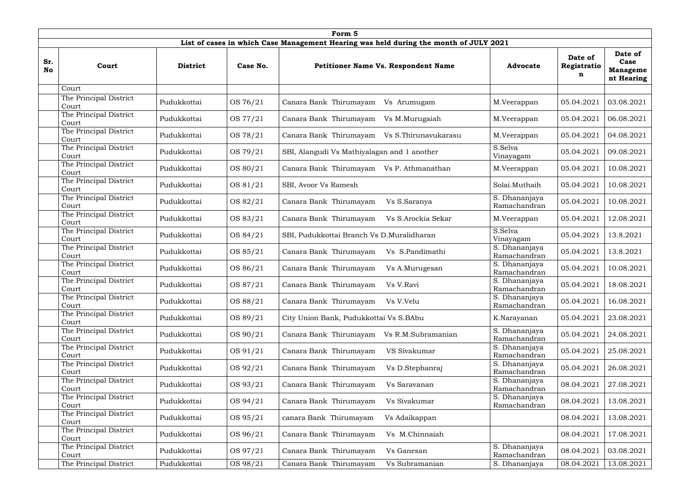| Form 5           |                                 |                 |          |                                                                                       |                               |                             |                                                  |  |  |  |  |
|------------------|---------------------------------|-----------------|----------|---------------------------------------------------------------------------------------|-------------------------------|-----------------------------|--------------------------------------------------|--|--|--|--|
|                  |                                 |                 |          | List of cases in which Case Management Hearing was held during the month of JULY 2021 |                               |                             |                                                  |  |  |  |  |
| Sr.<br><b>No</b> | Court                           | <b>District</b> | Case No. | <b>Petitioner Name Vs. Respondent Name</b>                                            | <b>Advocate</b>               | Date of<br>Registratio<br>n | Date of<br>Case<br><b>Manageme</b><br>nt Hearing |  |  |  |  |
|                  | Court                           |                 |          |                                                                                       |                               |                             |                                                  |  |  |  |  |
|                  | The Principal District<br>Court | Pudukkottai     | OS 76/21 | Canara Bank Thirumayam<br>Vs Arumugam                                                 | M.Veerappan                   | 05.04.2021                  | 03.08.2021                                       |  |  |  |  |
|                  | The Principal District<br>Court | Pudukkottai     | OS 77/21 | Canara Bank Thirumayam<br>Vs M.Murugaiah                                              | M.Veerappan                   | 05.04.2021                  | 06.08.2021                                       |  |  |  |  |
|                  | The Principal District<br>Court | Pudukkottai     | OS 78/21 | Canara Bank Thirumayam<br>Vs S.Thirunavukarasu                                        | M.Veerappan                   | 05.04.2021                  | 04.08.2021                                       |  |  |  |  |
|                  | The Principal District<br>Court | Pudukkottai     | OS 79/21 | SBI, Alangudi Vs Mathiyalagan and 1 another                                           | S.Selva<br>Vinayagam          | 05.04.2021                  | 09.08.2021                                       |  |  |  |  |
|                  | The Principal District<br>Court | Pudukkottai     | OS 80/21 | Canara Bank Thirumayam Vs P. Athmanathan                                              | M.Veerappan                   | 05.04.2021                  | 10.08.2021                                       |  |  |  |  |
|                  | The Principal District<br>Court | Pudukkottai     | OS 81/21 | SBI, Avoor Vs Ramesh                                                                  | Solai.Muthaih                 | 05.04.2021                  | 10.08.2021                                       |  |  |  |  |
|                  | The Principal District<br>Court | Pudukkottai     | OS 82/21 | Canara Bank Thirumayam<br>Vs S.Saranya                                                | S. Dhananjaya<br>Ramachandran | 05.04.2021                  | 10.08.2021                                       |  |  |  |  |
|                  | The Principal District<br>Court | Pudukkottai     | OS 83/21 | Canara Bank Thirumayam<br>Vs S.Arockia Sekar                                          | M.Veerappan                   | 05.04.2021                  | 12.08.2021                                       |  |  |  |  |
|                  | The Principal District<br>Court | Pudukkottai     | OS 84/21 | SBI, Pudukkottai Branch Vs D.Muralidharan                                             | S.Selva<br>Vinayagam          | 05.04.2021                  | 13.8.2021                                        |  |  |  |  |
|                  | The Principal District<br>Court | Pudukkottai     | OS 85/21 | Canara Bank Thirumayam<br>Vs S.Pandimathi                                             | S. Dhananjaya<br>Ramachandran | 05.04.2021                  | 13.8.2021                                        |  |  |  |  |
|                  | The Principal District<br>Court | Pudukkottai     | OS 86/21 | Canara Bank Thirumayam<br>Vs A.Murugesan                                              | S. Dhananjaya<br>Ramachandran | 05.04.2021                  | 10.08.2021                                       |  |  |  |  |
|                  | The Principal District<br>Court | Pudukkottai     | OS 87/21 | Canara Bank Thirumayam<br>Vs V.Ravi                                                   | S. Dhananjaya<br>Ramachandran | 05.04.2021                  | 18.08.2021                                       |  |  |  |  |
|                  | The Principal District<br>Court | Pudukkottai     | OS 88/21 | Canara Bank Thirumayam<br>Vs V.Velu                                                   | S. Dhananjaya<br>Ramachandran | 05.04.2021                  | 16.08.2021                                       |  |  |  |  |
|                  | The Principal District<br>Court | Pudukkottai     | OS 89/21 | City Union Bank, Pudukkottai Vs S.BAbu                                                | K.Narayanan                   | 05.04.2021                  | 23.08.2021                                       |  |  |  |  |
|                  | The Principal District<br>Court | Pudukkottai     | OS 90/21 | Canara Bank Thirumayam<br>Vs R.M.Subramanian                                          | S. Dhananjaya<br>Ramachandran | 05.04.2021                  | 24.08.2021                                       |  |  |  |  |
|                  | The Principal District<br>Court | Pudukkottai     | OS 91/21 | Canara Bank Thirumayam<br>VS Sivakumar                                                | S. Dhananjaya<br>Ramachandran | 05.04.2021                  | 25.08.2021                                       |  |  |  |  |
|                  | The Principal District<br>Court | Pudukkottai     | OS 92/21 | Canara Bank Thirumayam<br>Vs D.Stephanraj                                             | S. Dhananjaya<br>Ramachandran | 05.04.2021                  | 26.08.2021                                       |  |  |  |  |
|                  | The Principal District<br>Court | Pudukkottai     | OS 93/21 | Canara Bank Thirumayam<br>Vs Saravanan                                                | S. Dhananjaya<br>Ramachandran | 08.04.2021                  | 27.08.2021                                       |  |  |  |  |
|                  | The Principal District<br>Court | Pudukkottai     | OS 94/21 | Canara Bank Thirumayam<br>Vs Sivakumar                                                | S. Dhananjaya<br>Ramachandran | 08.04.2021                  | 13.08.2021                                       |  |  |  |  |
|                  | The Principal District<br>Court | Pudukkottai     | OS 95/21 | canara Bank Thirumayam<br>Vs Adaikappan                                               |                               | 08.04.2021                  | 13.08.2021                                       |  |  |  |  |
|                  | The Principal District<br>Court | Pudukkottai     | OS 96/21 | Canara Bank Thirumayam<br>Vs M.Chinnaiah                                              |                               | 08.04.2021                  | 17.08.2021                                       |  |  |  |  |
|                  | The Principal District<br>Court | Pudukkottai     | OS 97/21 | Canara Bank Thirumayam<br>Vs Ganesan                                                  | S. Dhananjaya<br>Ramachandran | 08.04.2021                  | 03.08.2021                                       |  |  |  |  |
|                  | The Principal District          | Pudukkottai     | OS 98/21 | Canara Bank Thirumayam<br>Vs Subramanian                                              | S. Dhananjaya                 | 08.04.2021                  | 13.08.2021                                       |  |  |  |  |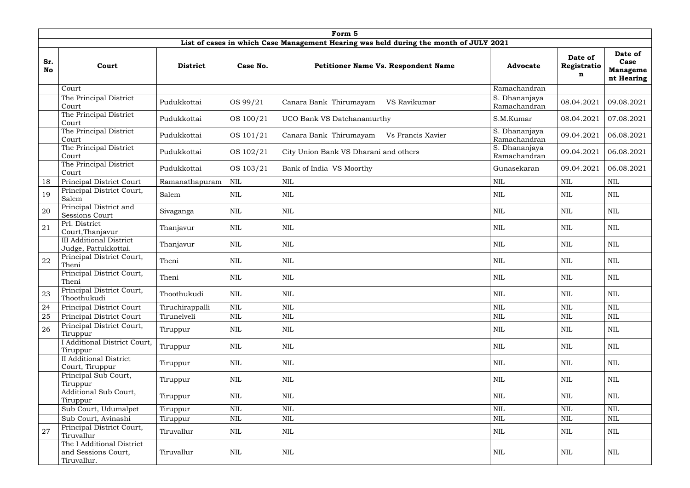|                  | Form 5                                                          |                 |              |                                                                                       |                               |                             |                                                  |  |  |  |  |  |
|------------------|-----------------------------------------------------------------|-----------------|--------------|---------------------------------------------------------------------------------------|-------------------------------|-----------------------------|--------------------------------------------------|--|--|--|--|--|
|                  |                                                                 |                 |              | List of cases in which Case Management Hearing was held during the month of JULY 2021 |                               |                             |                                                  |  |  |  |  |  |
| Sr.<br><b>No</b> | Court                                                           | <b>District</b> | Case No.     | <b>Petitioner Name Vs. Respondent Name</b>                                            | <b>Advocate</b>               | Date of<br>Registratio<br>n | Date of<br>Case<br><b>Manageme</b><br>nt Hearing |  |  |  |  |  |
|                  | Court                                                           |                 |              |                                                                                       | Ramachandran                  |                             |                                                  |  |  |  |  |  |
|                  | The Principal District<br>Court                                 | Pudukkottai     | OS 99/21     | Canara Bank Thirumayam<br>VS Ravikumar                                                | S. Dhananjaya<br>Ramachandran | 08.04.2021                  | 09.08.2021                                       |  |  |  |  |  |
|                  | The Principal District<br>Court                                 | Pudukkottai     | OS 100/21    | UCO Bank VS Datchanamurthy                                                            | S.M.Kumar                     | 08.04.2021                  | 07.08.2021                                       |  |  |  |  |  |
|                  | The Principal District<br>Court                                 | Pudukkottai     | OS 101/21    | Canara Bank Thirumayam<br>Vs Francis Xavier                                           | S. Dhananjaya<br>Ramachandran | 09.04.2021                  | 06.08.2021                                       |  |  |  |  |  |
|                  | The Principal District<br>Court                                 | Pudukkottai     | OS 102/21    | City Union Bank VS Dharani and others                                                 | S. Dhananjaya<br>Ramachandran | 09.04.2021                  | 06.08.2021                                       |  |  |  |  |  |
|                  | The Principal District<br>Court                                 | Pudukkottai     | OS 103/21    | Bank of India VS Moorthy                                                              | Gunasekaran                   | 09.04.2021                  | 06.08.2021                                       |  |  |  |  |  |
| 18               | Principal District Court                                        | Ramanathapuram  | <b>NIL</b>   | $\mbox{NIL}$                                                                          | <b>NIL</b>                    | <b>NIL</b>                  | <b>NIL</b>                                       |  |  |  |  |  |
| 19               | Principal District Court,<br>Salem                              | Salem           | <b>NIL</b>   | <b>NIL</b>                                                                            | <b>NIL</b>                    | <b>NIL</b>                  | <b>NIL</b>                                       |  |  |  |  |  |
| 20               | Principal District and<br><b>Sessions Court</b>                 | Sivaganga       | <b>NIL</b>   | $\mbox{NIL}$                                                                          | <b>NIL</b>                    | <b>NIL</b>                  | <b>NIL</b>                                       |  |  |  |  |  |
| 21               | Prl. District<br>Court, Thanjavur                               | Thanjavur       | NIL          | <b>NIL</b>                                                                            | <b>NIL</b>                    | <b>NIL</b>                  | <b>NIL</b>                                       |  |  |  |  |  |
|                  | <b>III Additional District</b><br>Judge, Pattukkottai.          | Thanjavur       | NIL          | $\mbox{NIL}$                                                                          | <b>NIL</b>                    | <b>NIL</b>                  | <b>NIL</b>                                       |  |  |  |  |  |
| 22               | Principal District Court,<br>Theni                              | Theni           | <b>NIL</b>   | <b>NIL</b>                                                                            | <b>NIL</b>                    | <b>NIL</b>                  | <b>NIL</b>                                       |  |  |  |  |  |
|                  | Principal District Court,<br>Theni                              | Theni           | <b>NIL</b>   | <b>NIL</b>                                                                            | <b>NIL</b>                    | <b>NIL</b>                  | <b>NIL</b>                                       |  |  |  |  |  |
| 23               | Principal District Court,<br>Thoothukudi                        | Thoothukudi     | <b>NIL</b>   | $\mbox{NIL}$                                                                          | $\mbox{NIL}$                  | $\text{NIL}$                | $\mbox{NIL}$                                     |  |  |  |  |  |
| 24               | Principal District Court                                        | Tiruchirappalli | $\mbox{NIL}$ | $\mbox{NIL}$                                                                          | <b>NIL</b>                    | <b>NIL</b>                  | $\mbox{NIL}$                                     |  |  |  |  |  |
| 25               | Principal District Court                                        | Tirunelveli     | <b>NIL</b>   | $\mbox{NIL}$                                                                          | <b>NIL</b>                    | $\mbox{NIL}$                | $\mbox{NIL}$                                     |  |  |  |  |  |
| 26               | Principal District Court,<br>Tiruppur                           | Tiruppur        | NIL          | <b>NIL</b>                                                                            | <b>NIL</b>                    | NIL                         | <b>NIL</b>                                       |  |  |  |  |  |
|                  | I Additional District Court,<br>Tiruppur                        | Tiruppur        | NIL          | <b>NIL</b>                                                                            | <b>NIL</b>                    | <b>NIL</b>                  | <b>NIL</b>                                       |  |  |  |  |  |
|                  | <b>II</b> Additional District<br>Court, Tiruppur                | Tiruppur        | NIL          | NIL                                                                                   | NIL                           | NIL                         | NIL                                              |  |  |  |  |  |
|                  | Principal Sub Court,<br>Tiruppur                                | Tiruppur        | NIL          | <b>NIL</b>                                                                            | <b>NIL</b>                    | <b>NIL</b>                  | <b>NIL</b>                                       |  |  |  |  |  |
|                  | Additional Sub Court,<br>Tiruppur                               | Tiruppur        | NIL          | <b>NIL</b>                                                                            | <b>NIL</b>                    | NIL                         | <b>NIL</b>                                       |  |  |  |  |  |
|                  | Sub Court, Udumalpet                                            | Tiruppur        | $\mbox{NIL}$ | $\mbox{NIL}$                                                                          | <b>NIL</b>                    | $\text{NIL}$                | <b>NIL</b>                                       |  |  |  |  |  |
|                  | Sub Court, Avinashi                                             | Tiruppur        | <b>NIL</b>   | $\mbox{NIL}$                                                                          | $\mbox{NIL}$                  | NIL                         | $\mbox{NIL}$                                     |  |  |  |  |  |
| 27               | Principal District Court,<br>Tiruvallur                         | Tiruvallur      | NIL          | $\mbox{NIL}$                                                                          | $\mbox{NIL}$                  | $\mbox{NIL}$                | $\mbox{NIL}$                                     |  |  |  |  |  |
|                  | The I Additional District<br>and Sessions Court,<br>Tiruvallur. | Tiruvallur      | NIL          | NIL                                                                                   | NIL                           | $\mbox{NIL}$                | NIL                                              |  |  |  |  |  |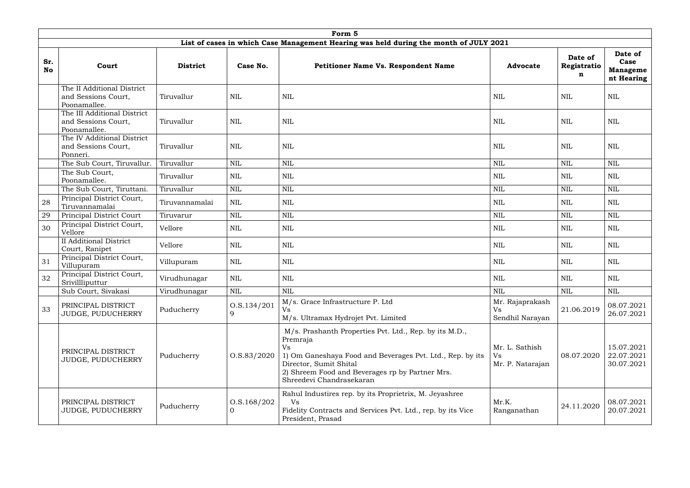|                  | Form 5                                                             |                 |                                   |                                                                                                                                                                                                                                                |                                                 |                             |                                                  |  |  |  |  |  |  |
|------------------|--------------------------------------------------------------------|-----------------|-----------------------------------|------------------------------------------------------------------------------------------------------------------------------------------------------------------------------------------------------------------------------------------------|-------------------------------------------------|-----------------------------|--------------------------------------------------|--|--|--|--|--|--|
|                  |                                                                    |                 |                                   | List of cases in which Case Management Hearing was held during the month of JULY 2021                                                                                                                                                          |                                                 |                             |                                                  |  |  |  |  |  |  |
| Sr.<br><b>No</b> | Court                                                              | <b>District</b> | Case No.                          | <b>Petitioner Name Vs. Respondent Name</b>                                                                                                                                                                                                     | <b>Advocate</b>                                 | Date of<br>Registratio<br>n | Date of<br>Case<br><b>Manageme</b><br>nt Hearing |  |  |  |  |  |  |
|                  | The II Additional District<br>and Sessions Court,<br>Poonamallee.  | Tiruvallur      | <b>NIL</b>                        | <b>NIL</b>                                                                                                                                                                                                                                     | <b>NIL</b>                                      | <b>NIL</b>                  | <b>NIL</b>                                       |  |  |  |  |  |  |
|                  | The III Additional District<br>and Sessions Court,<br>Poonamallee. | Tiruvallur      | NIL                               | <b>NIL</b>                                                                                                                                                                                                                                     | <b>NIL</b>                                      | <b>NIL</b>                  | <b>NIL</b>                                       |  |  |  |  |  |  |
|                  | The IV Additional District<br>and Sessions Court,<br>Ponneri.      | Tiruvallur      | NIL                               | <b>NIL</b>                                                                                                                                                                                                                                     | <b>NIL</b>                                      | <b>NIL</b>                  | NIL                                              |  |  |  |  |  |  |
|                  | The Sub Court, Tiruvallur.                                         | Tiruvallur      | <b>NIL</b>                        | <b>NIL</b>                                                                                                                                                                                                                                     | <b>NIL</b>                                      | <b>NIL</b>                  | <b>NIL</b>                                       |  |  |  |  |  |  |
|                  | The Sub Court,<br>Poonamallee.                                     | Tiruvallur      | <b>NIL</b>                        | <b>NIL</b>                                                                                                                                                                                                                                     | <b>NIL</b>                                      | <b>NIL</b>                  | <b>NIL</b>                                       |  |  |  |  |  |  |
|                  | The Sub Court, Tiruttani.                                          | Tiruvallur      | <b>NIL</b>                        | <b>NIL</b>                                                                                                                                                                                                                                     | <b>NIL</b>                                      | <b>NIL</b>                  | <b>NIL</b>                                       |  |  |  |  |  |  |
| 28               | Principal District Court,<br>Tiruvannamalai                        | Tiruvannamalai  | NIL                               | <b>NIL</b>                                                                                                                                                                                                                                     | <b>NIL</b>                                      | <b>NIL</b>                  | <b>NIL</b>                                       |  |  |  |  |  |  |
| 29               | Principal District Court                                           | Tiruvarur       | <b>NIL</b>                        | NIL                                                                                                                                                                                                                                            | <b>NIL</b>                                      | $\mbox{NIL}$                | <b>NIL</b>                                       |  |  |  |  |  |  |
| 30               | Principal District Court,<br>Vellore                               | Vellore         | <b>NIL</b>                        | <b>NIL</b>                                                                                                                                                                                                                                     | <b>NIL</b>                                      | <b>NIL</b>                  | <b>NIL</b>                                       |  |  |  |  |  |  |
|                  | <b>II</b> Additional District<br>Court, Ranipet                    | Vellore         | NIL                               | <b>NIL</b>                                                                                                                                                                                                                                     | <b>NIL</b>                                      | <b>NIL</b>                  | <b>NIL</b>                                       |  |  |  |  |  |  |
| 31               | Principal District Court,<br>Villupuram                            | Villupuram      | <b>NIL</b>                        | NIL                                                                                                                                                                                                                                            | <b>NIL</b>                                      | <b>NIL</b>                  | <b>NIL</b>                                       |  |  |  |  |  |  |
| 32               | Principal District Court,<br>Srivillliputtur                       | Virudhunagar    | <b>NIL</b>                        | <b>NIL</b>                                                                                                                                                                                                                                     | <b>NIL</b>                                      | <b>NIL</b>                  | NIL                                              |  |  |  |  |  |  |
|                  | Sub Court, Sivakasi                                                | Virudhunagar    | <b>NIL</b>                        | <b>NIL</b>                                                                                                                                                                                                                                     | <b>NIL</b>                                      | $\mbox{NIL}$                | $\mbox{NIL}$                                     |  |  |  |  |  |  |
| 33               | PRINCIPAL DISTRICT<br>JUDGE, PUDUCHERRY                            | Puducherry      | 0. S. 134 / 201<br>9              | M/s. Grace Infrastructure P. Ltd<br>Vs<br>M/s. Ultramax Hydrojet Pvt. Limited                                                                                                                                                                  | Mr. Rajaprakash<br><b>Vs</b><br>Sendhil Narayan | 21.06.2019                  | 08.07.2021<br>26.07.2021                         |  |  |  |  |  |  |
|                  | PRINCIPAL DISTRICT<br>JUDGE, PUDUCHERRY                            | Puducherry      | 0. S. 83 / 2020                   | M/s. Prashanth Properties Pvt. Ltd., Rep. by its M.D.,<br>Premraja<br>Vs<br>1) Om Ganeshaya Food and Beverages Pvt. Ltd., Rep. by its<br>Director, Sumit Shital<br>2) Shreem Food and Beverages rp by Partner Mrs.<br>Shreedevi Chandrasekaran | Mr. L. Sathish<br>Vs<br>Mr. P. Natarajan        | 08.07.2020                  | 15.07.2021<br>22.07.2021<br>30.07.2021           |  |  |  |  |  |  |
|                  | PRINCIPAL DISTRICT<br>JUDGE, PUDUCHERRY                            | Puducherry      | 0. S. 168 / 202<br>$\overline{0}$ | Rahul Industires rep. by its Proprietrix, M. Jeyashree<br>Vs<br>Fidelity Contracts and Services Pvt. Ltd., rep. by its Vice<br>President, Prasad                                                                                               | Mr.K.<br>Ranganathan                            | 24.11.2020                  | 08.07.2021<br>20.07.2021                         |  |  |  |  |  |  |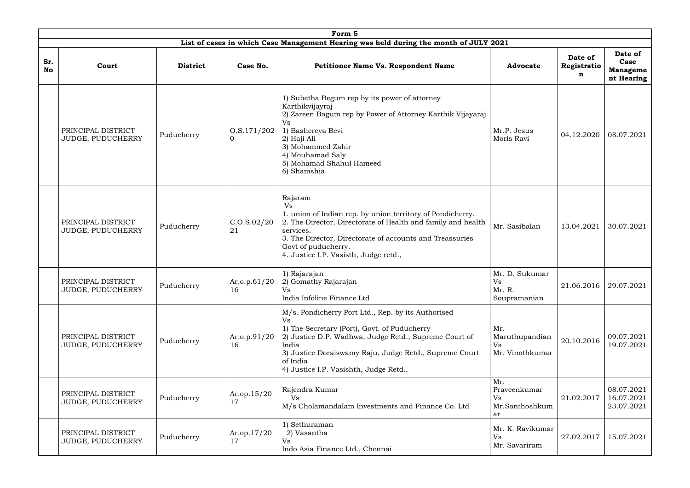| Form 5           |                                                |                 |                                 |                                                                                                                                                                                                                                                                                      |                                                          |                             |                                                  |  |  |  |  |  |
|------------------|------------------------------------------------|-----------------|---------------------------------|--------------------------------------------------------------------------------------------------------------------------------------------------------------------------------------------------------------------------------------------------------------------------------------|----------------------------------------------------------|-----------------------------|--------------------------------------------------|--|--|--|--|--|
|                  |                                                |                 |                                 | List of cases in which Case Management Hearing was held during the month of JULY 2021                                                                                                                                                                                                |                                                          |                             |                                                  |  |  |  |  |  |
| Sr.<br><b>No</b> | Court                                          | <b>District</b> | Case No.                        | Petitioner Name Vs. Respondent Name                                                                                                                                                                                                                                                  | <b>Advocate</b>                                          | Date of<br>Registratio<br>n | Date of<br>Case<br><b>Manageme</b><br>nt Hearing |  |  |  |  |  |
|                  | PRINCIPAL DISTRICT<br>JUDGE, PUDUCHERRY        | Puducherry      | 0. S. 171/202<br>$\overline{0}$ | 1) Subetha Begum rep by its power of attorney<br>Karthikvijayraj<br>2) Zareen Bagum rep by Power of Attorney Karthik Vijayaraj<br>Vs<br>1) Bashereya Bevi<br>2) Haji Ali<br>3) Mohammed Zahir<br>4) Mouhamad Saly<br>5) Mohamad Shahul Hameed<br>6) Shamshia                         | Mr.P. Jesus<br>Moris Ravi                                | 04.12.2020                  | 08.07.2021                                       |  |  |  |  |  |
|                  | PRINCIPAL DISTRICT<br>JUDGE, PUDUCHERRY        | Puducherry      | C.0. S.02/20<br>21              | Rajaram<br>Vs<br>1. union of Indian rep. by union territory of Pondicherry.<br>2. The Director, Directorate of Health and family and health<br>services.<br>3. The Director, Directorate of accounts and Treassuries<br>Govt of puducherry.<br>4. Justice I.P. Vasisth, Judge retd., | Mr. Sasibalan                                            | 13.04.2021                  | 30.07.2021                                       |  |  |  |  |  |
|                  | PRINCIPAL DISTRICT<br><b>JUDGE, PUDUCHERRY</b> | Puducherry      | Ar.o.p.61/20<br>16              | 1) Rajarajan<br>2) Gomathy Rajarajan<br>Vs<br>India Infoline Finance Ltd                                                                                                                                                                                                             | Mr. D. Sukumar<br><b>Vs</b><br>Mr. R.<br>Soupramanian    | 21.06.2016 29.07.2021       |                                                  |  |  |  |  |  |
|                  | PRINCIPAL DISTRICT<br>JUDGE, PUDUCHERRY        | Puducherry      | Ar.o.p. $91/20$<br>16           | M/s. Pondicherry Port Ltd., Rep. by its Authorised<br>1) The Secretary (Port), Govt. of Puducherry<br>2) Justice D.P. Wadhwa, Judge Retd., Supreme Court of<br>India<br>3) Justice Doraiswamy Raju, Judge Retd., Supreme Court<br>of India<br>4) Justice I.P. Vasishth, Judge Retd., | Mr.<br>Maruthupandian<br><b>Vs</b><br>Mr. Vinothkumar    | 20.10.2016                  | 09.07.2021<br>19.07.2021                         |  |  |  |  |  |
|                  | PRINCIPAL DISTRICT<br>JUDGE, PUDUCHERRY        | Puducherry      | Ar.op.15/20<br>17               | Rajendra Kumar<br>Vs<br>M/s Cholamandalam Investments and Finance Co. Ltd                                                                                                                                                                                                            | Mr.<br>Praveenkumar<br><b>Vs</b><br>Mr.Santhoshkum<br>ar | 21.02.2017                  | 08.07.2021<br>16.07.2021<br>23.07.2021           |  |  |  |  |  |
|                  | PRINCIPAL DISTRICT<br>JUDGE, PUDUCHERRY        | Puducherry      | Ar.op.17/20<br>17               | 1) Sethuraman<br>2) Vasantha<br>Vs<br>Indo Asia Finance Ltd., Chennai                                                                                                                                                                                                                | Mr. K. Ravikumar<br><b>Vs</b><br>Mr. Savariram           | 27.02.2017                  | 15.07.2021                                       |  |  |  |  |  |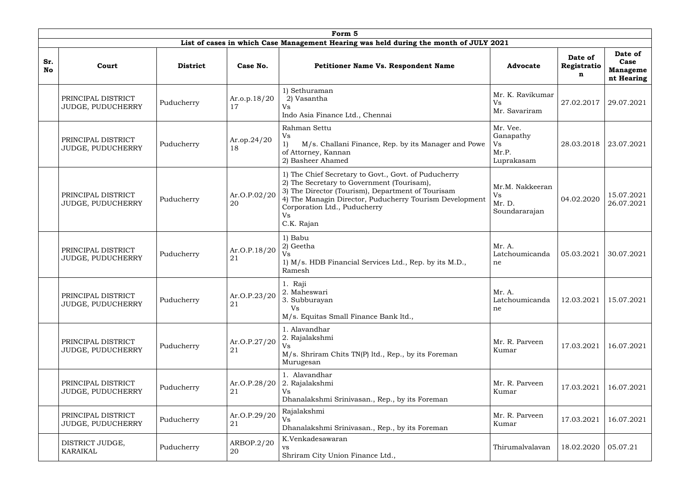| Form 5           |                                         |                                                                                                                                                                                                                                                                                                                   |                    |                                                                                                                  |                                         |                             |                                                  |  |  |  |  |  |
|------------------|-----------------------------------------|-------------------------------------------------------------------------------------------------------------------------------------------------------------------------------------------------------------------------------------------------------------------------------------------------------------------|--------------------|------------------------------------------------------------------------------------------------------------------|-----------------------------------------|-----------------------------|--------------------------------------------------|--|--|--|--|--|
|                  |                                         |                                                                                                                                                                                                                                                                                                                   |                    | List of cases in which Case Management Hearing was held during the month of JULY 2021                            |                                         |                             |                                                  |  |  |  |  |  |
| Sr.<br><b>No</b> | Court                                   | <b>District</b>                                                                                                                                                                                                                                                                                                   | Case No.           | <b>Petitioner Name Vs. Respondent Name</b>                                                                       | <b>Advocate</b>                         | Date of<br>Registratio<br>n | Date of<br>Case<br><b>Manageme</b><br>nt Hearing |  |  |  |  |  |
|                  | PRINCIPAL DISTRICT<br>JUDGE, PUDUCHERRY | Puducherry                                                                                                                                                                                                                                                                                                        | Ar.o.p.18/20<br>17 | 1) Sethuraman<br>2) Vasantha<br>Vs<br>Indo Asia Finance Ltd., Chennai                                            | Mr. K. Ravikumar<br>Vs<br>Mr. Savariram | 27.02.2017                  | 29.07.2021                                       |  |  |  |  |  |
|                  | PRINCIPAL DISTRICT<br>JUDGE, PUDUCHERRY | Rahman Settu<br>Vs<br>Ar.op.24/20<br>1)<br>M/s. Challani Finance, Rep. by its Manager and Powe<br>Puducherry<br>18<br>of Attorney, Kannan<br>2) Basheer Ahamed                                                                                                                                                    |                    | Mr. Vee.<br>Ganapathy<br>Vs<br>Mr.P.<br>Luprakasam                                                               | 28.03.2018                              | 23.07.2021                  |                                                  |  |  |  |  |  |
|                  | PRINCIPAL DISTRICT<br>JUDGE, PUDUCHERRY | 1) The Chief Secretary to Govt., Govt. of Puducherry<br>2) The Secretary to Government (Tourisam),<br>3) The Director (Tourism), Department of Tourisam<br>Ar.O.P.02/20<br>4) The Managin Director, Puducherry Tourism Development<br>Puducherry<br>20<br>Corporation Ltd., Puducherry<br><b>Vs</b><br>C.K. Rajan |                    | Mr.M. Nakkeeran<br>Vs<br>Mr. D.<br>Soundararajan                                                                 | 04.02.2020                              | 15.07.2021<br>26.07.2021    |                                                  |  |  |  |  |  |
|                  | PRINCIPAL DISTRICT<br>JUDGE, PUDUCHERRY | Puducherry                                                                                                                                                                                                                                                                                                        | Ar.O.P.18/20<br>21 | 1) Babu<br>2) Geetha<br>Vs<br>1) M/s. HDB Financial Services Ltd., Rep. by its M.D.,<br>Ramesh                   | Mr. A.<br>Latchoumicanda<br>ne          | 05.03.2021                  | 30.07.2021                                       |  |  |  |  |  |
|                  | PRINCIPAL DISTRICT<br>JUDGE, PUDUCHERRY | Puducherry                                                                                                                                                                                                                                                                                                        | Ar.O.P.23/20<br>21 | 1. Raji<br>2. Maheswari<br>3. Subburayan<br><b>Vs</b><br>M/s. Equitas Small Finance Bank ltd.,                   | Mr. A.<br>Latchoumicanda<br>ne          | 12.03.2021                  | 15.07.2021                                       |  |  |  |  |  |
|                  | PRINCIPAL DISTRICT<br>JUDGE, PUDUCHERRY | Puducherry                                                                                                                                                                                                                                                                                                        | Ar.O.P.27/20<br>21 | 1. Alavandhar<br>2. Rajalakshmi<br><b>Vs</b><br>M/s. Shriram Chits TN(P) ltd., Rep., by its Foreman<br>Murugesan | Mr. R. Parveen<br>Kumar                 | 17.03.2021                  | 16.07.2021                                       |  |  |  |  |  |
|                  | PRINCIPAL DISTRICT<br>JUDGE, PUDUCHERRY | 1. Alavandhar<br>Ar.O.P.28/20<br>2. Rajalakshmi<br>Puducherry<br>21<br>Vs<br>Dhanalakshmi Srinivasan., Rep., by its Foreman                                                                                                                                                                                       |                    | Mr. R. Parveen<br>Kumar                                                                                          | 17.03.2021                              | 16.07.2021                  |                                                  |  |  |  |  |  |
|                  | PRINCIPAL DISTRICT<br>JUDGE, PUDUCHERRY | Rajalakshmi<br>Ar.O.P.29/20<br>Puducherry<br><b>Vs</b><br>21<br>Dhanalakshmi Srinivasan., Rep., by its Foreman                                                                                                                                                                                                    |                    | Mr. R. Parveen<br>Kumar                                                                                          | 17.03.2021                              | 16.07.2021                  |                                                  |  |  |  |  |  |
|                  | DISTRICT JUDGE,<br><b>KARAIKAL</b>      | Puducherry                                                                                                                                                                                                                                                                                                        | ARBOP.2/20<br>20   | K.Venkadesawaran<br>VS<br>Shriram City Union Finance Ltd.,                                                       | Thirumalvalavan                         | 18.02.2020                  | 05.07.21                                         |  |  |  |  |  |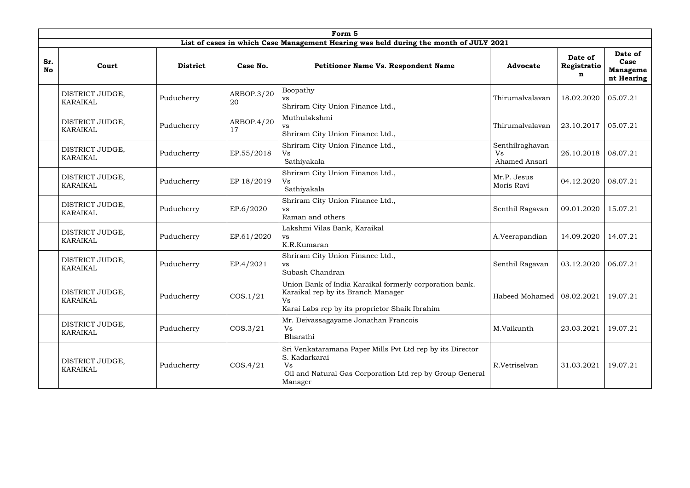|                  | Form 5                             |                                                                                                                                                                                                                                                                                                                                                                           |                  |                                                                                                                                                         |                 |                             |                                                  |  |  |  |  |  |  |
|------------------|------------------------------------|---------------------------------------------------------------------------------------------------------------------------------------------------------------------------------------------------------------------------------------------------------------------------------------------------------------------------------------------------------------------------|------------------|---------------------------------------------------------------------------------------------------------------------------------------------------------|-----------------|-----------------------------|--------------------------------------------------|--|--|--|--|--|--|
|                  |                                    |                                                                                                                                                                                                                                                                                                                                                                           |                  | List of cases in which Case Management Hearing was held during the month of JULY 2021                                                                   |                 |                             |                                                  |  |  |  |  |  |  |
| Sr.<br><b>No</b> | Court                              | <b>District</b>                                                                                                                                                                                                                                                                                                                                                           | Case No.         | <b>Petitioner Name Vs. Respondent Name</b>                                                                                                              | <b>Advocate</b> | Date of<br>Registratio<br>n | Date of<br>Case<br><b>Manageme</b><br>nt Hearing |  |  |  |  |  |  |
|                  | DISTRICT JUDGE,<br><b>KARAIKAL</b> | Puducherry                                                                                                                                                                                                                                                                                                                                                                | ARBOP.3/20<br>20 | Boopathy<br><b>VS</b><br>Shriram City Union Finance Ltd.,                                                                                               | Thirumalvalavan | 18.02.2020                  | 05.07.21                                         |  |  |  |  |  |  |
|                  | DISTRICT JUDGE,<br><b>KARAIKAL</b> | Muthulakshmi<br>ARBOP.4/20<br>Puducherry<br><b>VS</b><br>17<br>Shriram City Union Finance Ltd.,<br>Shriram City Union Finance Ltd.,<br>EP.55/2018<br>Puducherry<br>Vs<br>Sathiyakala<br>Shriram City Union Finance Ltd.,<br>EP 18/2019<br>Puducherry<br>Vs<br>Sathiyakala<br>Shriram City Union Finance Ltd.,<br>EP.6/2020<br>Puducherry<br><b>VS</b><br>Raman and others |                  | Thirumalvalavan                                                                                                                                         | 23.10.2017      | 05.07.21                    |                                                  |  |  |  |  |  |  |
|                  | DISTRICT JUDGE,<br><b>KARAIKAL</b> |                                                                                                                                                                                                                                                                                                                                                                           |                  | Senthilraghavan<br>Vs<br>Ahamed Ansari                                                                                                                  | 26.10.2018      | 08.07.21                    |                                                  |  |  |  |  |  |  |
|                  | DISTRICT JUDGE,<br><b>KARAIKAL</b> |                                                                                                                                                                                                                                                                                                                                                                           |                  | Mr.P. Jesus<br>Moris Ravi                                                                                                                               | 04.12.2020      | 08.07.21                    |                                                  |  |  |  |  |  |  |
|                  | DISTRICT JUDGE,<br><b>KARAIKAL</b> |                                                                                                                                                                                                                                                                                                                                                                           |                  |                                                                                                                                                         | Senthil Ragavan | 09.01.2020                  | 15.07.21                                         |  |  |  |  |  |  |
|                  | DISTRICT JUDGE,<br><b>KARAIKAL</b> | Puducherry                                                                                                                                                                                                                                                                                                                                                                | EP.61/2020       | Lakshmi Vilas Bank, Karaikal<br><b>VS</b><br>K.R.Kumaran                                                                                                | A.Veerapandian  | 14.09.2020                  | 14.07.21                                         |  |  |  |  |  |  |
|                  | DISTRICT JUDGE,<br><b>KARAIKAL</b> | Puducherry                                                                                                                                                                                                                                                                                                                                                                | EP.4/2021        | Shriram City Union Finance Ltd.,<br><b>VS</b><br>Subash Chandran                                                                                        | Senthil Ragavan | 03.12.2020                  | 06.07.21                                         |  |  |  |  |  |  |
|                  | DISTRICT JUDGE,<br><b>KARAIKAL</b> | Union Bank of India Karaikal formerly corporation bank.<br>Karaikal rep by its Branch Manager<br>COS.1/21<br>Puducherry<br>Vs<br>Karai Labs rep by its proprietor Shaik Ibrahim                                                                                                                                                                                           |                  | Habeed Mohamed $\vert$ 08.02.2021                                                                                                                       |                 | 19.07.21                    |                                                  |  |  |  |  |  |  |
|                  | DISTRICT JUDGE,<br><b>KARAIKAL</b> | Puducherry                                                                                                                                                                                                                                                                                                                                                                | $\cos 3/21$      | Mr. Deivassagayame Jonathan Francois<br>Vs<br>Bharathi                                                                                                  | M.Vaikunth      | 23.03.2021                  | 19.07.21                                         |  |  |  |  |  |  |
|                  | DISTRICT JUDGE,<br><b>KARAIKAL</b> | Puducherry                                                                                                                                                                                                                                                                                                                                                                | $\cos 4/21$      | Sri Venkataramana Paper Mills Pvt Ltd rep by its Director<br>S. Kadarkarai<br>Vs<br>Oil and Natural Gas Corporation Ltd rep by Group General<br>Manager | R.Vetriselvan   | 31.03.2021                  | 19.07.21                                         |  |  |  |  |  |  |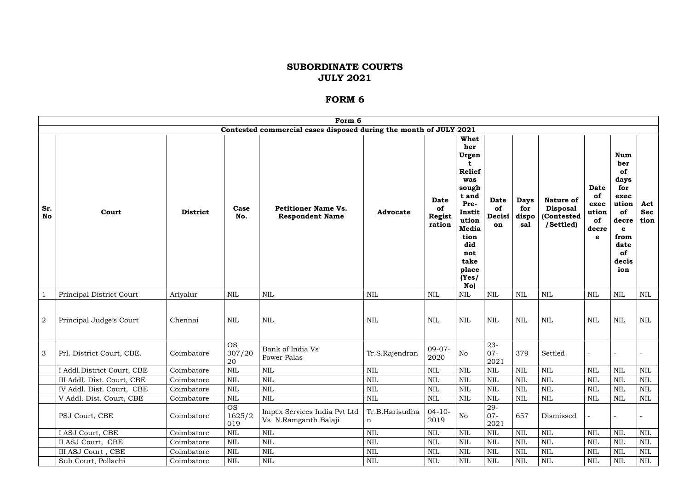|                  |                            |                 |                            | Form 6                                                            |                     |                                              |                                                                                                                                                                         |                                   |                                    |                                                                |                                                        |                                                                                                                   |                           |
|------------------|----------------------------|-----------------|----------------------------|-------------------------------------------------------------------|---------------------|----------------------------------------------|-------------------------------------------------------------------------------------------------------------------------------------------------------------------------|-----------------------------------|------------------------------------|----------------------------------------------------------------|--------------------------------------------------------|-------------------------------------------------------------------------------------------------------------------|---------------------------|
|                  |                            |                 |                            | Contested commercial cases disposed during the month of JULY 2021 |                     |                                              |                                                                                                                                                                         |                                   |                                    |                                                                |                                                        |                                                                                                                   |                           |
| Sr.<br><b>No</b> | Court                      | <b>District</b> | Case<br>No.                | <b>Petitioner Name Vs.</b><br><b>Respondent Name</b>              | <b>Advocate</b>     | <b>Date</b><br>of<br><b>Regist</b><br>ration | <b>Whet</b><br>her<br>Urgen<br><b>Relief</b><br>was<br>sough<br>t and<br>Pre-<br>Instit<br>ution<br><b>Media</b><br>tion<br>did<br>not<br>take<br>place<br>(Yes)<br>No) | <b>Date</b><br>of<br>Decisi<br>on | <b>Days</b><br>for<br>dispo<br>sal | <b>Nature of</b><br><b>Disposal</b><br>(Contested<br>/Settled) | <b>Date</b><br>of<br>exec<br>ution<br>of<br>decre<br>e | <b>Num</b><br>ber<br>of<br>days<br>for<br>exec<br>ution<br>of<br>decre<br>e<br>from<br>date<br>of<br>decis<br>ion | Act<br><b>Sec</b><br>tion |
|                  | Principal District Court   | Ariyalur        | <b>NIL</b>                 | <b>NIL</b>                                                        | <b>NIL</b>          | <b>NIL</b>                                   | $\mbox{NIL}$                                                                                                                                                            | <b>NIL</b>                        | <b>NIL</b>                         | <b>NIL</b>                                                     | <b>NIL</b>                                             | <b>NIL</b>                                                                                                        | <b>NIL</b>                |
| $\boldsymbol{2}$ | Principal Judge's Court    | Chennai         | <b>NIL</b>                 | NIL                                                               | NIL                 | <b>NIL</b>                                   | <b>NIL</b>                                                                                                                                                              | <b>NIL</b>                        | <b>NIL</b>                         | NIL                                                            | <b>NIL</b>                                             | <b>NIL</b>                                                                                                        | NIL                       |
| 3                | Prl. District Court, CBE.  | Coimbatore      | <b>OS</b><br>307/20<br>20  | Bank of India Vs<br>Power Palas                                   | Tr.S.Rajendran      | $09-07-$<br>2020                             | N <sub>o</sub>                                                                                                                                                          | $23 -$<br>$07 -$<br>2021          | 379                                | Settled                                                        | $\blacksquare$                                         |                                                                                                                   |                           |
|                  | I Addl.District Court, CBE | Coimbatore      | <b>NIL</b>                 | <b>NIL</b>                                                        | <b>NIL</b>          | $\mbox{NIL}$                                 | $\mbox{NIL}$                                                                                                                                                            | <b>NIL</b>                        | $\mbox{NIL}$                       | <b>NIL</b>                                                     | <b>NIL</b>                                             | <b>NIL</b>                                                                                                        | NIL                       |
|                  | III Addl. Dist. Court, CBE | Coimbatore      | $\mbox{NIL}$               | <b>NIL</b>                                                        | NIL                 | <b>NIL</b>                                   | <b>NIL</b>                                                                                                                                                              | $\text{NIL}$                      | $\mbox{NIL}$                       | <b>NIL</b>                                                     | <b>NIL</b>                                             | <b>NIL</b>                                                                                                        | NIL                       |
|                  | IV Addl. Dist. Court, CBE  | Coimbatore      | NIL                        | <b>NIL</b>                                                        | NIL                 | <b>NIL</b>                                   | <b>NIL</b>                                                                                                                                                              | <b>NIL</b>                        | $\mbox{NIL}$                       | NIL                                                            | <b>NIL</b>                                             | NIL                                                                                                               | NIL                       |
|                  | V Addl. Dist. Court, CBE   | Coimbatore      | <b>NIL</b>                 | <b>NIL</b>                                                        | $\mbox{NIL}$        | NIL                                          | NIL                                                                                                                                                                     | NIL                               | $\mbox{NIL}$                       | NIL                                                            | NIL                                                    | <b>NIL</b>                                                                                                        | NIL                       |
|                  | PSJ Court, CBE             | Coimbatore      | <b>OS</b><br>1625/2<br>019 | Impex Services India Pvt Ltd<br>Vs N.Ramganth Balaji              | Tr.B.Harisudha<br>n | $04 - 10 -$<br>2019                          | No                                                                                                                                                                      | 29-<br>$07 -$<br>2021             | 657                                | Dismissed                                                      |                                                        |                                                                                                                   |                           |
|                  | I ASJ Court, CBE           | Coimbatore      | $\mbox{NIL}$               | <b>NIL</b>                                                        | NIL                 | <b>NIL</b>                                   | <b>NIL</b>                                                                                                                                                              | NIL                               | $\mbox{NIL}$                       | NIL                                                            | <b>NIL</b>                                             | <b>NIL</b>                                                                                                        | NIL                       |
|                  | II ASJ Court, CBE          | Coimbatore      | <b>NIL</b>                 | <b>NIL</b>                                                        | NIL                 | $\mbox{NIL}$                                 | $\mbox{NIL}$                                                                                                                                                            | <b>NIL</b>                        | $\mbox{NIL}$                       | <b>NIL</b>                                                     | <b>NIL</b>                                             | <b>NIL</b>                                                                                                        | NIL                       |
|                  | III ASJ Court, CBE         | Coimbatore      | <b>NIL</b>                 | $\mbox{NIL}$                                                      | $\mbox{NIL}$        | NIL                                          | $\mbox{NIL}$                                                                                                                                                            | <b>NIL</b>                        | <b>NIL</b>                         | <b>NIL</b>                                                     | <b>NIL</b>                                             | <b>NIL</b>                                                                                                        | NIL                       |
|                  | Sub Court, Pollachi        | Coimbatore      | NIL                        | $\mbox{NIL}$                                                      | NIL                 | NIL                                          | NIL                                                                                                                                                                     | NIL                               | $\mbox{NIL}$                       | <b>NIL</b>                                                     | NIL                                                    | <b>NIL</b>                                                                                                        | NIL                       |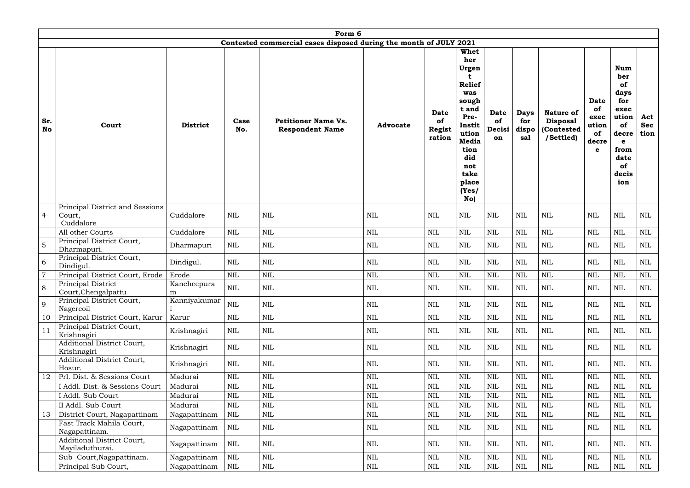| Form 6           |                                                  |                  |              |                                                                   |                 |                                              |                                                                                                                                                                         |                                   |                                    |                                                                |                                                        |                                                                                                                          |                           |
|------------------|--------------------------------------------------|------------------|--------------|-------------------------------------------------------------------|-----------------|----------------------------------------------|-------------------------------------------------------------------------------------------------------------------------------------------------------------------------|-----------------------------------|------------------------------------|----------------------------------------------------------------|--------------------------------------------------------|--------------------------------------------------------------------------------------------------------------------------|---------------------------|
|                  |                                                  |                  |              | Contested commercial cases disposed during the month of JULY 2021 |                 |                                              |                                                                                                                                                                         |                                   |                                    |                                                                |                                                        |                                                                                                                          |                           |
| Sr.<br><b>No</b> | Court                                            | <b>District</b>  | Case<br>No.  | <b>Petitioner Name Vs.</b><br><b>Respondent Name</b>              | <b>Advocate</b> | <b>Date</b><br>of<br><b>Regist</b><br>ration | <b>Whet</b><br>her<br>Urgen<br><b>Relief</b><br>was<br>sough<br>t and<br>Pre-<br>Instit<br>ution<br><b>Media</b><br>tion<br>did<br>not<br>take<br>place<br>(Yes)<br>No) | <b>Date</b><br>of<br>Decisi<br>on | <b>Days</b><br>for<br>dispo<br>sal | <b>Nature of</b><br><b>Disposal</b><br>(Contested<br>/Settled) | <b>Date</b><br>of<br>exec<br>ution<br>of<br>decre<br>e | <b>Num</b><br>ber<br><b>of</b><br>days<br>for<br>exec<br>ution<br>of<br>decre<br>e<br>from<br>date<br>of<br>decis<br>ion | Act<br><b>Sec</b><br>tion |
|                  | Principal District and Sessions                  |                  |              |                                                                   |                 |                                              |                                                                                                                                                                         |                                   |                                    |                                                                |                                                        |                                                                                                                          |                           |
| $\overline{4}$   | Court,<br>Cuddalore                              | Cuddalore        | <b>NIL</b>   | <b>NIL</b>                                                        | <b>NIL</b>      | <b>NIL</b>                                   | <b>NIL</b>                                                                                                                                                              | $\mbox{NIL}$                      | NIL                                | $\text{NIL}$                                                   | <b>NIL</b>                                             | <b>NIL</b>                                                                                                               | NIL                       |
|                  | All other Courts                                 | Cuddalore        | $\mbox{NIL}$ | <b>NIL</b>                                                        | $\mbox{NIL}$    | <b>NIL</b>                                   | $\mbox{NIL}$                                                                                                                                                            | $\mbox{NIL}$                      | $\text{NIL}$                       | <b>NIL</b>                                                     | <b>NIL</b>                                             | <b>NIL</b>                                                                                                               | NIL                       |
| 5                | Principal District Court,<br>Dharmapuri.         | Dharmapuri       | NIL          | $\mbox{NIL}$                                                      | <b>NIL</b>      | <b>NIL</b>                                   | NIL                                                                                                                                                                     | <b>NIL</b>                        | <b>NIL</b>                         | <b>NIL</b>                                                     | $\mbox{NIL}$                                           | <b>NIL</b>                                                                                                               | NIL                       |
| 6                | Principal District Court,<br>Dindigul.           | Dindigul.        | NIL          | <b>NIL</b>                                                        | <b>NIL</b>      | NIL                                          | NIL                                                                                                                                                                     | <b>NIL</b>                        | NIL                                | <b>NIL</b>                                                     | <b>NIL</b>                                             | <b>NIL</b>                                                                                                               | NIL                       |
| $\overline{7}$   | Principal District Court, Erode                  | Erode            | NIL          | $\mbox{NIL}$                                                      | <b>NIL</b>      | <b>NIL</b>                                   | $\mbox{NIL}$                                                                                                                                                            | $\mbox{NIL}$                      | NIL                                | <b>NIL</b>                                                     | <b>NIL</b>                                             | <b>NIL</b>                                                                                                               | NIL                       |
| 8                | <b>Principal District</b><br>Court, Chengalpattu | Kancheepura<br>m | $\mbox{NIL}$ | $\mbox{NIL}$                                                      | $\mbox{NIL}$    | $\text{NIL}$                                 | $\mbox{NIL}$                                                                                                                                                            | $\mbox{NIL}$                      | $\mbox{NIL}$                       | $\mbox{NIL}$                                                   | <b>NIL</b>                                             | $\mbox{NIL}$                                                                                                             | $\mbox{NIL}$              |
| 9                | Principal District Court,<br>Nagercoil           | Kanniyakumar     | $\mbox{NIL}$ | $\mbox{NIL}$                                                      | $\mbox{NIL}$    | <b>NIL</b>                                   | <b>NIL</b>                                                                                                                                                              | $\mbox{NIL}$                      | $\mbox{NIL}$                       | <b>NIL</b>                                                     | <b>NIL</b>                                             | <b>NIL</b>                                                                                                               | <b>NIL</b>                |
| 10               | Principal District Court, Karur                  | Karur            | $\mbox{NIL}$ | $\mbox{NIL}$                                                      | $\mbox{NIL}$    | <b>NIL</b>                                   | <b>NIL</b>                                                                                                                                                              | $\mbox{NIL}$                      | NIL                                | <b>NIL</b>                                                     | <b>NIL</b>                                             | <b>NIL</b>                                                                                                               | NIL                       |
| 11               | Principal District Court,<br>Krishnagiri         | Krishnagiri      | NIL          | $\mbox{NIL}$                                                      | $\mbox{NIL}$    | <b>NIL</b>                                   | NIL                                                                                                                                                                     | $\mbox{NIL}$                      | $\mbox{NIL}$                       | <b>NIL</b>                                                     | <b>NIL</b>                                             | <b>NIL</b>                                                                                                               | NIL                       |
|                  | Additional District Court,<br>Krishnagiri        | Krishnagiri      | NIL          | $\mbox{NIL}$                                                      | $\mbox{NIL}$    | <b>NIL</b>                                   | <b>NIL</b>                                                                                                                                                              | $\mbox{NIL}$                      | $\mbox{NIL}$                       | <b>NIL</b>                                                     | <b>NIL</b>                                             | <b>NIL</b>                                                                                                               | NIL                       |
|                  | Additional District Court,<br>Hosur.             | Krishnagiri      | NIL          | $\mbox{NIL}$                                                      | $\mbox{NIL}$    | <b>NIL</b>                                   | NIL                                                                                                                                                                     | $\mbox{NIL}$                      | $\mbox{NIL}$                       | <b>NIL</b>                                                     | <b>NIL</b>                                             | <b>NIL</b>                                                                                                               | NIL                       |
| 12               | Prl. Dist. & Sessions Court                      | Madurai          | $\mbox{NIL}$ | $\mbox{NIL}$                                                      | $\mbox{NIL}$    | <b>NIL</b>                                   | <b>NIL</b>                                                                                                                                                              | $\mbox{NIL}$                      | NIL                                | <b>NIL</b>                                                     | <b>NIL</b>                                             | <b>NIL</b>                                                                                                               | <b>NIL</b>                |
|                  | I Addl. Dist. & Sessions Court                   | Madurai          | <b>NIL</b>   | NIL                                                               | $\mbox{NIL}$    | <b>NIL</b>                                   | <b>NIL</b>                                                                                                                                                              | $\mbox{NIL}$                      | <b>NIL</b>                         | <b>NIL</b>                                                     | <b>NIL</b>                                             | <b>NIL</b>                                                                                                               | NIL                       |
|                  | I Addl. Sub Court                                | Madurai          | <b>NIL</b>   | NIL                                                               | $\mbox{NIL}$    | <b>NIL</b>                                   | <b>NIL</b>                                                                                                                                                              | NIL                               | NIL                                | <b>NIL</b>                                                     | <b>NIL</b>                                             | NIL                                                                                                                      | NIL                       |
|                  | II Addl. Sub Court                               | Madurai          | $\mbox{NIL}$ | $\mbox{NIL}$                                                      | $\mbox{NIL}$    | <b>NIL</b>                                   | $\mbox{NIL}$                                                                                                                                                            | $\mbox{NIL}$                      | <b>NIL</b>                         | <b>NIL</b>                                                     | <b>NIL</b>                                             | <b>NIL</b>                                                                                                               | NIL                       |
| 13               | District Court, Nagapattinam                     | Nagapattinam     | NIL          | NIL                                                               | <b>NIL</b>      | <b>NIL</b>                                   | <b>NIL</b>                                                                                                                                                              | $\mbox{NIL}$                      | <b>NIL</b>                         | <b>NIL</b>                                                     | <b>NIL</b>                                             | <b>NIL</b>                                                                                                               | NIL                       |
|                  | Fast Track Mahila Court,<br>Nagapattinam.        | Nagapattinam     | NIL          | <b>NIL</b>                                                        | $\mbox{NIL}$    | <b>NIL</b>                                   | <b>NIL</b>                                                                                                                                                              | $\mbox{NIL}$                      | $\mbox{NIL}$                       | <b>NIL</b>                                                     | <b>NIL</b>                                             | <b>NIL</b>                                                                                                               | NIL                       |
|                  | Additional District Court,<br>Mayiladuthurai.    | Nagapattinam     | NIL          | $\mbox{NIL}$                                                      | <b>NIL</b>      | <b>NIL</b>                                   | <b>NIL</b>                                                                                                                                                              | <b>NIL</b>                        | $\mbox{NIL}$                       | <b>NIL</b>                                                     | <b>NIL</b>                                             | <b>NIL</b>                                                                                                               | NIL                       |
|                  | Sub Court, Nagapattinam.                         | Nagapattinam     | <b>NIL</b>   | $\mbox{NIL}$                                                      | $\mbox{NIL}$    | <b>NIL</b>                                   | <b>NIL</b>                                                                                                                                                              | $\mbox{NIL}$                      | NIL                                | <b>NIL</b>                                                     | <b>NIL</b>                                             | <b>NIL</b>                                                                                                               | <b>NIL</b>                |
|                  | Principal Sub Court,                             | Nagapattinam     | NIL          | NIL                                                               | $\mbox{NIL}$    | NIL                                          | $\mbox{NIL}$                                                                                                                                                            | $\mbox{NIL}$                      | $\mbox{NIL}$                       | NIL                                                            | <b>NIL</b>                                             | <b>NIL</b>                                                                                                               | NIL                       |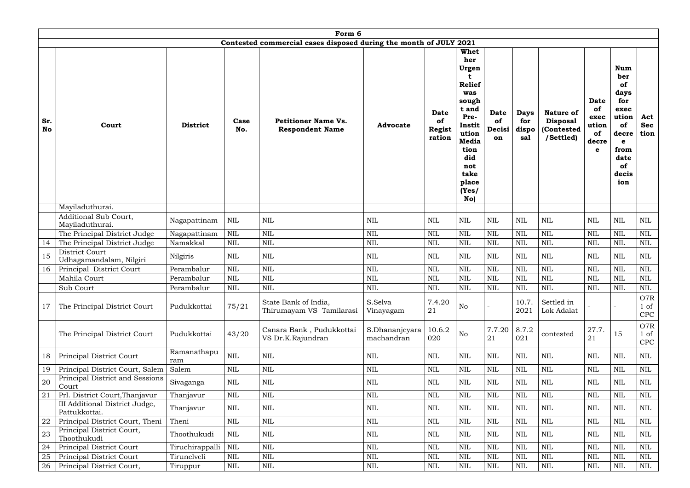|                  | Form 6                                          |                    |              |                                                                   |                              |                                              |                                                                                                                                                                  |                                   |                                    |                                                                |                                                        |                                                                                                                   |                                      |
|------------------|-------------------------------------------------|--------------------|--------------|-------------------------------------------------------------------|------------------------------|----------------------------------------------|------------------------------------------------------------------------------------------------------------------------------------------------------------------|-----------------------------------|------------------------------------|----------------------------------------------------------------|--------------------------------------------------------|-------------------------------------------------------------------------------------------------------------------|--------------------------------------|
|                  |                                                 |                    |              | Contested commercial cases disposed during the month of JULY 2021 |                              |                                              |                                                                                                                                                                  |                                   |                                    |                                                                |                                                        |                                                                                                                   |                                      |
| Sr.<br><b>No</b> | Court                                           | <b>District</b>    | Case<br>No.  | <b>Petitioner Name Vs.</b><br><b>Respondent Name</b>              | <b>Advocate</b>              | <b>Date</b><br>of<br><b>Regist</b><br>ration | Whet<br>her<br>Urgen<br><b>Relief</b><br>was<br>sough<br>t and<br>Pre-<br>Instit<br>ution<br><b>Media</b><br>tion<br>did<br>not<br>take<br>place<br>(Yes)<br>No) | <b>Date</b><br>of<br>Decisi<br>on | <b>Days</b><br>for<br>dispo<br>sal | <b>Nature of</b><br><b>Disposal</b><br>(Contested<br>/Settled) | <b>Date</b><br>of<br>exec<br>ution<br>of<br>decre<br>e | <b>Num</b><br>ber<br>of<br>days<br>for<br>exec<br>ution<br>of<br>decre<br>e<br>from<br>date<br>of<br>decis<br>ion | Act<br><b>Sec</b><br>tion            |
|                  | Mayiladuthurai.                                 |                    |              |                                                                   |                              |                                              |                                                                                                                                                                  |                                   |                                    |                                                                |                                                        |                                                                                                                   |                                      |
|                  | Additional Sub Court,<br>Mayiladuthurai.        | Nagapattinam       | $\mbox{NIL}$ | <b>NIL</b>                                                        | $\mbox{NIL}$                 | <b>NIL</b>                                   | <b>NIL</b>                                                                                                                                                       | <b>NIL</b>                        | $\mbox{NIL}$                       | NIL                                                            | <b>NIL</b>                                             | <b>NIL</b>                                                                                                        | NIL                                  |
|                  | The Principal District Judge                    | Nagapattinam       | $\mbox{NIL}$ | $\mbox{NIL}$                                                      | NIL                          | $\mbox{NIL}$                                 | $\mbox{NIL}$                                                                                                                                                     | <b>NIL</b>                        | <b>NIL</b>                         | <b>NIL</b>                                                     | <b>NIL</b>                                             | <b>NIL</b>                                                                                                        | <b>NIL</b>                           |
| 14               | The Principal District Judge                    | Namakkal           | $\mbox{NIL}$ | <b>NIL</b>                                                        | <b>NIL</b>                   | <b>NIL</b>                                   | $\mbox{NIL}$                                                                                                                                                     | <b>NIL</b>                        | <b>NIL</b>                         | <b>NIL</b>                                                     | <b>NIL</b>                                             | <b>NIL</b>                                                                                                        | <b>NIL</b>                           |
| 15               | District Court<br>Udhagamandalam, Nilgiri       | Nilgiris           | <b>NIL</b>   | <b>NIL</b>                                                        | <b>NIL</b>                   | <b>NIL</b>                                   | <b>NIL</b>                                                                                                                                                       | <b>NIL</b>                        | <b>NIL</b>                         | NIL                                                            | <b>NIL</b>                                             | <b>NIL</b>                                                                                                        | <b>NIL</b>                           |
| 16               | Principal District Court                        | Perambalur         | <b>NIL</b>   | <b>NIL</b>                                                        | <b>NIL</b>                   | <b>NIL</b>                                   | <b>NIL</b>                                                                                                                                                       | <b>NIL</b>                        | <b>NIL</b>                         | <b>NIL</b>                                                     | $\text{NIL}$                                           | <b>NIL</b>                                                                                                        | <b>NIL</b>                           |
|                  | Mahila Court                                    | Perambalur         | <b>NIL</b>   | $\mbox{NIL}$                                                      | <b>NIL</b>                   | <b>NIL</b>                                   | $\text{NIL}$                                                                                                                                                     | <b>NIL</b>                        | <b>NIL</b>                         | <b>NIL</b>                                                     | <b>NIL</b>                                             | <b>NIL</b>                                                                                                        | <b>NIL</b>                           |
|                  | Sub Court                                       | Perambalur         | $\mbox{NIL}$ | $\mbox{NIL}$                                                      | $\mbox{NIL}$                 | $\mbox{NIL}$                                 | $\mbox{NIL}$                                                                                                                                                     | $\mbox{NIL}$                      | $\mbox{NIL}$                       | <b>NIL</b>                                                     | $\mbox{NIL}$                                           | <b>NIL</b>                                                                                                        | $\mbox{NIL}$                         |
| 17               | The Principal District Court                    | Pudukkottai        | 75/21        | State Bank of India,<br>Thirumayam VS Tamilarasi                  | S.Selva<br>Vinayagam         | 7.4.20<br>21                                 | $\rm No$                                                                                                                                                         |                                   | 10.7.<br>2021                      | Settled in<br>Lok Adalat                                       |                                                        |                                                                                                                   | O7R<br>1 of<br><b>CPC</b>            |
|                  | The Principal District Court                    | Pudukkottai        | 43/20        | Canara Bank, Pudukkottai<br>VS Dr.K.Rajundran                     | S.Dhananjeyara<br>machandran | 10.6.2<br>020                                | N <sub>o</sub>                                                                                                                                                   | 7.7.20<br>21                      | 8.7.2<br>021                       | contested                                                      | 27.7.<br>21                                            | 15                                                                                                                | O7R<br>$1 \text{ of }$<br><b>CPC</b> |
| 18               | Principal District Court                        | Ramanathapu<br>ram | NIL          | <b>NIL</b>                                                        | <b>NIL</b>                   | NIL                                          | NIL                                                                                                                                                              | <b>NIL</b>                        | $\mbox{NIL}$                       | NIL                                                            | NIL                                                    | NIL                                                                                                               | <b>NIL</b>                           |
| 19               | Principal District Court, Salem                 | Salem              | NIL          | NIL                                                               | NIL                          | NIL                                          | <b>NIL</b>                                                                                                                                                       | <b>NIL</b>                        | <b>NIL</b>                         | NIL                                                            | NIL                                                    | <b>NIL</b>                                                                                                        | NIL                                  |
| 20               | Principal District and Sessions<br>Court        | Sivaganga          | $\mbox{NIL}$ | $\mbox{NIL}$                                                      | NIL                          | $\mbox{NIL}$                                 | $\mbox{NIL}$                                                                                                                                                     | <b>NIL</b>                        | $\mbox{NIL}$                       | <b>NIL</b>                                                     | NIL                                                    | <b>NIL</b>                                                                                                        | <b>NIL</b>                           |
| 21               | Prl. District Court, Thanjavur                  | Thanjavur          | $\mbox{NIL}$ | $\mbox{NIL}$                                                      | NIL                          | $\mbox{NIL}$                                 | $\mbox{NIL}$                                                                                                                                                     | <b>NIL</b>                        | $\mbox{NIL}$                       | <b>NIL</b>                                                     | $\mbox{NIL}$                                           | <b>NIL</b>                                                                                                        | NIL                                  |
|                  | III Additional District Judge,<br>Pattukkottai. | Thanjavur          | $\mbox{NIL}$ | <b>NIL</b>                                                        | NIL                          | NIL                                          | NIL                                                                                                                                                              | NIL                               | $\mbox{NIL}$                       | NIL                                                            | NIL                                                    | NIL                                                                                                               | <b>NIL</b>                           |
| 22               | Principal District Court, Theni                 | Theni              | $\mbox{NIL}$ | $\mbox{NIL}$                                                      | NIL                          | $\mbox{NIL}$                                 | NIL                                                                                                                                                              | <b>NIL</b>                        | <b>NIL</b>                         | <b>NIL</b>                                                     | <b>NIL</b>                                             | <b>NIL</b>                                                                                                        | <b>NIL</b>                           |
| 23               | Principal District Court,<br>Thoothukudi        | Thoothukudi        | <b>NIL</b>   | NIL                                                               | NIL                          | $\mbox{NIL}$                                 | <b>NIL</b>                                                                                                                                                       | NIL                               | $\mbox{NIL}$                       | <b>NIL</b>                                                     | NIL                                                    | <b>NIL</b>                                                                                                        | <b>NIL</b>                           |
| 24               | Principal District Court                        | Tiruchirappalli    | $\mbox{NIL}$ | <b>NIL</b>                                                        | NIL                          | $\mbox{NIL}$                                 | $\mbox{NIL}$                                                                                                                                                     | <b>NIL</b>                        | <b>NIL</b>                         | <b>NIL</b>                                                     | <b>NIL</b>                                             | <b>NIL</b>                                                                                                        | $\mbox{NIL}$                         |
| 25               | Principal District Court                        | Tirunelveli        | $\mbox{NIL}$ | <b>NIL</b>                                                        | <b>NIL</b>                   | <b>NIL</b>                                   | $\mbox{NIL}$                                                                                                                                                     | <b>NIL</b>                        | <b>NIL</b>                         | NIL                                                            | <b>NIL</b>                                             | <b>NIL</b>                                                                                                        | <b>NIL</b>                           |
| 26               | Principal District Court,                       | Tiruppur           | $\mbox{NIL}$ | $\mbox{NIL}$                                                      | $\text{NIL}$                 | $\mbox{NIL}$                                 | $\mbox{NIL}$                                                                                                                                                     | <b>NIL</b>                        | <b>NIL</b>                         | NIL                                                            | <b>NIL</b>                                             | <b>NIL</b>                                                                                                        | NIL                                  |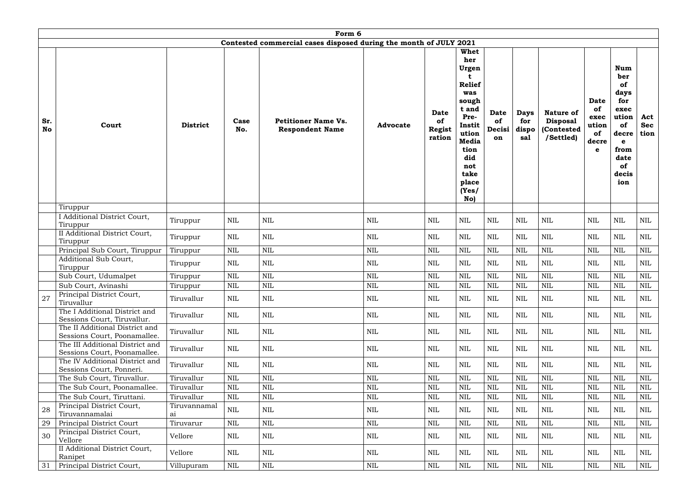|                  | Form 6                                                          |                    |              |                                                                   |                 |                                              |                                                                                                                                                                         |                                   |                                    |                                                                |                                                        |                                                                                                                          |                           |
|------------------|-----------------------------------------------------------------|--------------------|--------------|-------------------------------------------------------------------|-----------------|----------------------------------------------|-------------------------------------------------------------------------------------------------------------------------------------------------------------------------|-----------------------------------|------------------------------------|----------------------------------------------------------------|--------------------------------------------------------|--------------------------------------------------------------------------------------------------------------------------|---------------------------|
|                  |                                                                 |                    |              | Contested commercial cases disposed during the month of JULY 2021 |                 |                                              |                                                                                                                                                                         |                                   |                                    |                                                                |                                                        |                                                                                                                          |                           |
| Sr.<br><b>No</b> | Court                                                           | <b>District</b>    | Case<br>No.  | <b>Petitioner Name Vs.</b><br><b>Respondent Name</b>              | <b>Advocate</b> | <b>Date</b><br>of<br><b>Regist</b><br>ration | <b>Whet</b><br>her<br>Urgen<br><b>Relief</b><br>was<br>sough<br>t and<br>Pre-<br>Instit<br>ution<br><b>Media</b><br>tion<br>did<br>not<br>take<br>place<br>(Yes)<br>No) | <b>Date</b><br>of<br>Decisi<br>on | <b>Days</b><br>for<br>dispo<br>sal | <b>Nature of</b><br><b>Disposal</b><br>(Contested<br>/Settled) | <b>Date</b><br>of<br>exec<br>ution<br>of<br>decre<br>e | <b>Num</b><br>ber<br><b>of</b><br>days<br>for<br>exec<br>ution<br>of<br>decre<br>e<br>from<br>date<br>of<br>decis<br>ion | Act<br><b>Sec</b><br>tion |
|                  | Tiruppur                                                        |                    |              |                                                                   |                 |                                              |                                                                                                                                                                         |                                   |                                    |                                                                |                                                        |                                                                                                                          |                           |
|                  | I Additional District Court,<br>Tiruppur                        | Tiruppur           | NIL          | $\mbox{NIL}$                                                      | <b>NIL</b>      | $\mbox{NIL}$                                 | NIL                                                                                                                                                                     | $\mbox{NIL}$                      | $\mbox{NIL}$                       | NIL                                                            | <b>NIL</b>                                             | <b>NIL</b>                                                                                                               | NIL                       |
|                  | II Additional District Court,<br>Tiruppur                       | Tiruppur           | NIL          | $\mbox{NIL}$                                                      | <b>NIL</b>      | <b>NIL</b>                                   | NIL                                                                                                                                                                     | $\mbox{NIL}$                      | <b>NIL</b>                         | <b>NIL</b>                                                     | <b>NIL</b>                                             | <b>NIL</b>                                                                                                               | NIL                       |
|                  | Principal Sub Court, Tiruppur                                   | Tiruppur           | $\mbox{NIL}$ | $\mbox{NIL}$                                                      | $\mbox{NIL}$    | <b>NIL</b>                                   | <b>NIL</b>                                                                                                                                                              | $\mbox{NIL}$                      | $\mbox{NIL}$                       | $\mbox{NIL}$                                                   | <b>NIL</b>                                             | $\mbox{NIL}$                                                                                                             | NIL                       |
|                  | Additional Sub Court,<br>Tiruppur                               | Tiruppur           | NIL          | <b>NIL</b>                                                        | <b>NIL</b>      | <b>NIL</b>                                   | <b>NIL</b>                                                                                                                                                              | $\mbox{NIL}$                      | NIL                                | NIL                                                            | <b>NIL</b>                                             | <b>NIL</b>                                                                                                               | NIL                       |
|                  | Sub Court, Udumalpet                                            | Tiruppur           | $\mbox{NIL}$ | $\mbox{NIL}$                                                      | $\mbox{NIL}$    | <b>NIL</b>                                   | <b>NIL</b>                                                                                                                                                              | $\mbox{NIL}$                      | $\textsc{NIL}$                     | <b>NIL</b>                                                     | <b>NIL</b>                                             | <b>NIL</b>                                                                                                               | <b>NIL</b>                |
|                  | Sub Court, Avinashi                                             | Tiruppur           | NIL          | <b>NIL</b>                                                        | $\mbox{NIL}$    | <b>NIL</b>                                   | <b>NIL</b>                                                                                                                                                              | <b>NIL</b>                        | <b>NIL</b>                         | <b>NIL</b>                                                     | <b>NIL</b>                                             | <b>NIL</b>                                                                                                               | NIL                       |
| 27               | Principal District Court,<br>Tiruvallur                         | Tiruvallur         | NIL          | <b>NIL</b>                                                        | NIL             | NIL                                          | NIL                                                                                                                                                                     | $\mbox{NIL}$                      | $\text{NIL}$                       | NIL                                                            | <b>NIL</b>                                             | <b>NIL</b>                                                                                                               | $\rm NIL$                 |
|                  | The I Additional District and<br>Sessions Court, Tiruvallur.    | Tiruvallur         | NIL          | NIL                                                               | NIL             | <b>NIL</b>                                   | NIL                                                                                                                                                                     | NIL                               | $\mbox{NIL}$                       | NIL                                                            | NIL                                                    | <b>NIL</b>                                                                                                               | NIL                       |
|                  | The II Additional District and<br>Sessions Court, Poonamallee.  | Tiruvallur         | NIL          | NIL                                                               | NIL             | NIL                                          | NIL                                                                                                                                                                     | <b>NIL</b>                        | NIL                                | NIL                                                            | <b>NIL</b>                                             | NIL                                                                                                                      | $\rm NIL$                 |
|                  | The III Additional District and<br>Sessions Court, Poonamallee. | Tiruvallur         | NIL          | $\mbox{NIL}$                                                      | NIL             | NIL                                          | NIL                                                                                                                                                                     | $\mbox{NIL}$                      | NIL                                | NIL                                                            | <b>NIL</b>                                             | <b>NIL</b>                                                                                                               | $\rm NIL$                 |
|                  | The IV Additional District and<br>Sessions Court, Ponneri.      | Tiruvallur         | NIL          | NIL                                                               | NIL             | NIL                                          | NIL                                                                                                                                                                     | <b>NIL</b>                        | $\text{NIL}$                       | NIL                                                            | NIL                                                    | <b>NIL</b>                                                                                                               | NIL                       |
|                  | The Sub Court, Tiruvallur.                                      | Tiruvallur         | NIL          | NIL                                                               | $\mbox{NIL}$    | <b>NIL</b>                                   | NIL                                                                                                                                                                     | $\mbox{NIL}$                      | $\mbox{NIL}$                       | <b>NIL</b>                                                     | <b>NIL</b>                                             | <b>NIL</b>                                                                                                               | NIL                       |
|                  | The Sub Court, Poonamallee.                                     | Tiruvallur         | <b>NIL</b>   | $\mbox{NIL}$                                                      | $\mbox{NIL}$    | <b>NIL</b>                                   | <b>NIL</b>                                                                                                                                                              | $\mbox{NIL}$                      | <b>NIL</b>                         | <b>NIL</b>                                                     | <b>NIL</b>                                             | <b>NIL</b>                                                                                                               | NIL                       |
|                  | The Sub Court, Tiruttani.                                       | Tiruvallur         | NIL          | NIL                                                               | $\mbox{NIL}$    | $\mbox{NIL}$                                 | <b>NIL</b>                                                                                                                                                              | $\mbox{NIL}$                      | $\mbox{NIL}$                       | NIL                                                            | <b>NIL</b>                                             | <b>NIL</b>                                                                                                               | NIL                       |
| 28               | Principal District Court,<br>Tiruvannamalai                     | Tiruvannamal<br>ai | NIL          | <b>NIL</b>                                                        | NIL             | $\mbox{NIL}$                                 | <b>NIL</b>                                                                                                                                                              | $\mbox{NIL}$                      | <b>NIL</b>                         | NIL                                                            | <b>NIL</b>                                             | <b>NIL</b>                                                                                                               | NIL                       |
| 29               | Principal District Court                                        | Tiruvarur          | $\mbox{NIL}$ | $\mbox{NIL}$                                                      | $\mbox{NIL}$    | $\mbox{NIL}$                                 | NIL                                                                                                                                                                     | $\mbox{NIL}$                      | $\mbox{NIL}$                       | $\text{NIL}$                                                   | <b>NIL</b>                                             | $\mbox{NIL}$                                                                                                             | NIL                       |
| 30               | Principal District Court,<br>Vellore                            | Vellore            | NIL          | <b>NIL</b>                                                        | NIL             | NIL                                          | NIL                                                                                                                                                                     | NIL                               | NIL                                | NIL                                                            | NIL                                                    | <b>NIL</b>                                                                                                               | NIL                       |
|                  | II Additional District Court,<br>Ranipet                        | Vellore            | NIL          | $\mbox{NIL}$                                                      | <b>NIL</b>      | $\mbox{NIL}$                                 | <b>NIL</b>                                                                                                                                                              | $\mbox{NIL}$                      | $\mbox{NIL}$                       | NIL                                                            | <b>NIL</b>                                             | <b>NIL</b>                                                                                                               | NIL                       |
| 31               | Principal District Court,                                       | Villupuram         | $\mbox{NIL}$ | $\mbox{NIL}$                                                      | $\mbox{NIL}$    | $\mbox{NIL}$                                 | NIL                                                                                                                                                                     | $\mbox{NIL}$                      | $\mbox{NIL}$                       | $\mbox{NIL}$                                                   | <b>NIL</b>                                             | $\mbox{NIL}$                                                                                                             | NIL                       |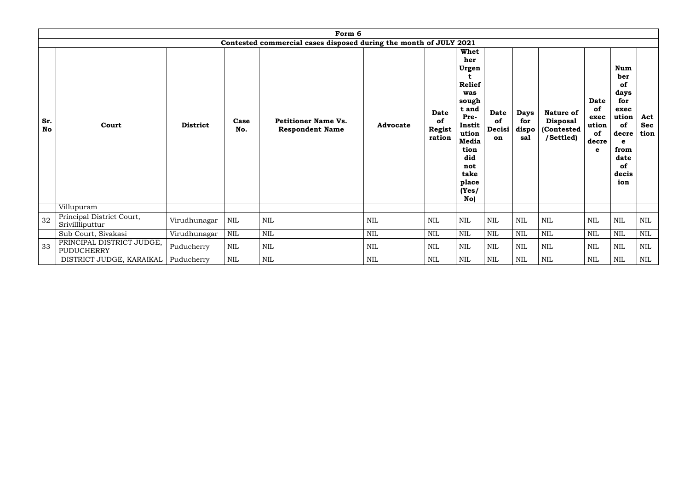|                  | Form 6                                                            |                 |              |                                                      |                 |                                              |                                                                                                                                                           |                                   |                                    |                                                                |                                                        |                                                                                                                          |                           |
|------------------|-------------------------------------------------------------------|-----------------|--------------|------------------------------------------------------|-----------------|----------------------------------------------|-----------------------------------------------------------------------------------------------------------------------------------------------------------|-----------------------------------|------------------------------------|----------------------------------------------------------------|--------------------------------------------------------|--------------------------------------------------------------------------------------------------------------------------|---------------------------|
|                  | Contested commercial cases disposed during the month of JULY 2021 |                 |              |                                                      |                 |                                              |                                                                                                                                                           |                                   |                                    |                                                                |                                                        |                                                                                                                          |                           |
| Sr.<br><b>No</b> | Court                                                             | <b>District</b> | Case<br>No.  | <b>Petitioner Name Vs.</b><br><b>Respondent Name</b> | <b>Advocate</b> | <b>Date</b><br>of<br><b>Regist</b><br>ration | Whet<br>her<br>Urgen<br><b>Relief</b><br>was<br>sough<br>t and<br>Pre-<br>Instit<br>ution<br>Media<br>tion<br>did<br>not<br>take<br>place<br>(Yes)<br>No) | <b>Date</b><br>of<br>Decisi<br>on | <b>Days</b><br>for<br>dispo<br>sal | <b>Nature of</b><br><b>Disposal</b><br>(Contested<br>/Settled) | <b>Date</b><br>of<br>exec<br>ution<br>of<br>decre<br>e | <b>Num</b><br>ber<br>of<br>days<br>for<br>exec<br>ution<br>of<br>decre<br>e<br>from<br>date<br><b>of</b><br>decis<br>ion | Act<br><b>Sec</b><br>tion |
|                  | Villupuram                                                        |                 |              |                                                      |                 |                                              |                                                                                                                                                           |                                   |                                    |                                                                |                                                        |                                                                                                                          |                           |
| 32               | Principal District Court,<br>Srivillliputtur                      | Virudhunagar    | $\mbox{NIL}$ | <b>NIL</b>                                           | $\mbox{NIL}$    | $\mbox{NIL}$                                 | <b>NIL</b>                                                                                                                                                | <b>NIL</b>                        | <b>NIL</b>                         | NIL                                                            | $\mbox{NIL}$                                           | $\mbox{NIL}$                                                                                                             | NIL                       |
|                  | Sub Court, Sivakasi                                               | Virudhunagar    | <b>NIL</b>   | <b>NIL</b>                                           | <b>NIL</b>      | $\mbox{NIL}$                                 | <b>NIL</b>                                                                                                                                                | <b>NIL</b>                        | <b>NIL</b>                         | <b>NIL</b>                                                     | $\mbox{NIL}$                                           | <b>NIL</b>                                                                                                               | $\mbox{NIL}$              |
| 33               | PRINCIPAL DISTRICT JUDGE,<br><b>PUDUCHERRY</b>                    | Puducherry      | NIL          | <b>NIL</b>                                           | <b>NIL</b>      | <b>NIL</b>                                   | <b>NIL</b>                                                                                                                                                | <b>NIL</b>                        | <b>NIL</b>                         | NIL                                                            | <b>NIL</b>                                             | <b>NIL</b>                                                                                                               | <b>NIL</b>                |
|                  | DISTRICT JUDGE, KARAIKAL                                          | Puducherry      | <b>NIL</b>   | <b>NIL</b>                                           | <b>NIL</b>      | $\mbox{NIL}$                                 | <b>NIL</b>                                                                                                                                                | <b>NIL</b>                        | <b>NIL</b>                         | <b>NIL</b>                                                     | NIL                                                    | <b>NIL</b>                                                                                                               | <b>NIL</b>                |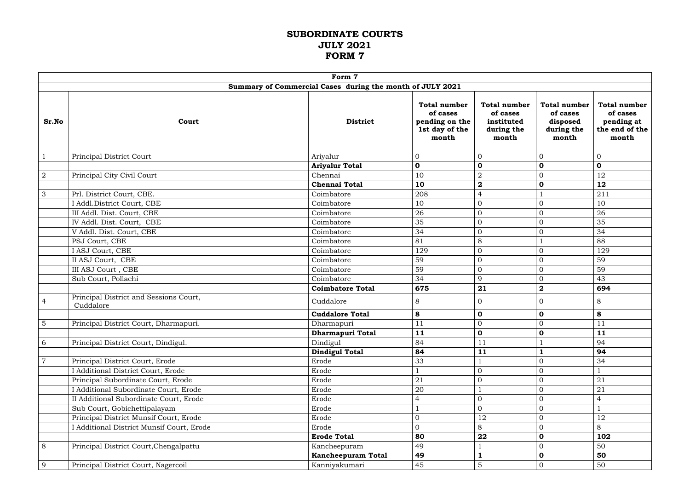#### **SUBORDINATE COURTS JULY 2021 FORM 7**

|                | Form 7                                              |                                                           |                                                                              |                                                                      |                                                                    |                                                                          |  |  |  |
|----------------|-----------------------------------------------------|-----------------------------------------------------------|------------------------------------------------------------------------------|----------------------------------------------------------------------|--------------------------------------------------------------------|--------------------------------------------------------------------------|--|--|--|
|                |                                                     | Summary of Commercial Cases during the month of JULY 2021 |                                                                              |                                                                      |                                                                    |                                                                          |  |  |  |
| Sr.No          | Court                                               | <b>District</b>                                           | <b>Total number</b><br>of cases<br>pending on the<br>1st day of the<br>month | <b>Total number</b><br>of cases<br>instituted<br>during the<br>month | <b>Total number</b><br>of cases<br>disposed<br>during the<br>month | <b>Total number</b><br>of cases<br>pending at<br>the end of the<br>month |  |  |  |
| $\mathbf{1}$   | Principal District Court                            | Ariyalur                                                  | $\overline{0}$                                                               | $\overline{0}$                                                       | $\overline{0}$                                                     | $\mathbf{0}$                                                             |  |  |  |
|                |                                                     | <b>Ariyalur Total</b>                                     | $\mathbf 0$                                                                  | $\mathbf 0$                                                          | $\mathbf 0$                                                        | $\mathbf 0$                                                              |  |  |  |
| $\overline{2}$ | Principal City Civil Court                          | Chennai                                                   | 10                                                                           | $\overline{2}$                                                       | $\mathbf{0}$                                                       | 12                                                                       |  |  |  |
|                |                                                     | <b>Chennai Total</b>                                      | 10                                                                           | $\mathbf 2$                                                          | $\mathbf 0$                                                        | 12                                                                       |  |  |  |
| $\mathfrak{Z}$ | Prl. District Court, CBE.                           | Coimbatore                                                | 208                                                                          | $\overline{4}$                                                       |                                                                    | 211                                                                      |  |  |  |
|                | I Addl.District Court, CBE                          | Coimbatore                                                | 10                                                                           | $\overline{0}$                                                       | $\mathbf{0}$                                                       | 10                                                                       |  |  |  |
|                | III Addl. Dist. Court, CBE                          | Coimbatore                                                | 26                                                                           | $\mathbf{0}$                                                         | $\mathbf{0}$                                                       | 26                                                                       |  |  |  |
|                | IV Addl. Dist. Court, CBE                           | Coimbatore                                                | 35                                                                           | $\overline{0}$                                                       | $\overline{0}$                                                     | 35                                                                       |  |  |  |
|                | V Addl. Dist. Court, CBE                            | Coimbatore                                                | 34                                                                           | $\overline{0}$                                                       | $\overline{0}$                                                     | 34                                                                       |  |  |  |
|                | PSJ Court, CBE                                      | Coimbatore                                                | 81                                                                           | 8                                                                    |                                                                    | 88                                                                       |  |  |  |
|                | I ASJ Court, CBE                                    | Coimbatore                                                | 129                                                                          | $\overline{0}$                                                       | $\mathbf{0}$                                                       | 129                                                                      |  |  |  |
|                | II ASJ Court, CBE                                   | Coimbatore                                                | 59                                                                           | $\overline{0}$                                                       | $\overline{0}$                                                     | 59                                                                       |  |  |  |
|                | III ASJ Court, CBE                                  | Coimbatore                                                | 59                                                                           | $\overline{0}$                                                       | $\mathbf{0}$                                                       | 59                                                                       |  |  |  |
|                | Sub Court, Pollachi                                 | Coimbatore                                                | 34                                                                           | 9                                                                    | $\mathbf{0}$                                                       | 43                                                                       |  |  |  |
|                |                                                     | <b>Coimbatore Total</b>                                   | 675                                                                          | 21                                                                   | $\overline{\mathbf{2}}$                                            | 694                                                                      |  |  |  |
| $\overline{4}$ | Principal District and Sessions Court,<br>Cuddalore | Cuddalore                                                 | 8                                                                            | $\overline{0}$                                                       | $\Omega$                                                           | 8                                                                        |  |  |  |
|                |                                                     | <b>Cuddalore Total</b>                                    | 8                                                                            | $\mathbf 0$                                                          | $\mathbf 0$                                                        | 8                                                                        |  |  |  |
| $5\phantom{.}$ | Principal District Court, Dharmapuri.               | Dharmapuri                                                | 11                                                                           | $\overline{0}$                                                       | $\Omega$                                                           | 11                                                                       |  |  |  |
|                |                                                     | <b>Dharmapuri Total</b>                                   | 11                                                                           | $\mathbf 0$                                                          | $\mathbf 0$                                                        | <b>11</b>                                                                |  |  |  |
| 6              | Principal District Court, Dindigul.                 | Dindigul                                                  | 84                                                                           | 11                                                                   |                                                                    | 94                                                                       |  |  |  |
|                |                                                     | <b>Dindigul Total</b>                                     | 84                                                                           | 11                                                                   |                                                                    | 94                                                                       |  |  |  |
| $\overline{7}$ | Principal District Court, Erode                     | Erode                                                     | 33                                                                           |                                                                      | $\overline{0}$                                                     | 34                                                                       |  |  |  |
|                | I Additional District Court, Erode                  | Erode                                                     |                                                                              | $\overline{0}$                                                       | $\overline{0}$                                                     |                                                                          |  |  |  |
|                | Principal Subordinate Court, Erode                  | Erode                                                     | 21                                                                           | $\overline{0}$                                                       | $\overline{0}$                                                     | 21                                                                       |  |  |  |
|                | I Additional Subordinate Court, Erode               | Erode                                                     | 20                                                                           |                                                                      | $\mathbf{0}$                                                       | 21                                                                       |  |  |  |
|                | II Additional Subordinate Court, Erode              | Erode                                                     | $\overline{4}$                                                               | $\mathbf{0}$                                                         | $\overline{0}$                                                     | $\overline{4}$                                                           |  |  |  |
|                | Sub Court, Gobichettipalayam                        | Erode                                                     |                                                                              | $\overline{0}$                                                       | $\mathbf{0}$                                                       |                                                                          |  |  |  |
|                | Principal District Munsif Court, Erode              | Erode                                                     | $\mathbf{0}$                                                                 | 12                                                                   | $\mathbf{0}$                                                       | 12                                                                       |  |  |  |
|                | I Additional District Munsif Court, Erode           | Erode                                                     | $\overline{0}$                                                               | 8                                                                    | $\overline{0}$                                                     | 8                                                                        |  |  |  |
|                |                                                     | <b>Erode Total</b>                                        | 80                                                                           | 22                                                                   | $\mathbf 0$                                                        | 102                                                                      |  |  |  |
| 8              | Principal District Court, Chengalpattu              | Kancheepuram                                              | 49                                                                           |                                                                      | $\mathbf{0}$                                                       | 50                                                                       |  |  |  |
|                |                                                     | <b>Kancheepuram Total</b>                                 | 49                                                                           | $\mathbf{1}$                                                         | $\mathbf 0$                                                        | 50                                                                       |  |  |  |
| 9              | Principal District Court, Nagercoil                 | Kanniyakumari                                             | 45                                                                           | $5\phantom{.}$                                                       | $\mathbf{0}$                                                       | 50                                                                       |  |  |  |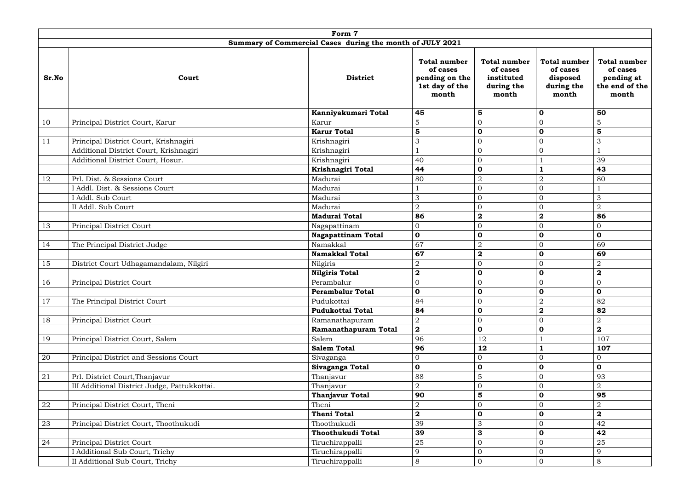|            |                                                           | Form 7                    |                                                                              |                                                                      |                                                                    |                                                                   |  |  |  |  |
|------------|-----------------------------------------------------------|---------------------------|------------------------------------------------------------------------------|----------------------------------------------------------------------|--------------------------------------------------------------------|-------------------------------------------------------------------|--|--|--|--|
|            | Summary of Commercial Cases during the month of JULY 2021 |                           |                                                                              |                                                                      |                                                                    |                                                                   |  |  |  |  |
| Sr.No      | Court                                                     | <b>District</b>           | <b>Total number</b><br>of cases<br>pending on the<br>1st day of the<br>month | <b>Total number</b><br>of cases<br>instituted<br>during the<br>month | <b>Total number</b><br>of cases<br>disposed<br>during the<br>month | Total number<br>of cases<br>pending at<br>the end of the<br>month |  |  |  |  |
|            |                                                           | Kanniyakumari Total       | 45                                                                           | $5\phantom{1}$                                                       | $\mathbf 0$                                                        | 50                                                                |  |  |  |  |
| 10         | Principal District Court, Karur                           | Karur                     | 5                                                                            | $\overline{0}$                                                       | $\overline{0}$                                                     | 5                                                                 |  |  |  |  |
|            |                                                           | <b>Karur Total</b>        | $5\phantom{1}$                                                               | $\mathbf 0$                                                          | $\mathbf 0$                                                        | $5\phantom{1}$                                                    |  |  |  |  |
| 11         | Principal District Court, Krishnagiri                     | Krishnagiri               | $\mathfrak{Z}$                                                               | $\mathbf{0}$                                                         | $\overline{0}$                                                     | 3                                                                 |  |  |  |  |
|            | Additional District Court, Krishnagiri                    | Krishnagiri               |                                                                              | $\Omega$                                                             | $\Omega$                                                           |                                                                   |  |  |  |  |
|            | Additional District Court, Hosur.                         | Krishnagiri               | 40                                                                           | $\overline{0}$                                                       |                                                                    | 39                                                                |  |  |  |  |
|            |                                                           | Krishnagiri Total         | 44                                                                           | $\mathbf 0$                                                          |                                                                    | 43                                                                |  |  |  |  |
| 12         | Prl. Dist. & Sessions Court                               | Madurai                   | 80                                                                           | $\sqrt{2}$                                                           | $\sqrt{2}$                                                         | 80                                                                |  |  |  |  |
|            | I Addl. Dist. & Sessions Court                            | Madurai                   |                                                                              | $\boldsymbol{0}$                                                     | $\overline{0}$                                                     |                                                                   |  |  |  |  |
|            | I Addl. Sub Court                                         | Madurai                   | 3                                                                            | $\Omega$                                                             | $\Omega$                                                           | 3                                                                 |  |  |  |  |
|            | II Addl. Sub Court                                        | Madurai                   | $\overline{2}$                                                               | $\mathbf{0}$                                                         | $\overline{0}$                                                     | $\overline{2}$                                                    |  |  |  |  |
|            |                                                           | <b>Madurai Total</b>      | 86                                                                           | $\overline{\mathbf{2}}$                                              | $\overline{\mathbf{2}}$                                            | 86                                                                |  |  |  |  |
| 13         | Principal District Court                                  | Nagapattinam              | $\overline{0}$                                                               | $\overline{0}$                                                       | $\Omega$                                                           | $\overline{0}$                                                    |  |  |  |  |
|            |                                                           | <b>Nagapattinam Total</b> | $\mathbf 0$                                                                  | $\mathbf 0$                                                          | $\mathbf 0$                                                        | $\mathbf 0$                                                       |  |  |  |  |
| 14         | The Principal District Judge                              | Namakkal                  | 67                                                                           | $\sqrt{2}$                                                           | $\Omega$                                                           | 69                                                                |  |  |  |  |
|            |                                                           | <b>Namakkal Total</b>     | 67                                                                           | $\mathbf 2$                                                          | $\mathbf 0$                                                        | 69                                                                |  |  |  |  |
| 15         | District Court Udhagamandalam, Nilgiri                    | Nilgiris                  | $\overline{2}$                                                               | $\Omega$                                                             | $\overline{0}$                                                     | $\overline{2}$                                                    |  |  |  |  |
|            |                                                           | <b>Nilgiris Total</b>     | $\mathbf{2}$                                                                 | $\mathbf 0$                                                          | $\mathbf 0$                                                        | $\mathbf 2$                                                       |  |  |  |  |
| 16         | Principal District Court                                  | Perambalur                | $\overline{0}$                                                               | $\overline{0}$                                                       | $\overline{0}$                                                     | $\overline{0}$                                                    |  |  |  |  |
|            |                                                           | <b>Perambalur Total</b>   | $\mathbf 0$                                                                  | $\mathbf 0$                                                          | $\mathbf 0$                                                        | $\mathbf 0$                                                       |  |  |  |  |
| 17         | The Principal District Court                              | Pudukottai                | 84                                                                           | $\mathbf{0}$                                                         | $\overline{2}$                                                     | 82                                                                |  |  |  |  |
|            |                                                           | <b>Pudukottai Total</b>   | 84                                                                           | $\mathbf 0$                                                          | $\mathbf 2$                                                        | 82                                                                |  |  |  |  |
| 18         | Principal District Court                                  | Ramanathapuram            | $\overline{2}$                                                               | $\overline{O}$                                                       | $\Omega$                                                           | $\overline{2}$                                                    |  |  |  |  |
|            |                                                           | Ramanathapuram Total      | $\boldsymbol{2}$                                                             | $\mathbf 0$                                                          | $\mathbf 0$                                                        | $\overline{\mathbf{2}}$                                           |  |  |  |  |
| 19         | Principal District Court, Salem                           | Salem                     | 96                                                                           | 12                                                                   |                                                                    | 107                                                               |  |  |  |  |
|            |                                                           | <b>Salem Total</b>        | 96                                                                           | 12                                                                   |                                                                    | 107                                                               |  |  |  |  |
| 20         | Principal District and Sessions Court                     | Sivaganga                 | $\overline{0}$                                                               | $\overline{0}$                                                       | $\overline{0}$                                                     | $\overline{0}$                                                    |  |  |  |  |
|            |                                                           | Sivaganga Total           | $\mathbf 0$                                                                  | $\mathbf 0$                                                          | $\mathbf 0$                                                        | $\mathbf 0$                                                       |  |  |  |  |
| 21         | Prl. District Court, Thanjavur                            | Thanjavur                 | 88                                                                           | 5                                                                    | $\Omega$                                                           | 93                                                                |  |  |  |  |
|            | III Additional District Judge, Pattukkottai.              | Thanjavur                 | $\overline{a}$                                                               | $\overline{0}$                                                       | $\overline{0}$                                                     | $\overline{2}$                                                    |  |  |  |  |
|            |                                                           | <b>Thanjavur Total</b>    | 90                                                                           | $5\phantom{1}$                                                       | $\mathbf 0$                                                        | 95                                                                |  |  |  |  |
| ${\bf 22}$ | Principal District Court, Theni                           | Theni                     | $\overline{a}$                                                               | $\overline{0}$                                                       | $\Omega$                                                           | $\overline{2}$                                                    |  |  |  |  |
|            |                                                           | <b>Theni Total</b>        | $\overline{\mathbf{2}}$                                                      | $\mathbf 0$                                                          | $\mathbf 0$                                                        | $\overline{\mathbf{2}}$                                           |  |  |  |  |
| 23         | Principal District Court, Thoothukudi                     | Thoothukudi               | 39                                                                           | 3                                                                    | $\overline{0}$                                                     | 42                                                                |  |  |  |  |
|            |                                                           | Thoothukudi Total         | 39                                                                           | 3                                                                    | $\mathbf 0$                                                        | 42                                                                |  |  |  |  |
| 24         | Principal District Court                                  | Tiruchirappalli           | 25                                                                           | $\overline{0}$                                                       | $\Omega$                                                           | 25                                                                |  |  |  |  |
|            | I Additional Sub Court, Trichy                            | Tiruchirappalli           | 9                                                                            | $\overline{0}$                                                       | $\overline{0}$                                                     | 9                                                                 |  |  |  |  |
|            | II Additional Sub Court, Trichy                           | Tiruchirappalli           | 8                                                                            | $\overline{0}$                                                       | $\overline{0}$                                                     | $8\,$                                                             |  |  |  |  |